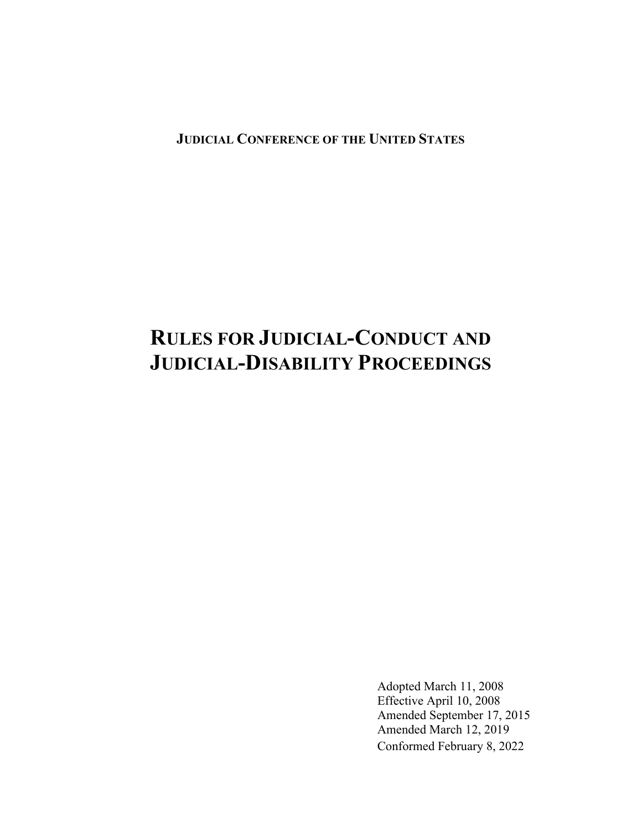**JUDICIAL CONFERENCE OF THE UNITED STATES**

# **RULES FOR JUDICIAL-CONDUCT AND JUDICIAL-DISABILITY PROCEEDINGS**

Adopted March 11, 2008 Effective April 10, 2008 Amended September 17, 2015 Amended March 12, 2019 Conformed February 8, 2022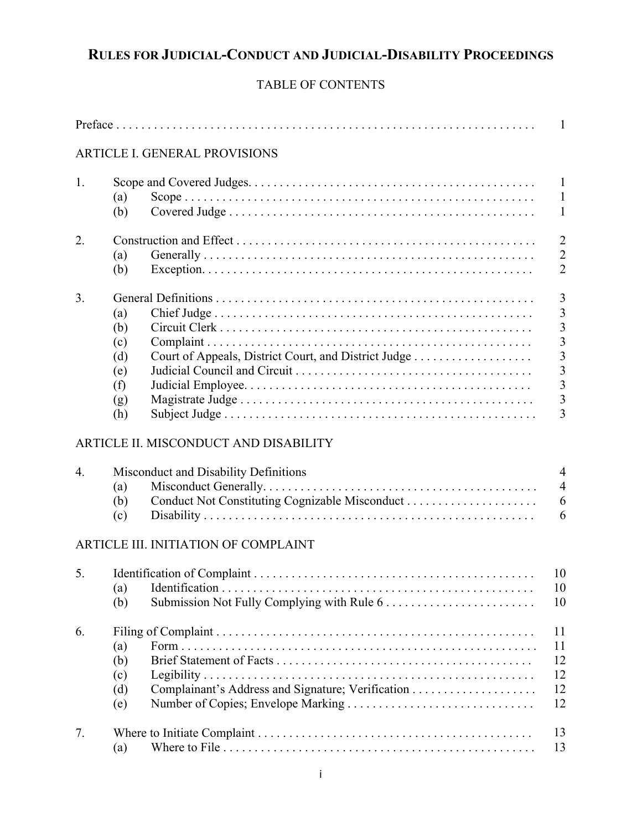# **RULES FOR JUDICIAL-CONDUCT AND JUDICIAL-DISABILITY PROCEEDINGS**

### TABLE OF CONTENTS

|    |     | <b>ARTICLE I. GENERAL PROVISIONS</b>  |                |  |
|----|-----|---------------------------------------|----------------|--|
| 1. |     |                                       |                |  |
|    | (a) |                                       | $\mathbf{1}$   |  |
|    | (b) |                                       | $\mathbf{1}$   |  |
| 2. |     |                                       |                |  |
|    | (a) |                                       | $\overline{2}$ |  |
|    | (b) |                                       | $\overline{2}$ |  |
| 3. |     |                                       |                |  |
|    | (a) |                                       | $\overline{3}$ |  |
|    | (b) |                                       | $\overline{3}$ |  |
|    | (c) |                                       | $\overline{3}$ |  |
|    | (d) |                                       | $\overline{3}$ |  |
|    | (e) |                                       | $\overline{3}$ |  |
|    | (f) |                                       | $\overline{3}$ |  |
|    | (g) |                                       | $\overline{3}$ |  |
|    | (h) |                                       | $\overline{3}$ |  |
|    |     | ARTICLE II. MISCONDUCT AND DISABILITY |                |  |
| 4. |     | Misconduct and Disability Definitions |                |  |
|    | (a) |                                       | $\overline{4}$ |  |
|    | (b) |                                       | 6              |  |
|    | (c) |                                       | 6              |  |
|    |     | ARTICLE III. INITIATION OF COMPLAINT  |                |  |
| 5. | 10  |                                       |                |  |
|    | (a) |                                       | 10             |  |
|    | (b) |                                       | 10             |  |
| 6. |     |                                       |                |  |
|    | (a) |                                       | 11<br>11       |  |
|    | (b) |                                       | 12             |  |
|    | (c) |                                       | 12             |  |
|    | (d) |                                       | 12             |  |
|    | (e) |                                       | 12             |  |
| 7. |     |                                       | 13             |  |
|    | (a) |                                       | 13             |  |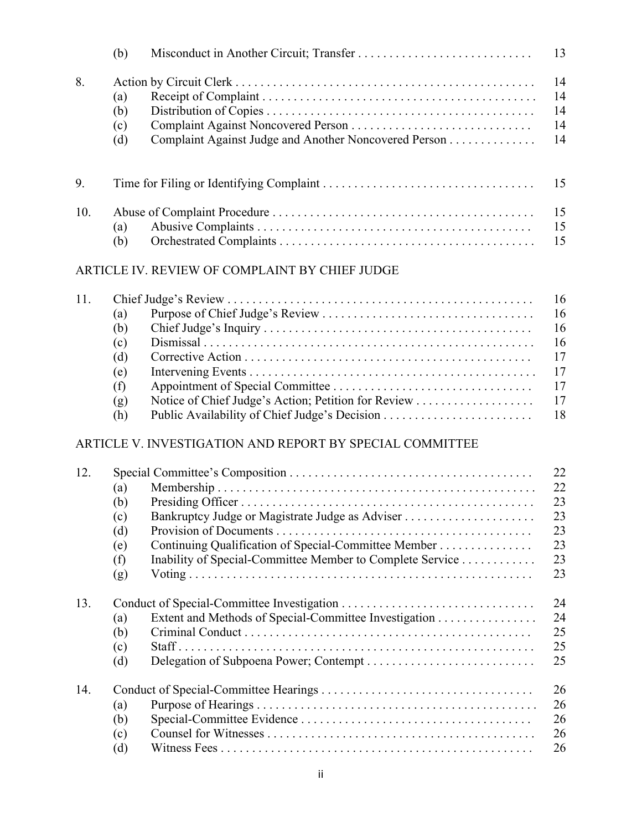|     | (b)        |                                                           | 13       |  |
|-----|------------|-----------------------------------------------------------|----------|--|
| 8.  | (a)        |                                                           | 14<br>14 |  |
|     | (b)        |                                                           | 14       |  |
|     | (c)        |                                                           | 14       |  |
|     | (d)        | Complaint Against Judge and Another Noncovered Person     | 14       |  |
|     |            |                                                           |          |  |
| 9.  |            |                                                           | 15       |  |
| 10. |            |                                                           | 15       |  |
|     | (a)        |                                                           | 15       |  |
|     | (b)        |                                                           | 15       |  |
|     |            | ARTICLE IV. REVIEW OF COMPLAINT BY CHIEF JUDGE            |          |  |
| 11. |            |                                                           | 16       |  |
|     | (a)        |                                                           | 16       |  |
|     | (b)        |                                                           | 16       |  |
|     | (c)        |                                                           | 16       |  |
|     | (d)        |                                                           | 17       |  |
|     |            |                                                           | 17       |  |
|     | (e)<br>(f) |                                                           | 17       |  |
|     | (g)        | Notice of Chief Judge's Action; Petition for Review       | 17       |  |
|     | (h)        |                                                           | 18       |  |
|     |            | ARTICLE V. INVESTIGATION AND REPORT BY SPECIAL COMMITTEE  |          |  |
|     |            |                                                           |          |  |
| 12. |            |                                                           | 22       |  |
|     | (a)        |                                                           | 22       |  |
|     | (b)        |                                                           | 23       |  |
|     | (c)        | Bankruptcy Judge or Magistrate Judge as Adviser           | 23       |  |
|     | (d)        |                                                           | 23       |  |
|     | (e)        | Continuing Qualification of Special-Committee Member      | 23       |  |
|     | (f)        | Inability of Special-Committee Member to Complete Service | 23       |  |
|     | (g)        |                                                           | 23       |  |
| 13. | 24         |                                                           |          |  |
|     | (a)        | Extent and Methods of Special-Committee Investigation     | 24       |  |
|     | (b)        |                                                           | 25       |  |
|     | (c)        |                                                           | 25       |  |
|     | (d)        |                                                           | 25       |  |
| 14. | 26         |                                                           |          |  |
|     | (a)        |                                                           | 26       |  |
|     | (b)        |                                                           | 26       |  |
|     | (c)        |                                                           | 26       |  |
|     | (d)        |                                                           | 26       |  |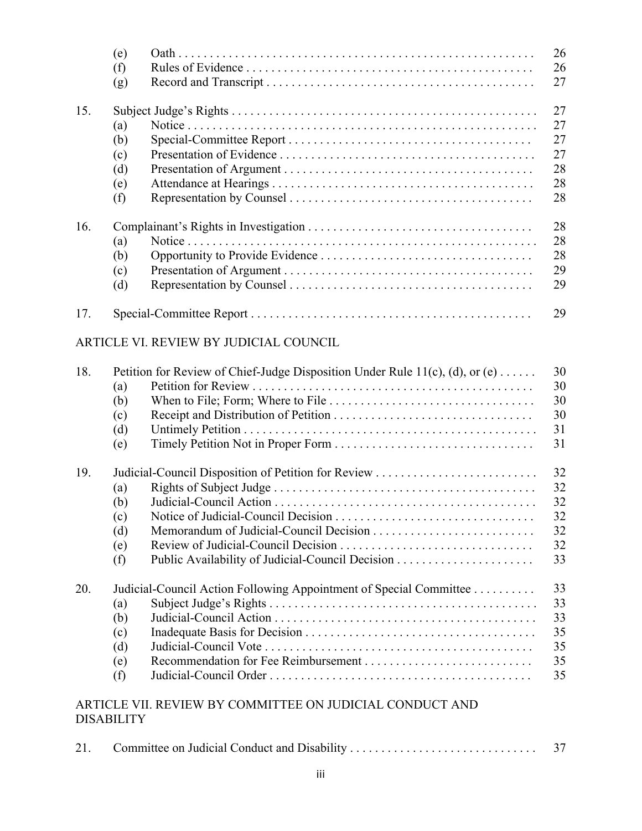|     | (e)                                                                          |                                                          | 26       |  |
|-----|------------------------------------------------------------------------------|----------------------------------------------------------|----------|--|
|     | (f)                                                                          |                                                          | 26       |  |
|     | (g)                                                                          |                                                          | 27       |  |
| 15. |                                                                              |                                                          |          |  |
|     | (a)                                                                          |                                                          | 27       |  |
|     | (b)                                                                          |                                                          | 27       |  |
|     | (c)                                                                          |                                                          | 27       |  |
|     | (d)                                                                          |                                                          | 28       |  |
|     | (e)                                                                          |                                                          | 28       |  |
|     | (f)                                                                          |                                                          | 28       |  |
| 16. | 28                                                                           |                                                          |          |  |
|     | (a)                                                                          |                                                          | 28       |  |
|     | (b)                                                                          |                                                          | 28       |  |
|     | (c)                                                                          |                                                          | 29       |  |
|     | (d)                                                                          |                                                          | 29       |  |
|     |                                                                              |                                                          |          |  |
| 17. |                                                                              |                                                          | 29       |  |
|     |                                                                              | ARTICLE VI. REVIEW BY JUDICIAL COUNCIL                   |          |  |
| 18. | Petition for Review of Chief-Judge Disposition Under Rule 11(c), (d), or (e) |                                                          |          |  |
|     | (a)                                                                          |                                                          | 30       |  |
|     | (b)                                                                          |                                                          | 30       |  |
|     | (c)                                                                          |                                                          | 30       |  |
|     | (d)                                                                          |                                                          | 31       |  |
|     | (e)                                                                          |                                                          | 31       |  |
| 19. |                                                                              |                                                          |          |  |
|     | (a)                                                                          |                                                          | 32<br>32 |  |
|     | (b)                                                                          |                                                          | 32       |  |
|     |                                                                              |                                                          | 32       |  |
|     | (c)<br>(d)                                                                   |                                                          | 32       |  |
|     |                                                                              |                                                          | 32       |  |
|     | (e)<br>(f)                                                                   |                                                          | 33       |  |
|     |                                                                              |                                                          |          |  |
| 20. | Judicial-Council Action Following Appointment of Special Committee           |                                                          |          |  |
|     | (a)                                                                          |                                                          | 33       |  |
|     | (b)                                                                          |                                                          | 33       |  |
|     | (c)                                                                          |                                                          | 35       |  |
|     | (d)                                                                          |                                                          | 35       |  |
|     | (e)                                                                          |                                                          | 35       |  |
|     | (f)                                                                          |                                                          | 35       |  |
|     | <b>DISABILITY</b>                                                            | ARTICLE VII. REVIEW BY COMMITTEE ON JUDICIAL CONDUCT AND |          |  |

| 21. | Committee on Judicial Conduct and Disability |  |
|-----|----------------------------------------------|--|
|-----|----------------------------------------------|--|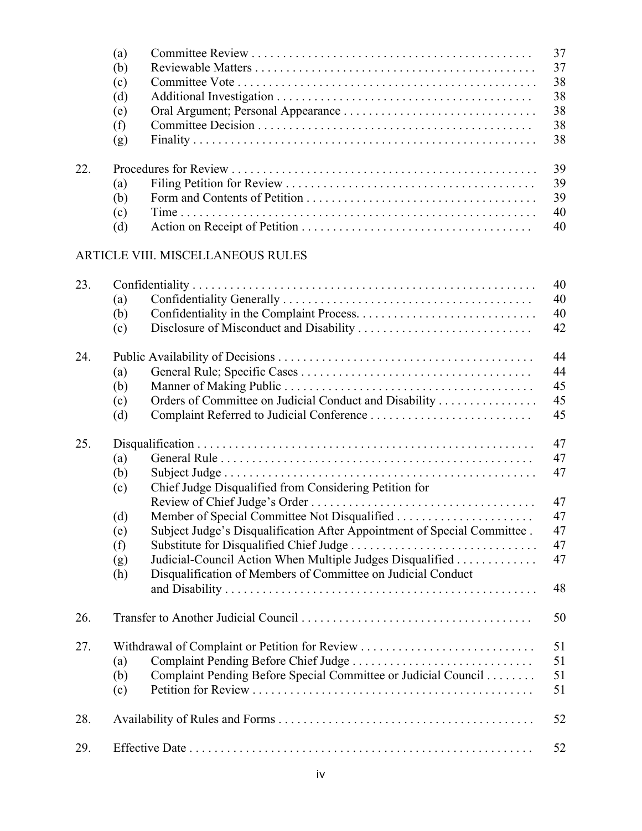|     | (a) |                                                        | 37 |
|-----|-----|--------------------------------------------------------|----|
|     | (b) |                                                        | 37 |
|     | (c) |                                                        | 38 |
|     | (d) |                                                        | 38 |
|     | (e) |                                                        | 38 |
|     | (f) |                                                        | 38 |
|     | (g) |                                                        | 38 |
| 22. |     |                                                        |    |
|     | (a) |                                                        | 39 |
|     | (b) |                                                        | 39 |
|     | (c) |                                                        | 40 |
|     | (d) |                                                        | 40 |
|     |     | <b>ARTICLE VIII. MISCELLANEOUS RULES</b>               |    |
| 23. |     |                                                        | 40 |
|     | (a) |                                                        | 40 |
|     | (b) |                                                        | 40 |
|     | (c) |                                                        | 42 |
| 24. |     |                                                        |    |
|     | (a) |                                                        | 44 |
|     | (b) |                                                        | 45 |
|     | (c) | Orders of Committee on Judicial Conduct and Disability | 45 |

(c) Orders of Committee on Judicial Conduct and Disability . . . . . . . . . . . . . . . . .

|     | (d)                                            |                                                                          | 45 |
|-----|------------------------------------------------|--------------------------------------------------------------------------|----|
| 25. |                                                |                                                                          | 47 |
|     | (a)                                            |                                                                          | 47 |
|     | (b)                                            |                                                                          | 47 |
|     | (c)                                            | Chief Judge Disqualified from Considering Petition for                   |    |
|     |                                                |                                                                          | 47 |
|     | (d)                                            |                                                                          | 47 |
|     | (e)                                            | Subject Judge's Disqualification After Appointment of Special Committee. | 47 |
|     | (f)                                            | Substitute for Disqualified Chief Judge                                  | 47 |
|     | (g)                                            | Judicial-Council Action When Multiple Judges Disqualified                | 47 |
|     | (h)                                            | Disqualification of Members of Committee on Judicial Conduct             |    |
|     |                                                |                                                                          | 48 |
| 26. |                                                |                                                                          | 50 |
| 27. | Withdrawal of Complaint or Petition for Review |                                                                          | 51 |
|     | (a)                                            |                                                                          | 51 |
|     | (b)                                            | Complaint Pending Before Special Committee or Judicial Council           | 51 |
|     | (c)                                            |                                                                          | 51 |
| 28. |                                                |                                                                          |    |
| 29. |                                                |                                                                          | 52 |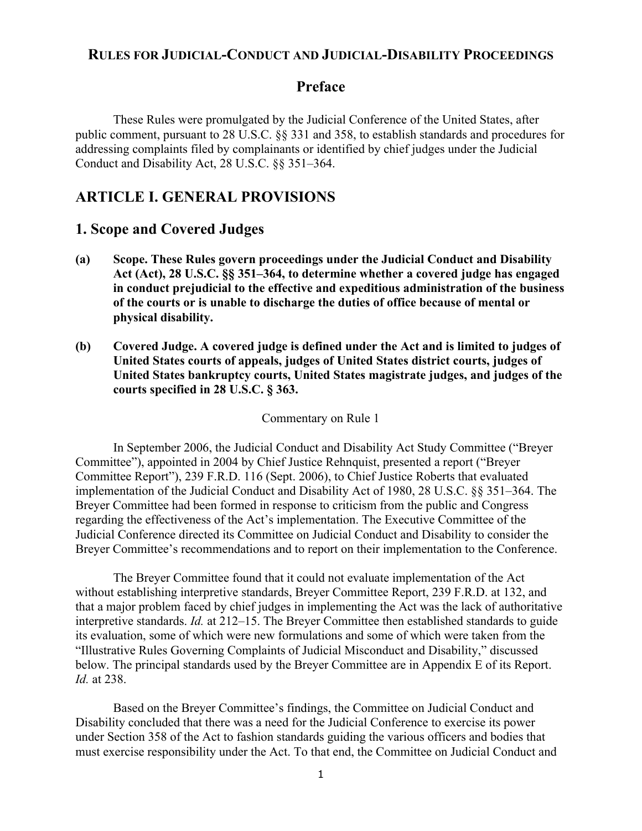#### **RULES FOR JUDICIAL-CONDUCT AND JUDICIAL-DISABILITY PROCEEDINGS**

#### **Preface**

These Rules were promulgated by the Judicial Conference of the United States, after public comment, pursuant to 28 U.S.C. §§ 331 and 358, to establish standards and procedures for addressing complaints filed by complainants or identified by chief judges under the Judicial Conduct and Disability Act, 28 U.S.C. §§ 351–364.

#### **ARTICLE I. GENERAL PROVISIONS**

### **1. Scope and Covered Judges**

- **(a) Scope. These Rules govern proceedings under the Judicial Conduct and Disability Act (Act), 28 U.S.C. §§ 351–364, to determine whether a covered judge has engaged in conduct prejudicial to the effective and expeditious administration of the business of the courts or is unable to discharge the duties of office because of mental or physical disability.**
- **(b) Covered Judge. A covered judge is defined under the Act and is limited to judges of United States courts of appeals, judges of United States district courts, judges of United States bankruptcy courts, United States magistrate judges, and judges of the courts specified in 28 U.S.C. § 363.**

Commentary on Rule 1

In September 2006, the Judicial Conduct and Disability Act Study Committee ("Breyer Committee"), appointed in 2004 by Chief Justice Rehnquist, presented a report ("Breyer Committee Report"), 239 F.R.D. 116 (Sept. 2006), to Chief Justice Roberts that evaluated implementation of the Judicial Conduct and Disability Act of 1980, 28 U.S.C. §§ 351–364. The Breyer Committee had been formed in response to criticism from the public and Congress regarding the effectiveness of the Act's implementation. The Executive Committee of the Judicial Conference directed its Committee on Judicial Conduct and Disability to consider the Breyer Committee's recommendations and to report on their implementation to the Conference.

The Breyer Committee found that it could not evaluate implementation of the Act without establishing interpretive standards, Breyer Committee Report, 239 F.R.D. at 132, and that a major problem faced by chief judges in implementing the Act was the lack of authoritative interpretive standards. *Id.* at 212–15. The Breyer Committee then established standards to guide its evaluation, some of which were new formulations and some of which were taken from the "Illustrative Rules Governing Complaints of Judicial Misconduct and Disability," discussed below. The principal standards used by the Breyer Committee are in Appendix E of its Report. *Id.* at 238.

Based on the Breyer Committee's findings, the Committee on Judicial Conduct and Disability concluded that there was a need for the Judicial Conference to exercise its power under Section 358 of the Act to fashion standards guiding the various officers and bodies that must exercise responsibility under the Act. To that end, the Committee on Judicial Conduct and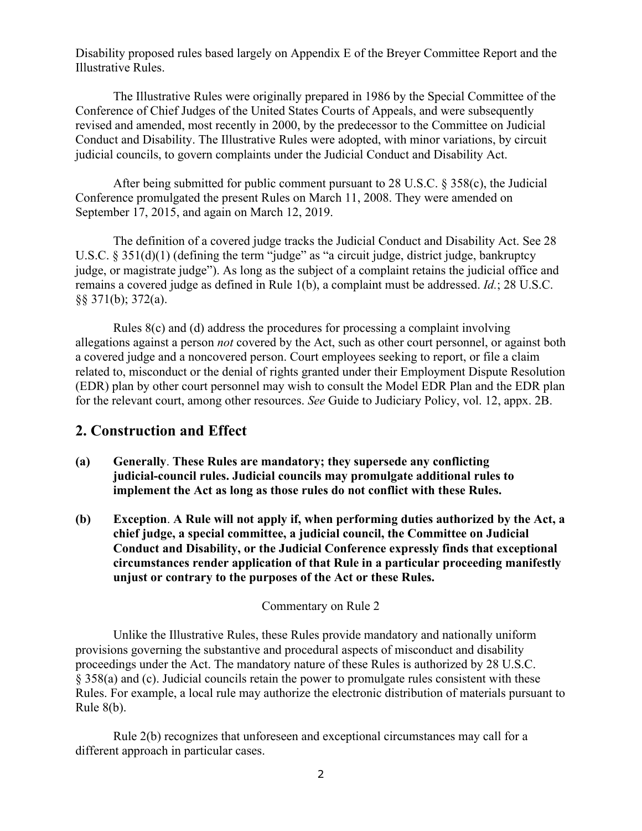Disability proposed rules based largely on Appendix E of the Breyer Committee Report and the Illustrative Rules.

The Illustrative Rules were originally prepared in 1986 by the Special Committee of the Conference of Chief Judges of the United States Courts of Appeals, and were subsequently revised and amended, most recently in 2000, by the predecessor to the Committee on Judicial Conduct and Disability. The Illustrative Rules were adopted, with minor variations, by circuit judicial councils, to govern complaints under the Judicial Conduct and Disability Act.

After being submitted for public comment pursuant to 28 U.S.C. § 358(c), the Judicial Conference promulgated the present Rules on March 11, 2008. They were amended on September 17, 2015, and again on March 12, 2019.

The definition of a covered judge tracks the Judicial Conduct and Disability Act. See 28 U.S.C. § 351(d)(1) (defining the term "judge" as "a circuit judge, district judge, bankruptcy judge, or magistrate judge"). As long as the subject of a complaint retains the judicial office and remains a covered judge as defined in Rule 1(b), a complaint must be addressed. *Id.*; 28 U.S.C. §§ 371(b); 372(a).

Rules 8(c) and (d) address the procedures for processing a complaint involving allegations against a person *not* covered by the Act, such as other court personnel, or against both a covered judge and a noncovered person. Court employees seeking to report, or file a claim related to, misconduct or the denial of rights granted under their Employment Dispute Resolution (EDR) plan by other court personnel may wish to consult the Model EDR Plan and the EDR plan for the relevant court, among other resources. *See* Guide to Judiciary Policy, vol. 12, appx. 2B.

# **2. Construction and Effect**

- **(a) Generally**. **These Rules are mandatory; they supersede any conflicting judicial-council rules. Judicial councils may promulgate additional rules to implement the Act as long as those rules do not conflict with these Rules.**
- **(b) Exception**. **A Rule will not apply if, when performing duties authorized by the Act, a chief judge, a special committee, a judicial council, the Committee on Judicial Conduct and Disability, or the Judicial Conference expressly finds that exceptional circumstances render application of that Rule in a particular proceeding manifestly unjust or contrary to the purposes of the Act or these Rules.**

Commentary on Rule 2

Unlike the Illustrative Rules, these Rules provide mandatory and nationally uniform provisions governing the substantive and procedural aspects of misconduct and disability proceedings under the Act. The mandatory nature of these Rules is authorized by 28 U.S.C. § 358(a) and (c). Judicial councils retain the power to promulgate rules consistent with these Rules. For example, a local rule may authorize the electronic distribution of materials pursuant to Rule 8(b).

Rule 2(b) recognizes that unforeseen and exceptional circumstances may call for a different approach in particular cases.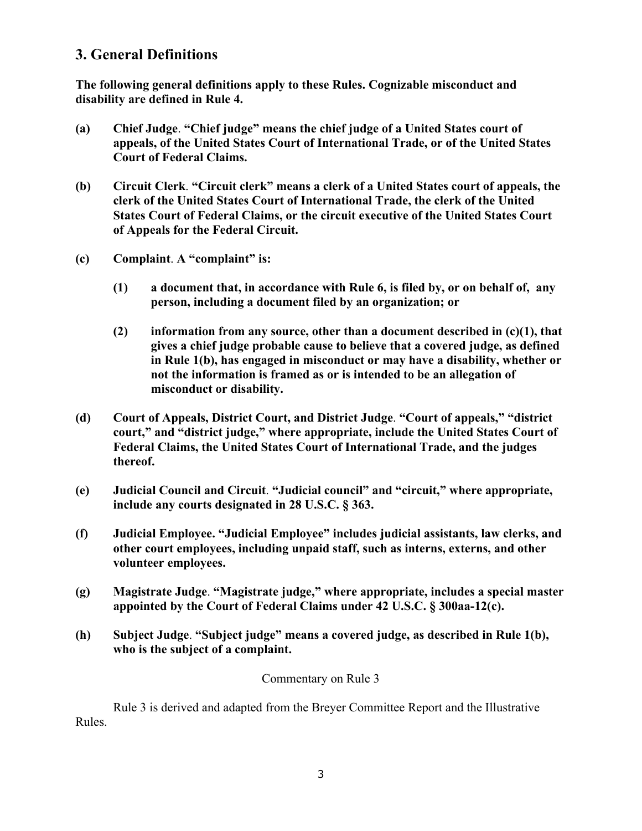# **3. General Definitions**

**The following general definitions apply to these Rules. Cognizable misconduct and disability are defined in Rule 4.**

- **(a) Chief Judge**. **"Chief judge" means the chief judge of a United States court of appeals, of the United States Court of International Trade, or of the United States Court of Federal Claims.**
- **(b) Circuit Clerk**. **"Circuit clerk" means a clerk of a United States court of appeals, the clerk of the United States Court of International Trade, the clerk of the United States Court of Federal Claims, or the circuit executive of the United States Court of Appeals for the Federal Circuit.**
- **(c) Complaint**. **A "complaint" is:**
	- **(1) a document that, in accordance with Rule 6, is filed by, or on behalf of, any person, including a document filed by an organization; or**
	- **(2) information from any source, other than a document described in (c)(1), that gives a chief judge probable cause to believe that a covered judge, as defined in Rule 1(b), has engaged in misconduct or may have a disability, whether or not the information is framed as or is intended to be an allegation of misconduct or disability.**
- **(d) Court of Appeals, District Court, and District Judge**. **"Court of appeals," "district court," and "district judge," where appropriate, include the United States Court of Federal Claims, the United States Court of International Trade, and the judges thereof.**
- **(e) Judicial Council and Circuit**. **"Judicial council" and "circuit," where appropriate, include any courts designated in 28 U.S.C. § 363.**
- **(f) Judicial Employee. "Judicial Employee" includes judicial assistants, law clerks, and other court employees, including unpaid staff, such as interns, externs, and other volunteer employees.**
- **(g) Magistrate Judge**. **"Magistrate judge," where appropriate, includes a special master appointed by the Court of Federal Claims under 42 U.S.C. § 300aa-12(c).**
- **(h) Subject Judge**. **"Subject judge" means a covered judge, as described in Rule 1(b), who is the subject of a complaint.**

#### Commentary on Rule 3

Rule 3 is derived and adapted from the Breyer Committee Report and the Illustrative Rules.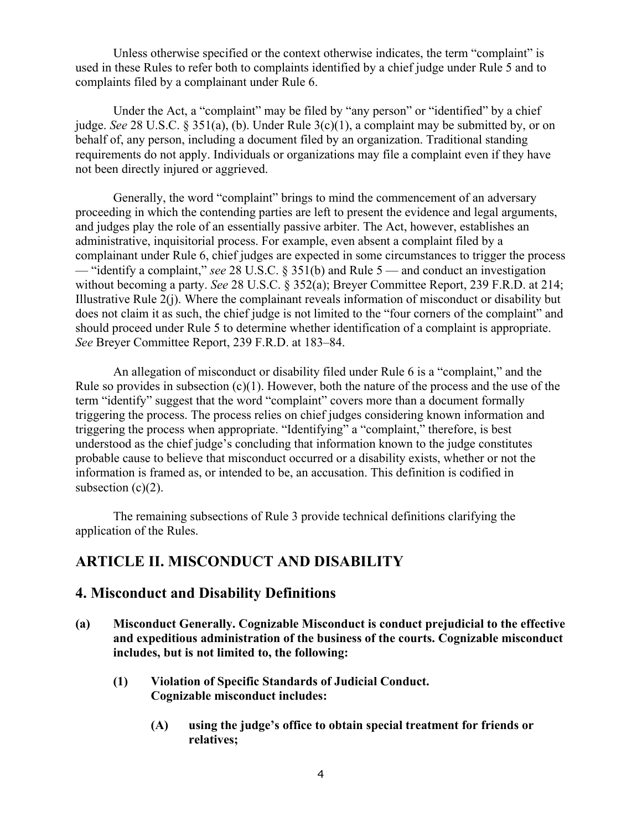Unless otherwise specified or the context otherwise indicates, the term "complaint" is used in these Rules to refer both to complaints identified by a chief judge under Rule 5 and to complaints filed by a complainant under Rule 6.

Under the Act, a "complaint" may be filed by "any person" or "identified" by a chief judge. *See* 28 U.S.C. § 351(a), (b). Under Rule 3(c)(1), a complaint may be submitted by, or on behalf of, any person, including a document filed by an organization. Traditional standing requirements do not apply. Individuals or organizations may file a complaint even if they have not been directly injured or aggrieved.

Generally, the word "complaint" brings to mind the commencement of an adversary proceeding in which the contending parties are left to present the evidence and legal arguments, and judges play the role of an essentially passive arbiter. The Act, however, establishes an administrative, inquisitorial process. For example, even absent a complaint filed by a complainant under Rule 6, chief judges are expected in some circumstances to trigger the process — "identify a complaint," *see* 28 U.S.C. § 351(b) and Rule 5 — and conduct an investigation without becoming a party. *See* 28 U.S.C. § 352(a); Breyer Committee Report, 239 F.R.D. at 214; Illustrative Rule 2(j). Where the complainant reveals information of misconduct or disability but does not claim it as such, the chief judge is not limited to the "four corners of the complaint" and should proceed under Rule 5 to determine whether identification of a complaint is appropriate. *See* Breyer Committee Report, 239 F.R.D. at 183–84.

An allegation of misconduct or disability filed under Rule 6 is a "complaint," and the Rule so provides in subsection  $(c)(1)$ . However, both the nature of the process and the use of the term "identify" suggest that the word "complaint" covers more than a document formally triggering the process. The process relies on chief judges considering known information and triggering the process when appropriate. "Identifying" a "complaint," therefore, is best understood as the chief judge's concluding that information known to the judge constitutes probable cause to believe that misconduct occurred or a disability exists, whether or not the information is framed as, or intended to be, an accusation. This definition is codified in subsection  $(c)(2)$ .

The remaining subsections of Rule 3 provide technical definitions clarifying the application of the Rules.

### **ARTICLE II. MISCONDUCT AND DISABILITY**

### **4. Misconduct and Disability Definitions**

- **(a) Misconduct Generally. Cognizable Misconduct is conduct prejudicial to the effective and expeditious administration of the business of the courts. Cognizable misconduct includes, but is not limited to, the following:**
	- **(1) Violation of Specific Standards of Judicial Conduct. Cognizable misconduct includes:**
		- **(A) using the judge's office to obtain special treatment for friends or relatives;**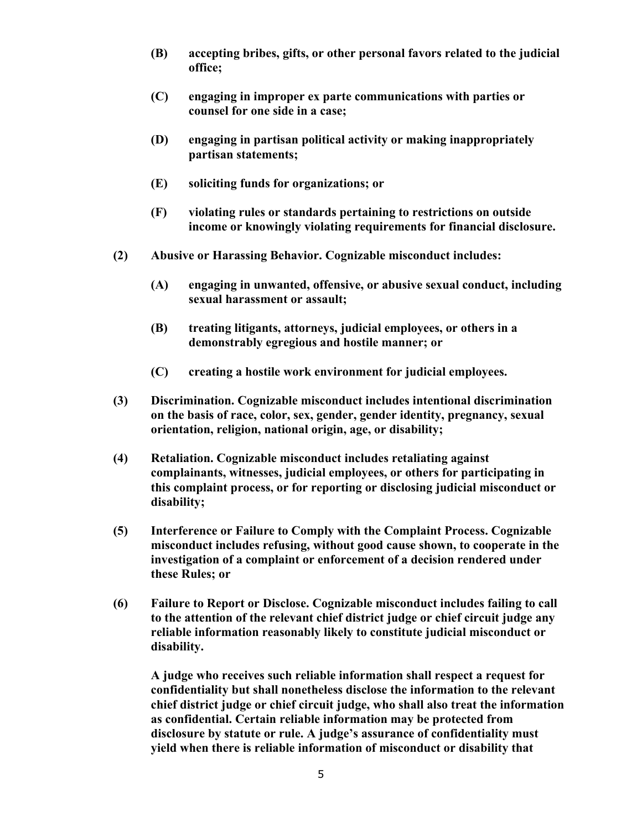- **(B) accepting bribes, gifts, or other personal favors related to the judicial office;**
- **(C) engaging in improper ex parte communications with parties or counsel for one side in a case;**
- **(D) engaging in partisan political activity or making inappropriately partisan statements;**
- **(E) soliciting funds for organizations; or**
- **(F) violating rules or standards pertaining to restrictions on outside income or knowingly violating requirements for financial disclosure.**
- **(2) Abusive or Harassing Behavior. Cognizable misconduct includes:**
	- **(A) engaging in unwanted, offensive, or abusive sexual conduct, including sexual harassment or assault;**
	- **(B) treating litigants, attorneys, judicial employees, or others in a demonstrably egregious and hostile manner; or**
	- **(C) creating a hostile work environment for judicial employees.**
- **(3) Discrimination. Cognizable misconduct includes intentional discrimination on the basis of race, color, sex, gender, gender identity, pregnancy, sexual orientation, religion, national origin, age, or disability;**
- **(4) Retaliation. Cognizable misconduct includes retaliating against complainants, witnesses, judicial employees, or others for participating in this complaint process, or for reporting or disclosing judicial misconduct or disability;**
- **(5) Interference or Failure to Comply with the Complaint Process. Cognizable misconduct includes refusing, without good cause shown, to cooperate in the investigation of a complaint or enforcement of a decision rendered under these Rules; or**
- **(6) Failure to Report or Disclose. Cognizable misconduct includes failing to call to the attention of the relevant chief district judge or chief circuit judge any reliable information reasonably likely to constitute judicial misconduct or disability.**

**A judge who receives such reliable information shall respect a request for confidentiality but shall nonetheless disclose the information to the relevant chief district judge or chief circuit judge, who shall also treat the information as confidential. Certain reliable information may be protected from disclosure by statute or rule. A judge's assurance of confidentiality must yield when there is reliable information of misconduct or disability that**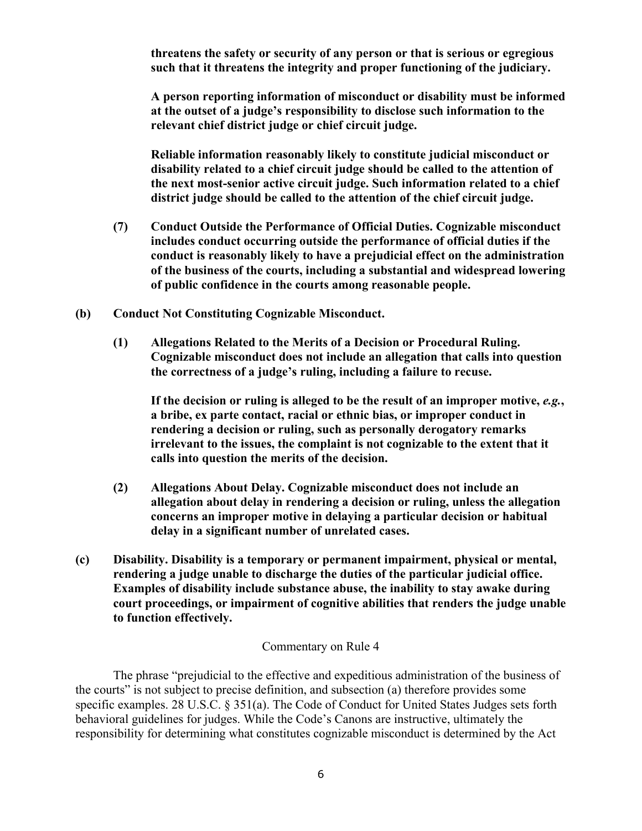**threatens the safety or security of any person or that is serious or egregious such that it threatens the integrity and proper functioning of the judiciary.**

**A person reporting information of misconduct or disability must be informed at the outset of a judge's responsibility to disclose such information to the relevant chief district judge or chief circuit judge.**

**Reliable information reasonably likely to constitute judicial misconduct or disability related to a chief circuit judge should be called to the attention of the next most-senior active circuit judge. Such information related to a chief district judge should be called to the attention of the chief circuit judge.**

- **(7) Conduct Outside the Performance of Official Duties. Cognizable misconduct includes conduct occurring outside the performance of official duties if the conduct is reasonably likely to have a prejudicial effect on the administration of the business of the courts, including a substantial and widespread lowering of public confidence in the courts among reasonable people.**
- **(b) Conduct Not Constituting Cognizable Misconduct.**
	- **(1) Allegations Related to the Merits of a Decision or Procedural Ruling. Cognizable misconduct does not include an allegation that calls into question the correctness of a judge's ruling, including a failure to recuse.**

If the decision or ruling is alleged to be the result of an improper motive, *e.g.*, **a bribe, ex parte contact, racial or ethnic bias, or improper conduct in rendering a decision or ruling, such as personally derogatory remarks irrelevant to the issues, the complaint is not cognizable to the extent that it calls into question the merits of the decision.**

- **(2) Allegations About Delay. Cognizable misconduct does not include an allegation about delay in rendering a decision or ruling, unless the allegation concerns an improper motive in delaying a particular decision or habitual delay in a significant number of unrelated cases.**
- **(c) Disability. Disability is a temporary or permanent impairment, physical or mental, rendering a judge unable to discharge the duties of the particular judicial office. Examples of disability include substance abuse, the inability to stay awake during court proceedings, or impairment of cognitive abilities that renders the judge unable to function effectively.**

#### Commentary on Rule 4

The phrase "prejudicial to the effective and expeditious administration of the business of the courts" is not subject to precise definition, and subsection (a) therefore provides some specific examples. 28 U.S.C. § 351(a). The Code of Conduct for United States Judges sets forth behavioral guidelines for judges. While the Code's Canons are instructive, ultimately the responsibility for determining what constitutes cognizable misconduct is determined by the Act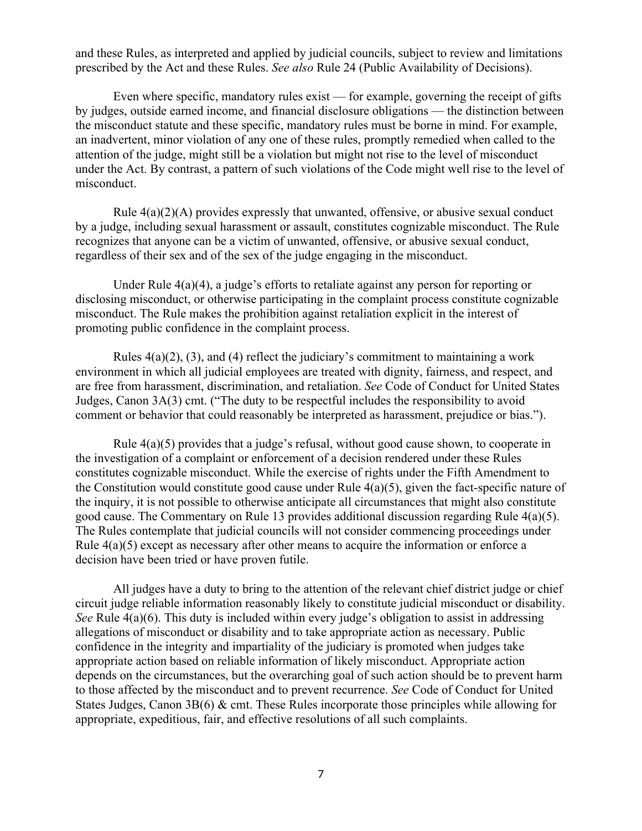and these Rules, as interpreted and applied by judicial councils, subject to review and limitations prescribed by the Act and these Rules. *See also* Rule 24 (Public Availability of Decisions).

Even where specific, mandatory rules exist — for example, governing the receipt of gifts by judges, outside earned income, and financial disclosure obligations — the distinction between the misconduct statute and these specific, mandatory rules must be borne in mind. For example, an inadvertent, minor violation of any one of these rules, promptly remedied when called to the attention of the judge, might still be a violation but might not rise to the level of misconduct under the Act. By contrast, a pattern of such violations of the Code might well rise to the level of misconduct.

Rule  $4(a)(2)(A)$  provides expressly that unwanted, offensive, or abusive sexual conduct by a judge, including sexual harassment or assault, constitutes cognizable misconduct. The Rule recognizes that anyone can be a victim of unwanted, offensive, or abusive sexual conduct, regardless of their sex and of the sex of the judge engaging in the misconduct.

Under Rule  $4(a)(4)$ , a judge's efforts to retaliate against any person for reporting or disclosing misconduct, or otherwise participating in the complaint process constitute cognizable misconduct. The Rule makes the prohibition against retaliation explicit in the interest of promoting public confidence in the complaint process.

Rules  $4(a)(2)$ ,  $(3)$ , and  $(4)$  reflect the judiciary's commitment to maintaining a work environment in which all judicial employees are treated with dignity, fairness, and respect, and are free from harassment, discrimination, and retaliation. *See* Code of Conduct for United States Judges, Canon 3A(3) cmt. ("The duty to be respectful includes the responsibility to avoid comment or behavior that could reasonably be interpreted as harassment, prejudice or bias.").

Rule 4(a)(5) provides that a judge's refusal, without good cause shown, to cooperate in the investigation of a complaint or enforcement of a decision rendered under these Rules constitutes cognizable misconduct. While the exercise of rights under the Fifth Amendment to the Constitution would constitute good cause under Rule 4(a)(5), given the fact-specific nature of the inquiry, it is not possible to otherwise anticipate all circumstances that might also constitute good cause. The Commentary on Rule 13 provides additional discussion regarding Rule 4(a)(5). The Rules contemplate that judicial councils will not consider commencing proceedings under Rule 4(a)(5) except as necessary after other means to acquire the information or enforce a decision have been tried or have proven futile.

All judges have a duty to bring to the attention of the relevant chief district judge or chief circuit judge reliable information reasonably likely to constitute judicial misconduct or disability. *See* Rule 4(a)(6). This duty is included within every judge's obligation to assist in addressing allegations of misconduct or disability and to take appropriate action as necessary. Public confidence in the integrity and impartiality of the judiciary is promoted when judges take appropriate action based on reliable information of likely misconduct. Appropriate action depends on the circumstances, but the overarching goal of such action should be to prevent harm to those affected by the misconduct and to prevent recurrence. *See* Code of Conduct for United States Judges, Canon 3B(6) & cmt. These Rules incorporate those principles while allowing for appropriate, expeditious, fair, and effective resolutions of all such complaints.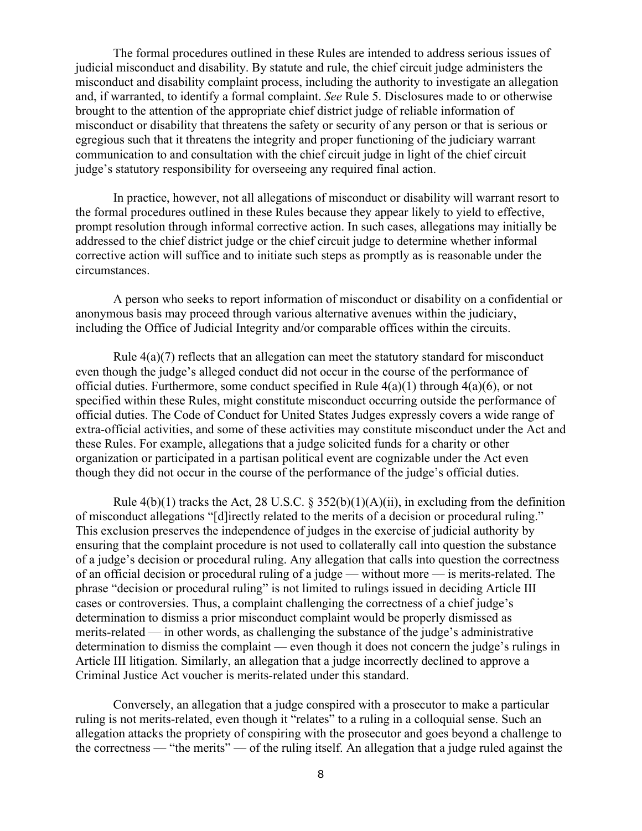The formal procedures outlined in these Rules are intended to address serious issues of judicial misconduct and disability. By statute and rule, the chief circuit judge administers the misconduct and disability complaint process, including the authority to investigate an allegation and, if warranted, to identify a formal complaint. *See* Rule 5. Disclosures made to or otherwise brought to the attention of the appropriate chief district judge of reliable information of misconduct or disability that threatens the safety or security of any person or that is serious or egregious such that it threatens the integrity and proper functioning of the judiciary warrant communication to and consultation with the chief circuit judge in light of the chief circuit judge's statutory responsibility for overseeing any required final action.

In practice, however, not all allegations of misconduct or disability will warrant resort to the formal procedures outlined in these Rules because they appear likely to yield to effective, prompt resolution through informal corrective action. In such cases, allegations may initially be addressed to the chief district judge or the chief circuit judge to determine whether informal corrective action will suffice and to initiate such steps as promptly as is reasonable under the circumstances.

A person who seeks to report information of misconduct or disability on a confidential or anonymous basis may proceed through various alternative avenues within the judiciary, including the Office of Judicial Integrity and/or comparable offices within the circuits.

Rule  $4(a)(7)$  reflects that an allegation can meet the statutory standard for misconduct even though the judge's alleged conduct did not occur in the course of the performance of official duties. Furthermore, some conduct specified in Rule  $4(a)(1)$  through  $4(a)(6)$ , or not specified within these Rules, might constitute misconduct occurring outside the performance of official duties. The Code of Conduct for United States Judges expressly covers a wide range of extra-official activities, and some of these activities may constitute misconduct under the Act and these Rules. For example, allegations that a judge solicited funds for a charity or other organization or participated in a partisan political event are cognizable under the Act even though they did not occur in the course of the performance of the judge's official duties.

Rule  $4(b)(1)$  tracks the Act, 28 U.S.C. § 352(b)(1)(A)(ii), in excluding from the definition of misconduct allegations "[d]irectly related to the merits of a decision or procedural ruling." This exclusion preserves the independence of judges in the exercise of judicial authority by ensuring that the complaint procedure is not used to collaterally call into question the substance of a judge's decision or procedural ruling. Any allegation that calls into question the correctness of an official decision or procedural ruling of a judge — without more — is merits-related. The phrase "decision or procedural ruling" is not limited to rulings issued in deciding Article III cases or controversies. Thus, a complaint challenging the correctness of a chief judge's determination to dismiss a prior misconduct complaint would be properly dismissed as merits-related — in other words, as challenging the substance of the judge's administrative determination to dismiss the complaint — even though it does not concern the judge's rulings in Article III litigation. Similarly, an allegation that a judge incorrectly declined to approve a Criminal Justice Act voucher is merits-related under this standard.

Conversely, an allegation that a judge conspired with a prosecutor to make a particular ruling is not merits-related, even though it "relates" to a ruling in a colloquial sense. Such an allegation attacks the propriety of conspiring with the prosecutor and goes beyond a challenge to the correctness — "the merits" — of the ruling itself. An allegation that a judge ruled against the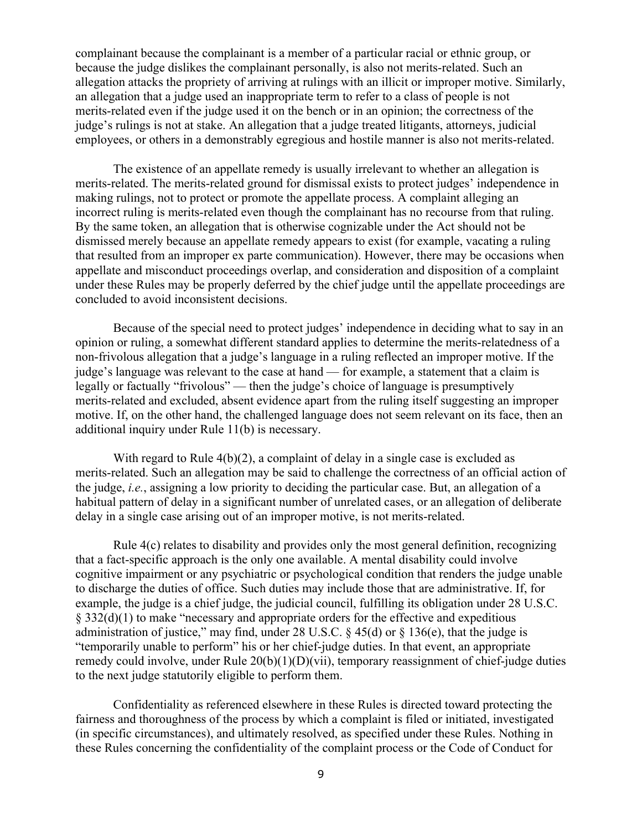complainant because the complainant is a member of a particular racial or ethnic group, or because the judge dislikes the complainant personally, is also not merits-related. Such an allegation attacks the propriety of arriving at rulings with an illicit or improper motive. Similarly, an allegation that a judge used an inappropriate term to refer to a class of people is not merits-related even if the judge used it on the bench or in an opinion; the correctness of the judge's rulings is not at stake. An allegation that a judge treated litigants, attorneys, judicial employees, or others in a demonstrably egregious and hostile manner is also not merits-related.

The existence of an appellate remedy is usually irrelevant to whether an allegation is merits-related. The merits-related ground for dismissal exists to protect judges' independence in making rulings, not to protect or promote the appellate process. A complaint alleging an incorrect ruling is merits-related even though the complainant has no recourse from that ruling. By the same token, an allegation that is otherwise cognizable under the Act should not be dismissed merely because an appellate remedy appears to exist (for example, vacating a ruling that resulted from an improper ex parte communication). However, there may be occasions when appellate and misconduct proceedings overlap, and consideration and disposition of a complaint under these Rules may be properly deferred by the chief judge until the appellate proceedings are concluded to avoid inconsistent decisions.

Because of the special need to protect judges' independence in deciding what to say in an opinion or ruling, a somewhat different standard applies to determine the merits-relatedness of a non-frivolous allegation that a judge's language in a ruling reflected an improper motive. If the judge's language was relevant to the case at hand — for example, a statement that a claim is legally or factually "frivolous" — then the judge's choice of language is presumptively merits-related and excluded, absent evidence apart from the ruling itself suggesting an improper motive. If, on the other hand, the challenged language does not seem relevant on its face, then an additional inquiry under Rule 11(b) is necessary.

With regard to Rule 4(b)(2), a complaint of delay in a single case is excluded as merits-related. Such an allegation may be said to challenge the correctness of an official action of the judge, *i.e.*, assigning a low priority to deciding the particular case. But, an allegation of a habitual pattern of delay in a significant number of unrelated cases, or an allegation of deliberate delay in a single case arising out of an improper motive, is not merits-related.

Rule 4(c) relates to disability and provides only the most general definition, recognizing that a fact-specific approach is the only one available. A mental disability could involve cognitive impairment or any psychiatric or psychological condition that renders the judge unable to discharge the duties of office. Such duties may include those that are administrative. If, for example, the judge is a chief judge, the judicial council, fulfilling its obligation under 28 U.S.C. § 332(d)(1) to make "necessary and appropriate orders for the effective and expeditious administration of justice," may find, under 28 U.S.C.  $\S$  45(d) or  $\S$  136(e), that the judge is "temporarily unable to perform" his or her chief-judge duties. In that event, an appropriate remedy could involve, under Rule 20(b)(1)(D)(vii), temporary reassignment of chief-judge duties to the next judge statutorily eligible to perform them.

Confidentiality as referenced elsewhere in these Rules is directed toward protecting the fairness and thoroughness of the process by which a complaint is filed or initiated, investigated (in specific circumstances), and ultimately resolved, as specified under these Rules. Nothing in these Rules concerning the confidentiality of the complaint process or the Code of Conduct for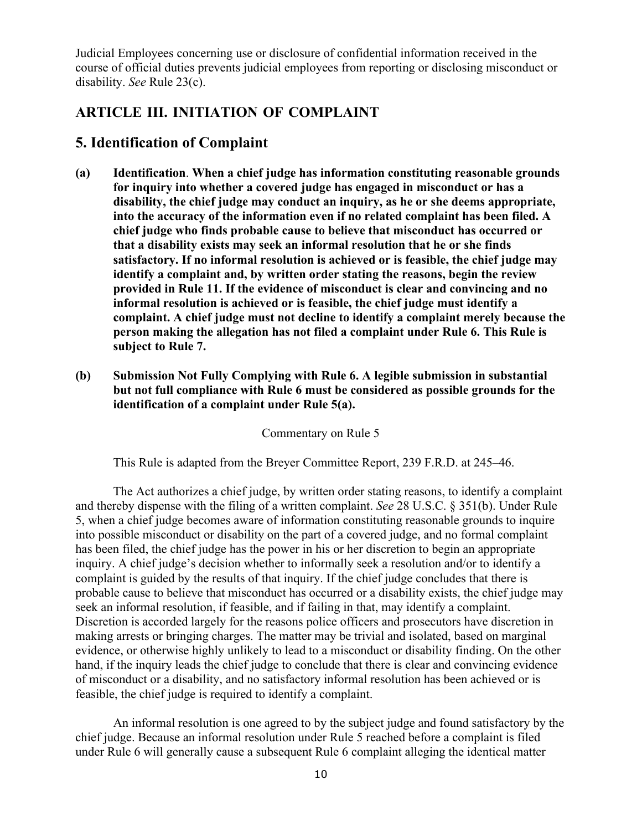Judicial Employees concerning use or disclosure of confidential information received in the course of official duties prevents judicial employees from reporting or disclosing misconduct or disability. *See* Rule 23(c).

# **ARTICLE III. INITIATION OF COMPLAINT**

# **5. Identification of Complaint**

- **(a) Identification**. **When a chief judge has information constituting reasonable grounds for inquiry into whether a covered judge has engaged in misconduct or has a disability, the chief judge may conduct an inquiry, as he or she deems appropriate, into the accuracy of the information even if no related complaint has been filed. A chief judge who finds probable cause to believe that misconduct has occurred or that a disability exists may seek an informal resolution that he or she finds satisfactory. If no informal resolution is achieved or is feasible, the chief judge may identify a complaint and, by written order stating the reasons, begin the review provided in Rule 11. If the evidence of misconduct is clear and convincing and no informal resolution is achieved or is feasible, the chief judge must identify a complaint. A chief judge must not decline to identify a complaint merely because the person making the allegation has not filed a complaint under Rule 6. This Rule is subject to Rule 7.**
- **(b) Submission Not Fully Complying with Rule 6. A legible submission in substantial but not full compliance with Rule 6 must be considered as possible grounds for the identification of a complaint under Rule 5(a).**

Commentary on Rule 5

This Rule is adapted from the Breyer Committee Report, 239 F.R.D. at 245–46.

The Act authorizes a chief judge, by written order stating reasons, to identify a complaint and thereby dispense with the filing of a written complaint. *See* 28 U.S.C. § 351(b). Under Rule 5, when a chief judge becomes aware of information constituting reasonable grounds to inquire into possible misconduct or disability on the part of a covered judge, and no formal complaint has been filed, the chief judge has the power in his or her discretion to begin an appropriate inquiry. A chief judge's decision whether to informally seek a resolution and/or to identify a complaint is guided by the results of that inquiry. If the chief judge concludes that there is probable cause to believe that misconduct has occurred or a disability exists, the chief judge may seek an informal resolution, if feasible, and if failing in that, may identify a complaint. Discretion is accorded largely for the reasons police officers and prosecutors have discretion in making arrests or bringing charges. The matter may be trivial and isolated, based on marginal evidence, or otherwise highly unlikely to lead to a misconduct or disability finding. On the other hand, if the inquiry leads the chief judge to conclude that there is clear and convincing evidence of misconduct or a disability, and no satisfactory informal resolution has been achieved or is feasible, the chief judge is required to identify a complaint.

An informal resolution is one agreed to by the subject judge and found satisfactory by the chief judge. Because an informal resolution under Rule 5 reached before a complaint is filed under Rule 6 will generally cause a subsequent Rule 6 complaint alleging the identical matter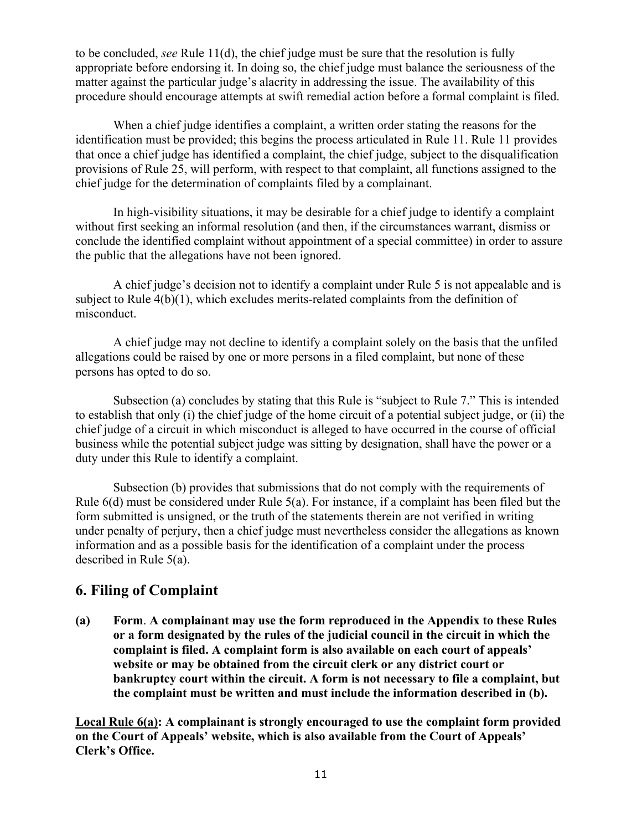to be concluded, *see* Rule 11(d), the chief judge must be sure that the resolution is fully appropriate before endorsing it. In doing so, the chief judge must balance the seriousness of the matter against the particular judge's alacrity in addressing the issue. The availability of this procedure should encourage attempts at swift remedial action before a formal complaint is filed.

When a chief judge identifies a complaint, a written order stating the reasons for the identification must be provided; this begins the process articulated in Rule 11. Rule 11 provides that once a chief judge has identified a complaint, the chief judge, subject to the disqualification provisions of Rule 25, will perform, with respect to that complaint, all functions assigned to the chief judge for the determination of complaints filed by a complainant.

In high-visibility situations, it may be desirable for a chief judge to identify a complaint without first seeking an informal resolution (and then, if the circumstances warrant, dismiss or conclude the identified complaint without appointment of a special committee) in order to assure the public that the allegations have not been ignored.

A chief judge's decision not to identify a complaint under Rule 5 is not appealable and is subject to Rule 4(b)(1), which excludes merits-related complaints from the definition of misconduct.

A chief judge may not decline to identify a complaint solely on the basis that the unfiled allegations could be raised by one or more persons in a filed complaint, but none of these persons has opted to do so.

Subsection (a) concludes by stating that this Rule is "subject to Rule 7." This is intended to establish that only (i) the chief judge of the home circuit of a potential subject judge, or (ii) the chief judge of a circuit in which misconduct is alleged to have occurred in the course of official business while the potential subject judge was sitting by designation, shall have the power or a duty under this Rule to identify a complaint.

Subsection (b) provides that submissions that do not comply with the requirements of Rule 6(d) must be considered under Rule 5(a). For instance, if a complaint has been filed but the form submitted is unsigned, or the truth of the statements therein are not verified in writing under penalty of perjury, then a chief judge must nevertheless consider the allegations as known information and as a possible basis for the identification of a complaint under the process described in Rule 5(a).

# **6. Filing of Complaint**

**(a) Form**. **A complainant may use the form reproduced in the Appendix to these Rules or a form designated by the rules of the judicial council in the circuit in which the complaint is filed. A complaint form is also available on each court of appeals' website or may be obtained from the circuit clerk or any district court or bankruptcy court within the circuit. A form is not necessary to file a complaint, but the complaint must be written and must include the information described in (b).**

**Local Rule 6(a): A complainant is strongly encouraged to use the complaint form provided on the Court of Appeals' website, which is also available from the Court of Appeals' Clerk's Office.**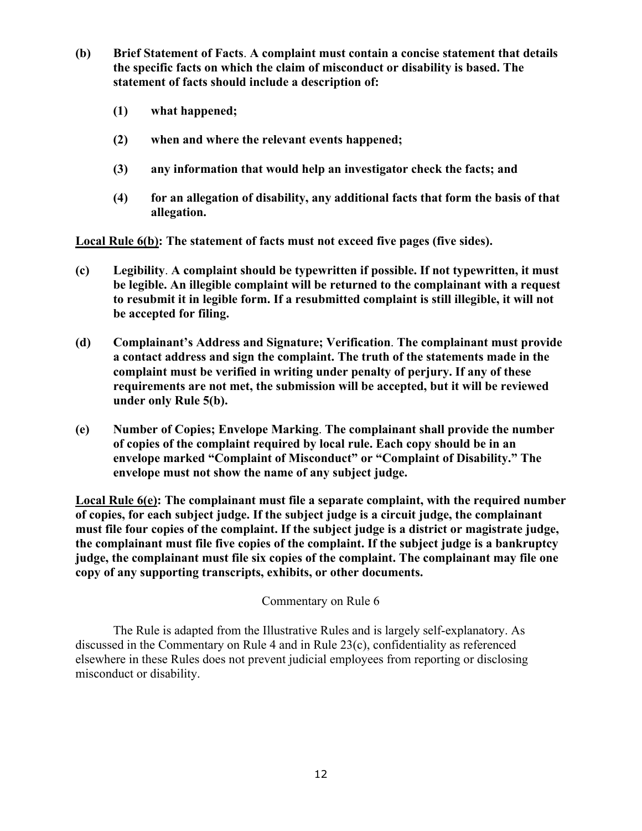- **(b) Brief Statement of Facts**. **A complaint must contain a concise statement that details the specific facts on which the claim of misconduct or disability is based. The statement of facts should include a description of:**
	- **(1) what happened;**
	- **(2) when and where the relevant events happened;**
	- **(3) any information that would help an investigator check the facts; and**
	- **(4) for an allegation of disability, any additional facts that form the basis of that allegation.**

**Local Rule 6(b): The statement of facts must not exceed five pages (five sides).**

- **(c) Legibility**. **A complaint should be typewritten if possible. If not typewritten, it must be legible. An illegible complaint will be returned to the complainant with a request to resubmit it in legible form. If a resubmitted complaint is still illegible, it will not be accepted for filing.**
- **(d) Complainant's Address and Signature; Verification**. **The complainant must provide a contact address and sign the complaint. The truth of the statements made in the complaint must be verified in writing under penalty of perjury. If any of these requirements are not met, the submission will be accepted, but it will be reviewed under only Rule 5(b).**
- **(e) Number of Copies; Envelope Marking**. **The complainant shall provide the number of copies of the complaint required by local rule. Each copy should be in an envelope marked "Complaint of Misconduct" or "Complaint of Disability." The envelope must not show the name of any subject judge.**

**Local Rule 6(e): The complainant must file a separate complaint, with the required number of copies, for each subject judge. If the subject judge is a circuit judge, the complainant must file four copies of the complaint. If the subject judge is a district or magistrate judge, the complainant must file five copies of the complaint. If the subject judge is a bankruptcy judge, the complainant must file six copies of the complaint. The complainant may file one copy of any supporting transcripts, exhibits, or other documents.**

Commentary on Rule 6

The Rule is adapted from the Illustrative Rules and is largely self-explanatory. As discussed in the Commentary on Rule 4 and in Rule 23(c), confidentiality as referenced elsewhere in these Rules does not prevent judicial employees from reporting or disclosing misconduct or disability.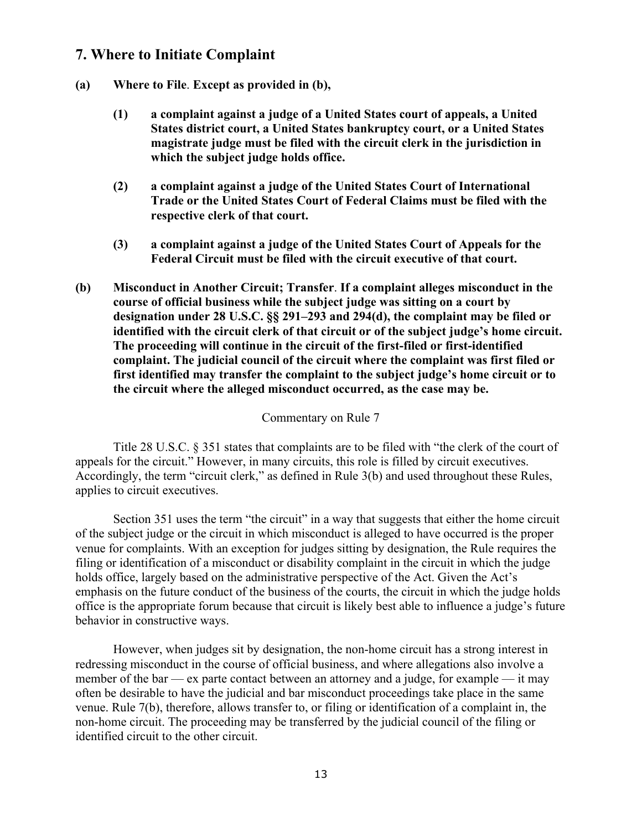# **7. Where to Initiate Complaint**

- **(a) Where to File**. **Except as provided in (b),**
	- **(1) a complaint against a judge of a United States court of appeals, a United States district court, a United States bankruptcy court, or a United States magistrate judge must be filed with the circuit clerk in the jurisdiction in which the subject judge holds office.**
	- **(2) a complaint against a judge of the United States Court of International Trade or the United States Court of Federal Claims must be filed with the respective clerk of that court.**
	- **(3) a complaint against a judge of the United States Court of Appeals for the Federal Circuit must be filed with the circuit executive of that court.**
- **(b) Misconduct in Another Circuit; Transfer**. **If a complaint alleges misconduct in the course of official business while the subject judge was sitting on a court by designation under 28 U.S.C. §§ 291–293 and 294(d), the complaint may be filed or identified with the circuit clerk of that circuit or of the subject judge's home circuit. The proceeding will continue in the circuit of the first-filed or first-identified complaint. The judicial council of the circuit where the complaint was first filed or first identified may transfer the complaint to the subject judge's home circuit or to the circuit where the alleged misconduct occurred, as the case may be.**

Commentary on Rule 7

Title 28 U.S.C. § 351 states that complaints are to be filed with "the clerk of the court of appeals for the circuit." However, in many circuits, this role is filled by circuit executives. Accordingly, the term "circuit clerk," as defined in Rule 3(b) and used throughout these Rules, applies to circuit executives.

Section 351 uses the term "the circuit" in a way that suggests that either the home circuit of the subject judge or the circuit in which misconduct is alleged to have occurred is the proper venue for complaints. With an exception for judges sitting by designation, the Rule requires the filing or identification of a misconduct or disability complaint in the circuit in which the judge holds office, largely based on the administrative perspective of the Act. Given the Act's emphasis on the future conduct of the business of the courts, the circuit in which the judge holds office is the appropriate forum because that circuit is likely best able to influence a judge's future behavior in constructive ways.

However, when judges sit by designation, the non-home circuit has a strong interest in redressing misconduct in the course of official business, and where allegations also involve a member of the bar — ex parte contact between an attorney and a judge, for example — it may often be desirable to have the judicial and bar misconduct proceedings take place in the same venue. Rule 7(b), therefore, allows transfer to, or filing or identification of a complaint in, the non-home circuit. The proceeding may be transferred by the judicial council of the filing or identified circuit to the other circuit.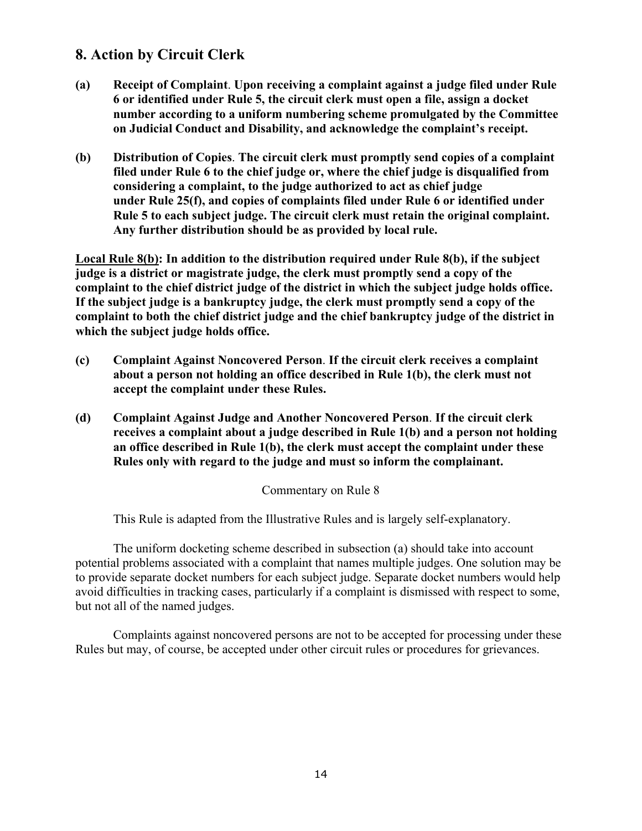# **8. Action by Circuit Clerk**

- **(a) Receipt of Complaint**. **Upon receiving a complaint against a judge filed under Rule 6 or identified under Rule 5, the circuit clerk must open a file, assign a docket number according to a uniform numbering scheme promulgated by the Committee on Judicial Conduct and Disability, and acknowledge the complaint's receipt.**
- **(b) Distribution of Copies**. **The circuit clerk must promptly send copies of a complaint filed under Rule 6 to the chief judge or, where the chief judge is disqualified from considering a complaint, to the judge authorized to act as chief judge under Rule 25(f), and copies of complaints filed under Rule 6 or identified under Rule 5 to each subject judge. The circuit clerk must retain the original complaint. Any further distribution should be as provided by local rule.**

**Local Rule 8(b): In addition to the distribution required under Rule 8(b), if the subject judge is a district or magistrate judge, the clerk must promptly send a copy of the complaint to the chief district judge of the district in which the subject judge holds office. If the subject judge is a bankruptcy judge, the clerk must promptly send a copy of the complaint to both the chief district judge and the chief bankruptcy judge of the district in which the subject judge holds office.**

- **(c) Complaint Against Noncovered Person**. **If the circuit clerk receives a complaint about a person not holding an office described in Rule 1(b), the clerk must not accept the complaint under these Rules.**
- **(d) Complaint Against Judge and Another Noncovered Person**. **If the circuit clerk receives a complaint about a judge described in Rule 1(b) and a person not holding an office described in Rule 1(b), the clerk must accept the complaint under these Rules only with regard to the judge and must so inform the complainant.**

#### Commentary on Rule 8

This Rule is adapted from the Illustrative Rules and is largely self-explanatory.

The uniform docketing scheme described in subsection (a) should take into account potential problems associated with a complaint that names multiple judges. One solution may be to provide separate docket numbers for each subject judge. Separate docket numbers would help avoid difficulties in tracking cases, particularly if a complaint is dismissed with respect to some, but not all of the named judges.

Complaints against noncovered persons are not to be accepted for processing under these Rules but may, of course, be accepted under other circuit rules or procedures for grievances.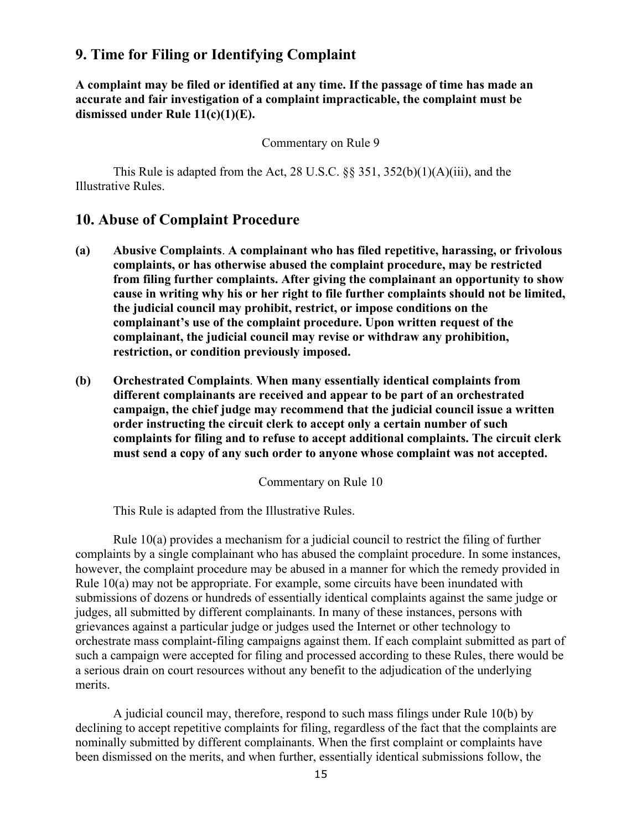# **9. Time for Filing or Identifying Complaint**

**A complaint may be filed or identified at any time. If the passage of time has made an accurate and fair investigation of a complaint impracticable, the complaint must be dismissed under Rule 11(c)(1)(E).**

Commentary on Rule 9

This Rule is adapted from the Act, 28 U.S.C.  $\S$ § 351, 352(b)(1)(A)(iii), and the Illustrative Rules.

### **10. Abuse of Complaint Procedure**

- **(a) Abusive Complaints**. **A complainant who has filed repetitive, harassing, or frivolous complaints, or has otherwise abused the complaint procedure, may be restricted from filing further complaints. After giving the complainant an opportunity to show cause in writing why his or her right to file further complaints should not be limited, the judicial council may prohibit, restrict, or impose conditions on the complainant's use of the complaint procedure. Upon written request of the complainant, the judicial council may revise or withdraw any prohibition, restriction, or condition previously imposed.**
- **(b) Orchestrated Complaints**. **When many essentially identical complaints from different complainants are received and appear to be part of an orchestrated campaign, the chief judge may recommend that the judicial council issue a written order instructing the circuit clerk to accept only a certain number of such complaints for filing and to refuse to accept additional complaints. The circuit clerk must send a copy of any such order to anyone whose complaint was not accepted.**

Commentary on Rule 10

This Rule is adapted from the Illustrative Rules.

Rule 10(a) provides a mechanism for a judicial council to restrict the filing of further complaints by a single complainant who has abused the complaint procedure. In some instances, however, the complaint procedure may be abused in a manner for which the remedy provided in Rule 10(a) may not be appropriate. For example, some circuits have been inundated with submissions of dozens or hundreds of essentially identical complaints against the same judge or judges, all submitted by different complainants. In many of these instances, persons with grievances against a particular judge or judges used the Internet or other technology to orchestrate mass complaint-filing campaigns against them. If each complaint submitted as part of such a campaign were accepted for filing and processed according to these Rules, there would be a serious drain on court resources without any benefit to the adjudication of the underlying merits.

A judicial council may, therefore, respond to such mass filings under Rule 10(b) by declining to accept repetitive complaints for filing, regardless of the fact that the complaints are nominally submitted by different complainants. When the first complaint or complaints have been dismissed on the merits, and when further, essentially identical submissions follow, the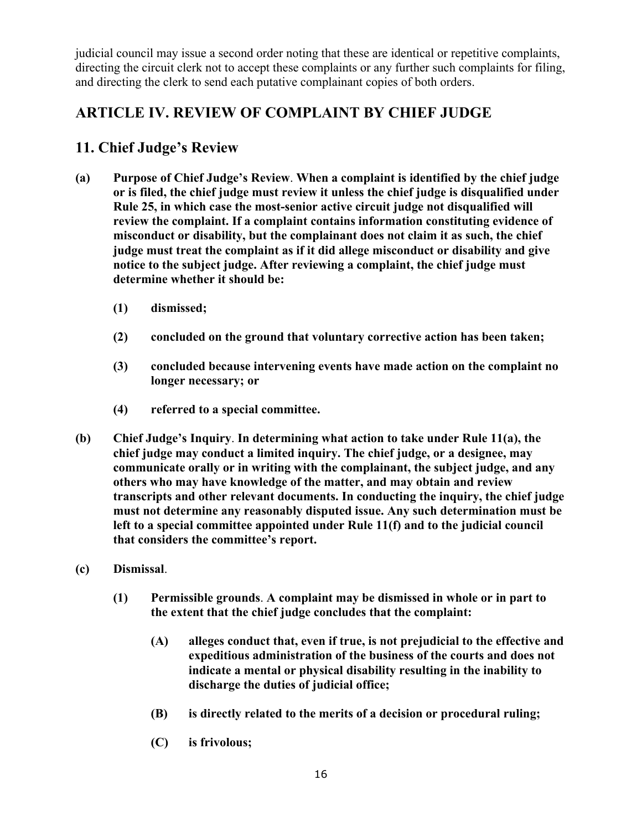judicial council may issue a second order noting that these are identical or repetitive complaints, directing the circuit clerk not to accept these complaints or any further such complaints for filing, and directing the clerk to send each putative complainant copies of both orders.

# **ARTICLE IV. REVIEW OF COMPLAINT BY CHIEF JUDGE**

# **11. Chief Judge's Review**

- **(a) Purpose of Chief Judge's Review**. **When a complaint is identified by the chief judge or is filed, the chief judge must review it unless the chief judge is disqualified under Rule 25, in which case the most-senior active circuit judge not disqualified will review the complaint. If a complaint contains information constituting evidence of misconduct or disability, but the complainant does not claim it as such, the chief judge must treat the complaint as if it did allege misconduct or disability and give notice to the subject judge. After reviewing a complaint, the chief judge must determine whether it should be:**
	- **(1) dismissed;**
	- **(2) concluded on the ground that voluntary corrective action has been taken;**
	- **(3) concluded because intervening events have made action on the complaint no longer necessary; or**
	- **(4) referred to a special committee.**
- **(b) Chief Judge's Inquiry**. **In determining what action to take under Rule 11(a), the chief judge may conduct a limited inquiry. The chief judge, or a designee, may communicate orally or in writing with the complainant, the subject judge, and any others who may have knowledge of the matter, and may obtain and review transcripts and other relevant documents. In conducting the inquiry, the chief judge must not determine any reasonably disputed issue. Any such determination must be left to a special committee appointed under Rule 11(f) and to the judicial council that considers the committee's report.**
- **(c) Dismissal**.
	- **(1) Permissible grounds**. **A complaint may be dismissed in whole or in part to the extent that the chief judge concludes that the complaint:**
		- **(A) alleges conduct that, even if true, is not prejudicial to the effective and expeditious administration of the business of the courts and does not indicate a mental or physical disability resulting in the inability to discharge the duties of judicial office;**
		- **(B) is directly related to the merits of a decision or procedural ruling;**
		- **(C) is frivolous;**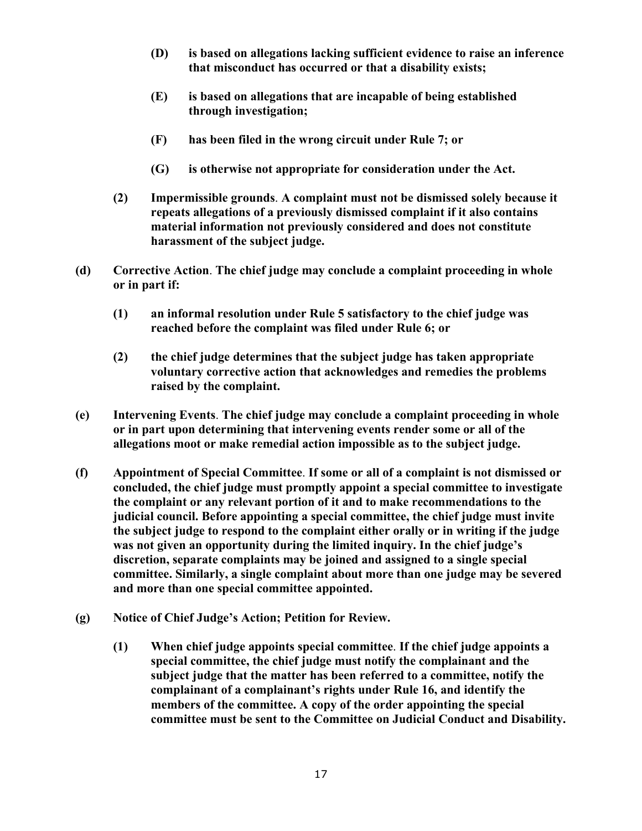- **(D) is based on allegations lacking sufficient evidence to raise an inference that misconduct has occurred or that a disability exists;**
- **(E) is based on allegations that are incapable of being established through investigation;**
- **(F) has been filed in the wrong circuit under Rule 7; or**
- **(G) is otherwise not appropriate for consideration under the Act.**
- **(2) Impermissible grounds**. **A complaint must not be dismissed solely because it repeats allegations of a previously dismissed complaint if it also contains material information not previously considered and does not constitute harassment of the subject judge.**
- **(d) Corrective Action**. **The chief judge may conclude a complaint proceeding in whole or in part if:**
	- **(1) an informal resolution under Rule 5 satisfactory to the chief judge was reached before the complaint was filed under Rule 6; or**
	- **(2) the chief judge determines that the subject judge has taken appropriate voluntary corrective action that acknowledges and remedies the problems raised by the complaint.**
- **(e) Intervening Events**. **The chief judge may conclude a complaint proceeding in whole or in part upon determining that intervening events render some or all of the allegations moot or make remedial action impossible as to the subject judge.**
- **(f) Appointment of Special Committee**. **If some or all of a complaint is not dismissed or concluded, the chief judge must promptly appoint a special committee to investigate the complaint or any relevant portion of it and to make recommendations to the judicial council. Before appointing a special committee, the chief judge must invite the subject judge to respond to the complaint either orally or in writing if the judge was not given an opportunity during the limited inquiry. In the chief judge's discretion, separate complaints may be joined and assigned to a single special committee. Similarly, a single complaint about more than one judge may be severed and more than one special committee appointed.**
- **(g) Notice of Chief Judge's Action; Petition for Review.**
	- **(1) When chief judge appoints special committee**. **If the chief judge appoints a special committee, the chief judge must notify the complainant and the subject judge that the matter has been referred to a committee, notify the complainant of a complainant's rights under Rule 16, and identify the members of the committee. A copy of the order appointing the special committee must be sent to the Committee on Judicial Conduct and Disability.**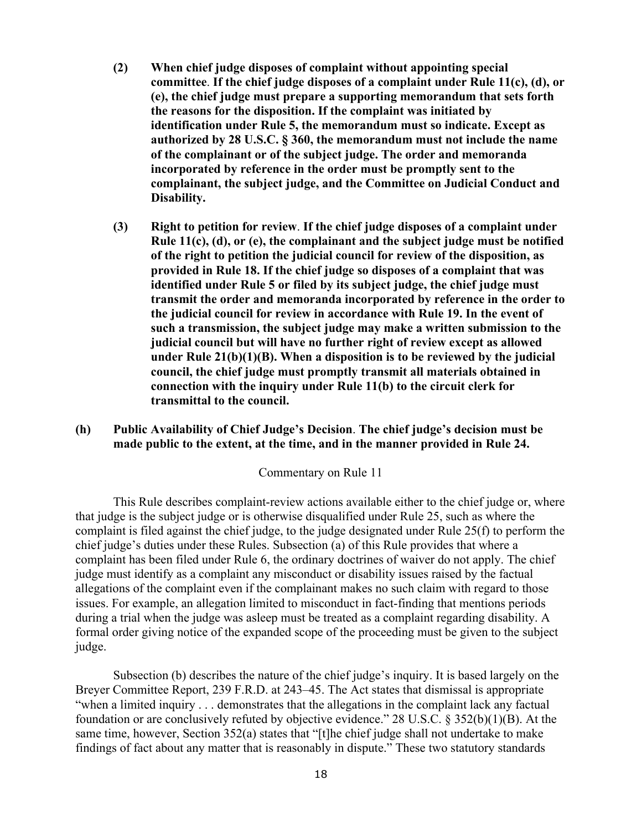- **(2) When chief judge disposes of complaint without appointing special committee**. **If the chief judge disposes of a complaint under Rule 11(c), (d), or (e), the chief judge must prepare a supporting memorandum that sets forth the reasons for the disposition. If the complaint was initiated by identification under Rule 5, the memorandum must so indicate. Except as authorized by 28 U.S.C. § 360, the memorandum must not include the name of the complainant or of the subject judge. The order and memoranda incorporated by reference in the order must be promptly sent to the complainant, the subject judge, and the Committee on Judicial Conduct and Disability.**
- **(3) Right to petition for review**. **If the chief judge disposes of a complaint under Rule 11(c), (d), or (e), the complainant and the subject judge must be notified of the right to petition the judicial council for review of the disposition, as provided in Rule 18. If the chief judge so disposes of a complaint that was identified under Rule 5 or filed by its subject judge, the chief judge must transmit the order and memoranda incorporated by reference in the order to the judicial council for review in accordance with Rule 19. In the event of such a transmission, the subject judge may make a written submission to the judicial council but will have no further right of review except as allowed under Rule 21(b)(1)(B). When a disposition is to be reviewed by the judicial council, the chief judge must promptly transmit all materials obtained in connection with the inquiry under Rule 11(b) to the circuit clerk for transmittal to the council.**

#### **(h) Public Availability of Chief Judge's Decision**. **The chief judge's decision must be made public to the extent, at the time, and in the manner provided in Rule 24.**

Commentary on Rule 11

This Rule describes complaint-review actions available either to the chief judge or, where that judge is the subject judge or is otherwise disqualified under Rule 25, such as where the complaint is filed against the chief judge, to the judge designated under Rule 25(f) to perform the chief judge's duties under these Rules. Subsection (a) of this Rule provides that where a complaint has been filed under Rule 6, the ordinary doctrines of waiver do not apply. The chief judge must identify as a complaint any misconduct or disability issues raised by the factual allegations of the complaint even if the complainant makes no such claim with regard to those issues. For example, an allegation limited to misconduct in fact-finding that mentions periods during a trial when the judge was asleep must be treated as a complaint regarding disability. A formal order giving notice of the expanded scope of the proceeding must be given to the subject judge.

Subsection (b) describes the nature of the chief judge's inquiry. It is based largely on the Breyer Committee Report, 239 F.R.D. at 243–45. The Act states that dismissal is appropriate "when a limited inquiry . . . demonstrates that the allegations in the complaint lack any factual foundation or are conclusively refuted by objective evidence." 28 U.S.C. § 352(b)(1)(B). At the same time, however, Section 352(a) states that "[t]he chief judge shall not undertake to make findings of fact about any matter that is reasonably in dispute." These two statutory standards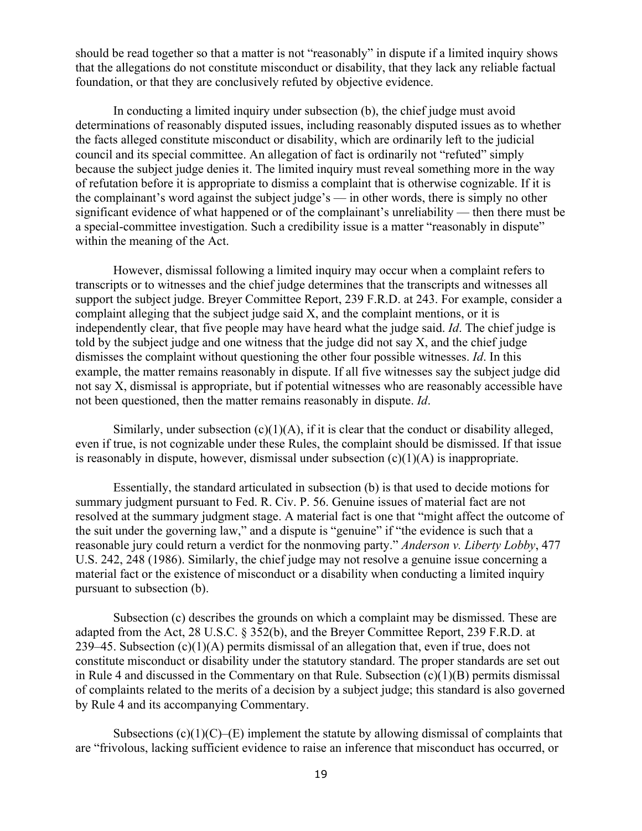should be read together so that a matter is not "reasonably" in dispute if a limited inquiry shows that the allegations do not constitute misconduct or disability, that they lack any reliable factual foundation, or that they are conclusively refuted by objective evidence.

In conducting a limited inquiry under subsection (b), the chief judge must avoid determinations of reasonably disputed issues, including reasonably disputed issues as to whether the facts alleged constitute misconduct or disability, which are ordinarily left to the judicial council and its special committee. An allegation of fact is ordinarily not "refuted" simply because the subject judge denies it. The limited inquiry must reveal something more in the way of refutation before it is appropriate to dismiss a complaint that is otherwise cognizable. If it is the complainant's word against the subject judge's — in other words, there is simply no other significant evidence of what happened or of the complainant's unreliability — then there must be a special-committee investigation. Such a credibility issue is a matter "reasonably in dispute" within the meaning of the Act.

However, dismissal following a limited inquiry may occur when a complaint refers to transcripts or to witnesses and the chief judge determines that the transcripts and witnesses all support the subject judge. Breyer Committee Report, 239 F.R.D. at 243. For example, consider a complaint alleging that the subject judge said X, and the complaint mentions, or it is independently clear, that five people may have heard what the judge said. *Id*. The chief judge is told by the subject judge and one witness that the judge did not say X, and the chief judge dismisses the complaint without questioning the other four possible witnesses. *Id*. In this example, the matter remains reasonably in dispute. If all five witnesses say the subject judge did not say X, dismissal is appropriate, but if potential witnesses who are reasonably accessible have not been questioned, then the matter remains reasonably in dispute. *Id*.

Similarly, under subsection  $(c)(1)(A)$ , if it is clear that the conduct or disability alleged, even if true, is not cognizable under these Rules, the complaint should be dismissed. If that issue is reasonably in dispute, however, dismissal under subsection  $(c)(1)(A)$  is inappropriate.

Essentially, the standard articulated in subsection (b) is that used to decide motions for summary judgment pursuant to Fed. R. Civ. P. 56. Genuine issues of material fact are not resolved at the summary judgment stage. A material fact is one that "might affect the outcome of the suit under the governing law," and a dispute is "genuine" if "the evidence is such that a reasonable jury could return a verdict for the nonmoving party." *Anderson v. Liberty Lobby*, 477 U.S. 242, 248 (1986). Similarly, the chief judge may not resolve a genuine issue concerning a material fact or the existence of misconduct or a disability when conducting a limited inquiry pursuant to subsection (b).

Subsection (c) describes the grounds on which a complaint may be dismissed. These are adapted from the Act, 28 U.S.C. § 352(b), and the Breyer Committee Report, 239 F.R.D. at 239–45. Subsection  $(c)(1)(A)$  permits dismissal of an allegation that, even if true, does not constitute misconduct or disability under the statutory standard. The proper standards are set out in Rule 4 and discussed in the Commentary on that Rule. Subsection  $(c)(1)(B)$  permits dismissal of complaints related to the merits of a decision by a subject judge; this standard is also governed by Rule 4 and its accompanying Commentary.

Subsections  $(c)(1)(C)$ –(E) implement the statute by allowing dismissal of complaints that are "frivolous, lacking sufficient evidence to raise an inference that misconduct has occurred, or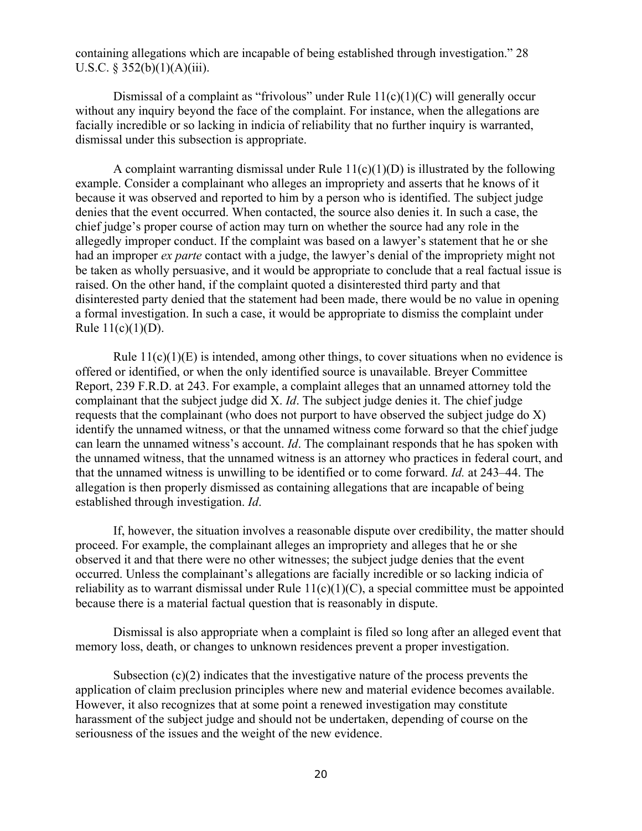containing allegations which are incapable of being established through investigation." 28 U.S.C. § 352(b)(1)(A)(iii).

Dismissal of a complaint as "frivolous" under Rule  $11(c)(1)(C)$  will generally occur without any inquiry beyond the face of the complaint. For instance, when the allegations are facially incredible or so lacking in indicia of reliability that no further inquiry is warranted, dismissal under this subsection is appropriate.

A complaint warranting dismissal under Rule  $11(c)(1)(D)$  is illustrated by the following example. Consider a complainant who alleges an impropriety and asserts that he knows of it because it was observed and reported to him by a person who is identified. The subject judge denies that the event occurred. When contacted, the source also denies it. In such a case, the chief judge's proper course of action may turn on whether the source had any role in the allegedly improper conduct. If the complaint was based on a lawyer's statement that he or she had an improper *ex parte* contact with a judge, the lawyer's denial of the impropriety might not be taken as wholly persuasive, and it would be appropriate to conclude that a real factual issue is raised. On the other hand, if the complaint quoted a disinterested third party and that disinterested party denied that the statement had been made, there would be no value in opening a formal investigation. In such a case, it would be appropriate to dismiss the complaint under Rule  $11(c)(1)(D)$ .

Rule  $11(c)(1)(E)$  is intended, among other things, to cover situations when no evidence is offered or identified, or when the only identified source is unavailable. Breyer Committee Report, 239 F.R.D. at 243. For example, a complaint alleges that an unnamed attorney told the complainant that the subject judge did X. *Id*. The subject judge denies it. The chief judge requests that the complainant (who does not purport to have observed the subject judge do X) identify the unnamed witness, or that the unnamed witness come forward so that the chief judge can learn the unnamed witness's account. *Id*. The complainant responds that he has spoken with the unnamed witness, that the unnamed witness is an attorney who practices in federal court, and that the unnamed witness is unwilling to be identified or to come forward. *Id.* at 243–44. The allegation is then properly dismissed as containing allegations that are incapable of being established through investigation. *Id*.

If, however, the situation involves a reasonable dispute over credibility, the matter should proceed. For example, the complainant alleges an impropriety and alleges that he or she observed it and that there were no other witnesses; the subject judge denies that the event occurred. Unless the complainant's allegations are facially incredible or so lacking indicia of reliability as to warrant dismissal under Rule  $11(c)(1)(C)$ , a special committee must be appointed because there is a material factual question that is reasonably in dispute.

Dismissal is also appropriate when a complaint is filed so long after an alleged event that memory loss, death, or changes to unknown residences prevent a proper investigation.

Subsection (c)(2) indicates that the investigative nature of the process prevents the application of claim preclusion principles where new and material evidence becomes available. However, it also recognizes that at some point a renewed investigation may constitute harassment of the subject judge and should not be undertaken, depending of course on the seriousness of the issues and the weight of the new evidence.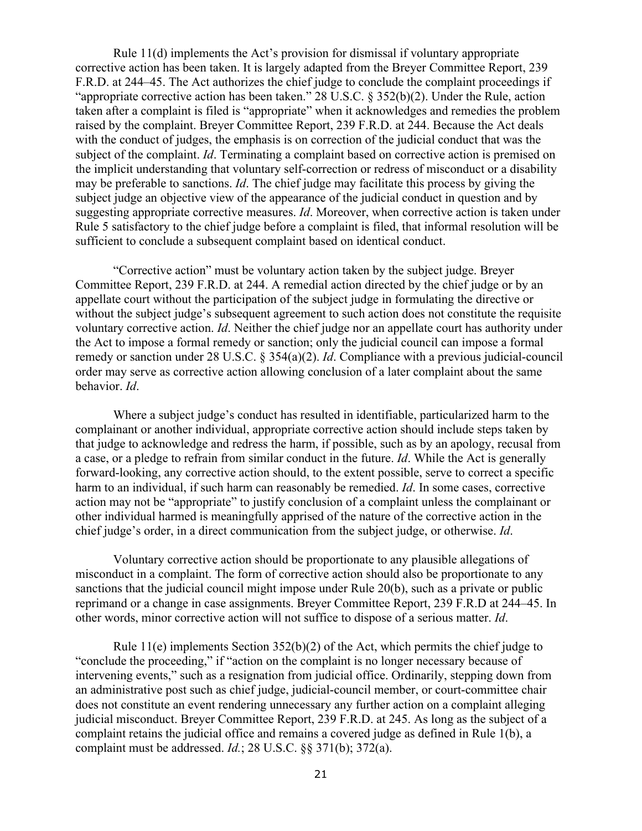Rule 11(d) implements the Act's provision for dismissal if voluntary appropriate corrective action has been taken. It is largely adapted from the Breyer Committee Report, 239 F.R.D. at 244–45. The Act authorizes the chief judge to conclude the complaint proceedings if "appropriate corrective action has been taken." 28 U.S.C. § 352(b)(2). Under the Rule, action taken after a complaint is filed is "appropriate" when it acknowledges and remedies the problem raised by the complaint. Breyer Committee Report, 239 F.R.D. at 244. Because the Act deals with the conduct of judges, the emphasis is on correction of the judicial conduct that was the subject of the complaint. *Id*. Terminating a complaint based on corrective action is premised on the implicit understanding that voluntary self-correction or redress of misconduct or a disability may be preferable to sanctions. *Id*. The chief judge may facilitate this process by giving the subject judge an objective view of the appearance of the judicial conduct in question and by suggesting appropriate corrective measures. *Id*. Moreover, when corrective action is taken under Rule 5 satisfactory to the chief judge before a complaint is filed, that informal resolution will be sufficient to conclude a subsequent complaint based on identical conduct.

"Corrective action" must be voluntary action taken by the subject judge. Breyer Committee Report, 239 F.R.D. at 244. A remedial action directed by the chief judge or by an appellate court without the participation of the subject judge in formulating the directive or without the subject judge's subsequent agreement to such action does not constitute the requisite voluntary corrective action. *Id*. Neither the chief judge nor an appellate court has authority under the Act to impose a formal remedy or sanction; only the judicial council can impose a formal remedy or sanction under 28 U.S.C. § 354(a)(2). *Id*. Compliance with a previous judicial-council order may serve as corrective action allowing conclusion of a later complaint about the same behavior. *Id*.

Where a subject judge's conduct has resulted in identifiable, particularized harm to the complainant or another individual, appropriate corrective action should include steps taken by that judge to acknowledge and redress the harm, if possible, such as by an apology, recusal from a case, or a pledge to refrain from similar conduct in the future. *Id*. While the Act is generally forward-looking, any corrective action should, to the extent possible, serve to correct a specific harm to an individual, if such harm can reasonably be remedied. *Id*. In some cases, corrective action may not be "appropriate" to justify conclusion of a complaint unless the complainant or other individual harmed is meaningfully apprised of the nature of the corrective action in the chief judge's order, in a direct communication from the subject judge, or otherwise. *Id*.

Voluntary corrective action should be proportionate to any plausible allegations of misconduct in a complaint. The form of corrective action should also be proportionate to any sanctions that the judicial council might impose under Rule 20(b), such as a private or public reprimand or a change in case assignments. Breyer Committee Report, 239 F.R.D at 244–45. In other words, minor corrective action will not suffice to dispose of a serious matter. *Id*.

Rule 11(e) implements Section 352(b)(2) of the Act, which permits the chief judge to "conclude the proceeding," if "action on the complaint is no longer necessary because of intervening events," such as a resignation from judicial office. Ordinarily, stepping down from an administrative post such as chief judge, judicial-council member, or court-committee chair does not constitute an event rendering unnecessary any further action on a complaint alleging judicial misconduct. Breyer Committee Report, 239 F.R.D. at 245. As long as the subject of a complaint retains the judicial office and remains a covered judge as defined in Rule 1(b), a complaint must be addressed. *Id.*; 28 U.S.C. §§ 371(b); 372(a).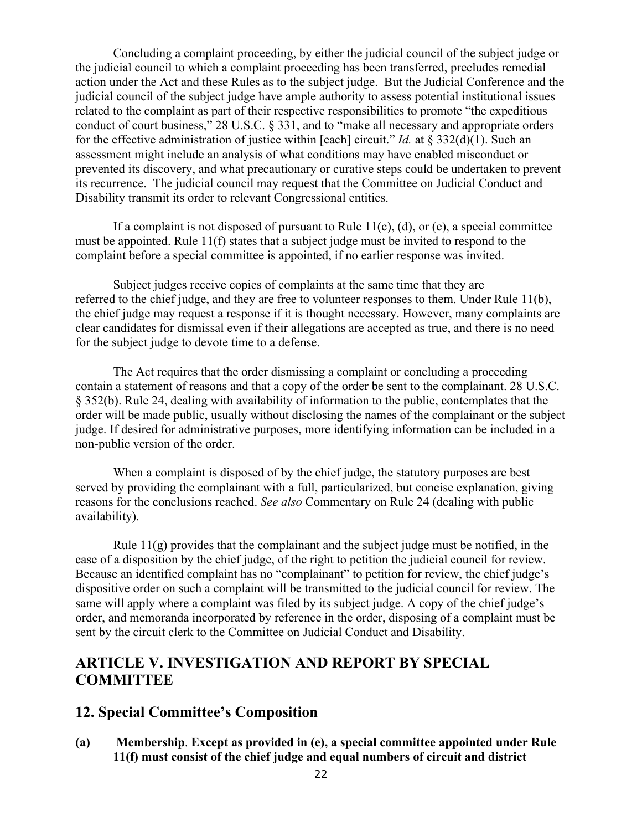Concluding a complaint proceeding, by either the judicial council of the subject judge or the judicial council to which a complaint proceeding has been transferred, precludes remedial action under the Act and these Rules as to the subject judge. But the Judicial Conference and the judicial council of the subject judge have ample authority to assess potential institutional issues related to the complaint as part of their respective responsibilities to promote "the expeditious conduct of court business," 28 U.S.C. § 331, and to "make all necessary and appropriate orders for the effective administration of justice within [each] circuit." *Id.* at § 332(d)(1). Such an assessment might include an analysis of what conditions may have enabled misconduct or prevented its discovery, and what precautionary or curative steps could be undertaken to prevent its recurrence. The judicial council may request that the Committee on Judicial Conduct and Disability transmit its order to relevant Congressional entities.

If a complaint is not disposed of pursuant to Rule  $11(c)$ , (d), or (e), a special committee must be appointed. Rule 11(f) states that a subject judge must be invited to respond to the complaint before a special committee is appointed, if no earlier response was invited.

Subject judges receive copies of complaints at the same time that they are referred to the chief judge, and they are free to volunteer responses to them. Under Rule 11(b), the chief judge may request a response if it is thought necessary. However, many complaints are clear candidates for dismissal even if their allegations are accepted as true, and there is no need for the subject judge to devote time to a defense.

The Act requires that the order dismissing a complaint or concluding a proceeding contain a statement of reasons and that a copy of the order be sent to the complainant. 28 U.S.C. § 352(b). Rule 24, dealing with availability of information to the public, contemplates that the order will be made public, usually without disclosing the names of the complainant or the subject judge. If desired for administrative purposes, more identifying information can be included in a non-public version of the order.

When a complaint is disposed of by the chief judge, the statutory purposes are best served by providing the complainant with a full, particularized, but concise explanation, giving reasons for the conclusions reached. *See also* Commentary on Rule 24 (dealing with public availability).

Rule  $11(g)$  provides that the complainant and the subject judge must be notified, in the case of a disposition by the chief judge, of the right to petition the judicial council for review. Because an identified complaint has no "complainant" to petition for review, the chief judge's dispositive order on such a complaint will be transmitted to the judicial council for review. The same will apply where a complaint was filed by its subject judge. A copy of the chief judge's order, and memoranda incorporated by reference in the order, disposing of a complaint must be sent by the circuit clerk to the Committee on Judicial Conduct and Disability.

# **ARTICLE V. INVESTIGATION AND REPORT BY SPECIAL COMMITTEE**

### **12. Special Committee's Composition**

**(a) Membership**. **Except as provided in (e), a special committee appointed under Rule 11(f) must consist of the chief judge and equal numbers of circuit and district**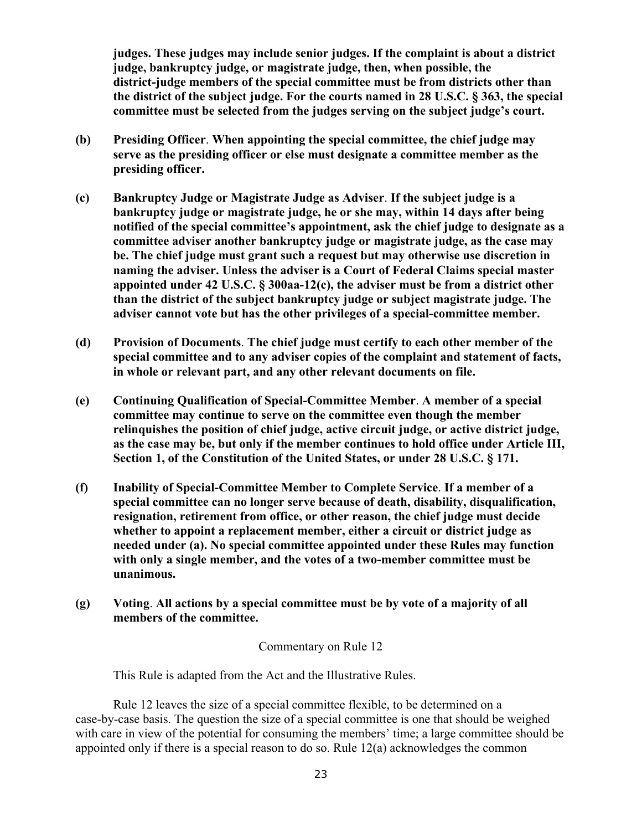**judges. These judges may include senior judges. If the complaint is about a district judge, bankruptcy judge, or magistrate judge, then, when possible, the district-judge members of the special committee must be from districts other than the district of the subject judge. For the courts named in 28 U.S.C. § 363, the special committee must be selected from the judges serving on the subject judge's court.**

- **(b) Presiding Officer**. **When appointing the special committee, the chief judge may serve as the presiding officer or else must designate a committee member as the presiding officer.**
- **(c) Bankruptcy Judge or Magistrate Judge as Adviser**. **If the subject judge is a bankruptcy judge or magistrate judge, he or she may, within 14 days after being notified of the special committee's appointment, ask the chief judge to designate as a committee adviser another bankruptcy judge or magistrate judge, as the case may be. The chief judge must grant such a request but may otherwise use discretion in naming the adviser. Unless the adviser is a Court of Federal Claims special master appointed under 42 U.S.C. § 300aa-12(c), the adviser must be from a district other than the district of the subject bankruptcy judge or subject magistrate judge. The adviser cannot vote but has the other privileges of a special-committee member.**
- **(d) Provision of Documents**. **The chief judge must certify to each other member of the special committee and to any adviser copies of the complaint and statement of facts, in whole or relevant part, and any other relevant documents on file.**
- **(e) Continuing Qualification of Special-Committee Member**. **A member of a special committee may continue to serve on the committee even though the member relinquishes the position of chief judge, active circuit judge, or active district judge, as the case may be, but only if the member continues to hold office under Article III, Section 1, of the Constitution of the United States, or under 28 U.S.C. § 171.**
- **(f) Inability of Special-Committee Member to Complete Service**. **If a member of a special committee can no longer serve because of death, disability, disqualification, resignation, retirement from office, or other reason, the chief judge must decide whether to appoint a replacement member, either a circuit or district judge as needed under (a). No special committee appointed under these Rules may function with only a single member, and the votes of a two-member committee must be unanimous.**
- **(g) Voting**. **All actions by a special committee must be by vote of a majority of all members of the committee.**

Commentary on Rule 12

This Rule is adapted from the Act and the Illustrative Rules.

Rule 12 leaves the size of a special committee flexible, to be determined on a case-by-case basis. The question the size of a special committee is one that should be weighed with care in view of the potential for consuming the members' time; a large committee should be appointed only if there is a special reason to do so. Rule 12(a) acknowledges the common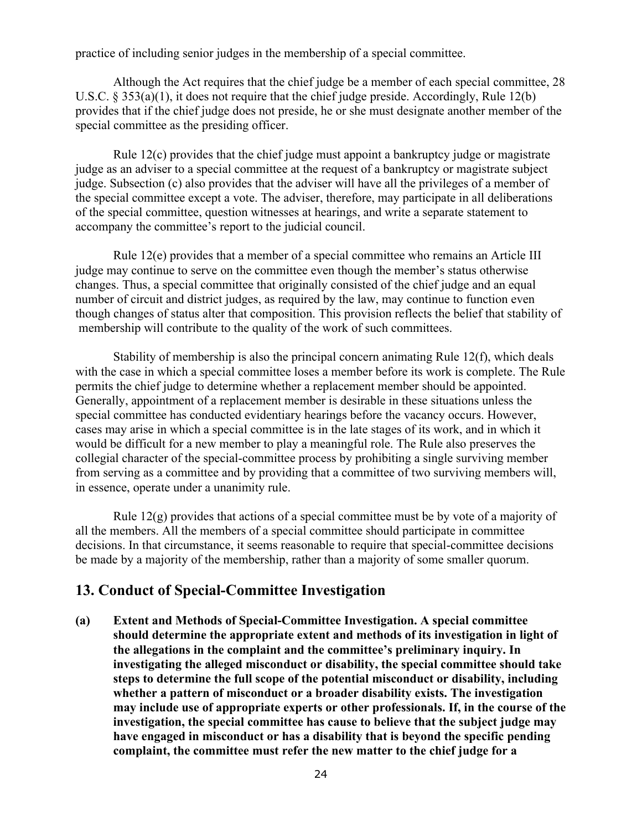practice of including senior judges in the membership of a special committee.

Although the Act requires that the chief judge be a member of each special committee, 28 U.S.C. § 353(a)(1), it does not require that the chief judge preside. Accordingly, Rule 12(b) provides that if the chief judge does not preside, he or she must designate another member of the special committee as the presiding officer.

Rule 12(c) provides that the chief judge must appoint a bankruptcy judge or magistrate judge as an adviser to a special committee at the request of a bankruptcy or magistrate subject judge. Subsection (c) also provides that the adviser will have all the privileges of a member of the special committee except a vote. The adviser, therefore, may participate in all deliberations of the special committee, question witnesses at hearings, and write a separate statement to accompany the committee's report to the judicial council.

Rule 12(e) provides that a member of a special committee who remains an Article III judge may continue to serve on the committee even though the member's status otherwise changes. Thus, a special committee that originally consisted of the chief judge and an equal number of circuit and district judges, as required by the law, may continue to function even though changes of status alter that composition. This provision reflects the belief that stability of membership will contribute to the quality of the work of such committees.

Stability of membership is also the principal concern animating Rule 12(f), which deals with the case in which a special committee loses a member before its work is complete. The Rule permits the chief judge to determine whether a replacement member should be appointed. Generally, appointment of a replacement member is desirable in these situations unless the special committee has conducted evidentiary hearings before the vacancy occurs. However, cases may arise in which a special committee is in the late stages of its work, and in which it would be difficult for a new member to play a meaningful role. The Rule also preserves the collegial character of the special-committee process by prohibiting a single surviving member from serving as a committee and by providing that a committee of two surviving members will, in essence, operate under a unanimity rule.

Rule  $12(g)$  provides that actions of a special committee must be by vote of a majority of all the members. All the members of a special committee should participate in committee decisions. In that circumstance, it seems reasonable to require that special-committee decisions be made by a majority of the membership, rather than a majority of some smaller quorum.

### **13. Conduct of Special-Committee Investigation**

**(a) Extent and Methods of Special-Committee Investigation. A special committee should determine the appropriate extent and methods of its investigation in light of the allegations in the complaint and the committee's preliminary inquiry. In investigating the alleged misconduct or disability, the special committee should take steps to determine the full scope of the potential misconduct or disability, including whether a pattern of misconduct or a broader disability exists. The investigation may include use of appropriate experts or other professionals. If, in the course of the investigation, the special committee has cause to believe that the subject judge may have engaged in misconduct or has a disability that is beyond the specific pending complaint, the committee must refer the new matter to the chief judge for a**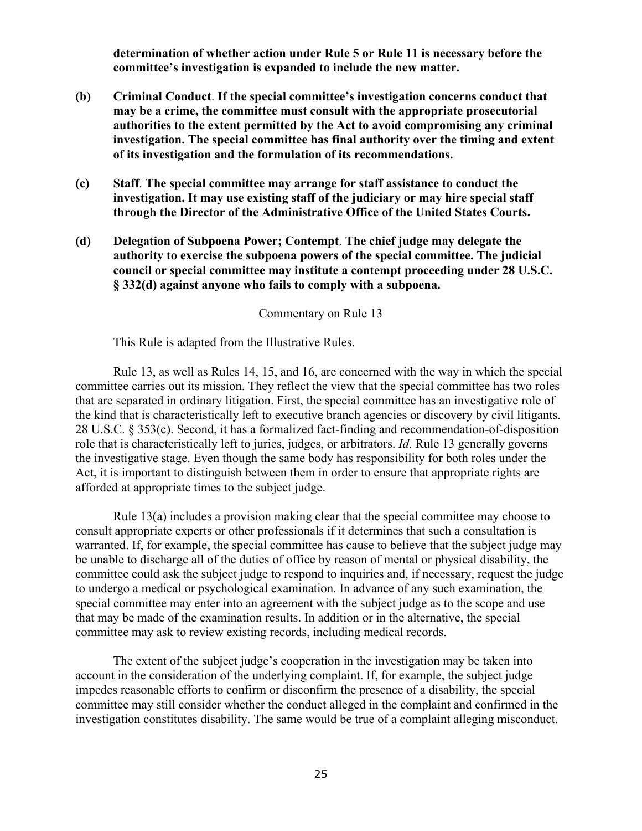**determination of whether action under Rule 5 or Rule 11 is necessary before the committee's investigation is expanded to include the new matter.**

- **(b) Criminal Conduct**. **If the special committee's investigation concerns conduct that may be a crime, the committee must consult with the appropriate prosecutorial authorities to the extent permitted by the Act to avoid compromising any criminal investigation. The special committee has final authority over the timing and extent of its investigation and the formulation of its recommendations.**
- **(c) Staff**. **The special committee may arrange for staff assistance to conduct the investigation. It may use existing staff of the judiciary or may hire special staff through the Director of the Administrative Office of the United States Courts.**
- **(d) Delegation of Subpoena Power; Contempt**. **The chief judge may delegate the authority to exercise the subpoena powers of the special committee. The judicial council or special committee may institute a contempt proceeding under 28 U.S.C. § 332(d) against anyone who fails to comply with a subpoena.**

Commentary on Rule 13

This Rule is adapted from the Illustrative Rules.

Rule 13, as well as Rules 14, 15, and 16, are concerned with the way in which the special committee carries out its mission. They reflect the view that the special committee has two roles that are separated in ordinary litigation. First, the special committee has an investigative role of the kind that is characteristically left to executive branch agencies or discovery by civil litigants. 28 U.S.C. § 353(c). Second, it has a formalized fact-finding and recommendation-of-disposition role that is characteristically left to juries, judges, or arbitrators. *Id*. Rule 13 generally governs the investigative stage. Even though the same body has responsibility for both roles under the Act, it is important to distinguish between them in order to ensure that appropriate rights are afforded at appropriate times to the subject judge.

Rule 13(a) includes a provision making clear that the special committee may choose to consult appropriate experts or other professionals if it determines that such a consultation is warranted. If, for example, the special committee has cause to believe that the subject judge may be unable to discharge all of the duties of office by reason of mental or physical disability, the committee could ask the subject judge to respond to inquiries and, if necessary, request the judge to undergo a medical or psychological examination. In advance of any such examination, the special committee may enter into an agreement with the subject judge as to the scope and use that may be made of the examination results. In addition or in the alternative, the special committee may ask to review existing records, including medical records.

The extent of the subject judge's cooperation in the investigation may be taken into account in the consideration of the underlying complaint. If, for example, the subject judge impedes reasonable efforts to confirm or disconfirm the presence of a disability, the special committee may still consider whether the conduct alleged in the complaint and confirmed in the investigation constitutes disability. The same would be true of a complaint alleging misconduct.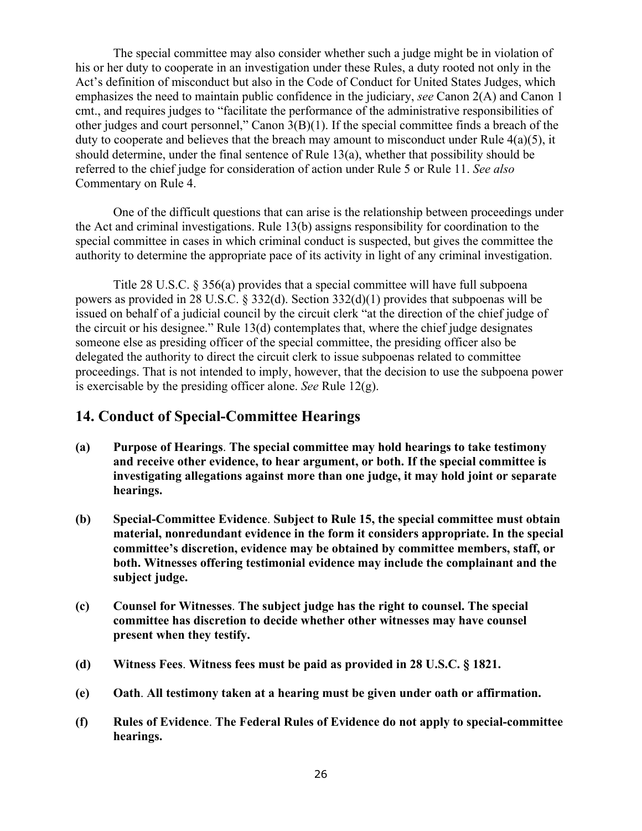The special committee may also consider whether such a judge might be in violation of his or her duty to cooperate in an investigation under these Rules, a duty rooted not only in the Act's definition of misconduct but also in the Code of Conduct for United States Judges, which emphasizes the need to maintain public confidence in the judiciary, *see* Canon 2(A) and Canon 1 cmt., and requires judges to "facilitate the performance of the administrative responsibilities of other judges and court personnel," Canon  $3(B)(1)$ . If the special committee finds a breach of the duty to cooperate and believes that the breach may amount to misconduct under Rule  $4(a)(5)$ , it should determine, under the final sentence of Rule 13(a), whether that possibility should be referred to the chief judge for consideration of action under Rule 5 or Rule 11. *See also* Commentary on Rule 4.

One of the difficult questions that can arise is the relationship between proceedings under the Act and criminal investigations. Rule 13(b) assigns responsibility for coordination to the special committee in cases in which criminal conduct is suspected, but gives the committee the authority to determine the appropriate pace of its activity in light of any criminal investigation.

Title 28 U.S.C. § 356(a) provides that a special committee will have full subpoena powers as provided in 28 U.S.C. § 332(d). Section 332(d)(1) provides that subpoenas will be issued on behalf of a judicial council by the circuit clerk "at the direction of the chief judge of the circuit or his designee." Rule 13(d) contemplates that, where the chief judge designates someone else as presiding officer of the special committee, the presiding officer also be delegated the authority to direct the circuit clerk to issue subpoenas related to committee proceedings. That is not intended to imply, however, that the decision to use the subpoena power is exercisable by the presiding officer alone. *See* Rule 12(g).

### **14. Conduct of Special-Committee Hearings**

- **(a) Purpose of Hearings**. **The special committee may hold hearings to take testimony and receive other evidence, to hear argument, or both. If the special committee is investigating allegations against more than one judge, it may hold joint or separate hearings.**
- **(b) Special-Committee Evidence**. **Subject to Rule 15, the special committee must obtain material, nonredundant evidence in the form it considers appropriate. In the special committee's discretion, evidence may be obtained by committee members, staff, or both. Witnesses offering testimonial evidence may include the complainant and the subject judge.**
- **(c) Counsel for Witnesses**. **The subject judge has the right to counsel. The special committee has discretion to decide whether other witnesses may have counsel present when they testify.**
- **(d) Witness Fees**. **Witness fees must be paid as provided in 28 U.S.C. § 1821.**
- **(e) Oath**. **All testimony taken at a hearing must be given under oath or affirmation.**
- **(f) Rules of Evidence**. **The Federal Rules of Evidence do not apply to special-committee hearings.**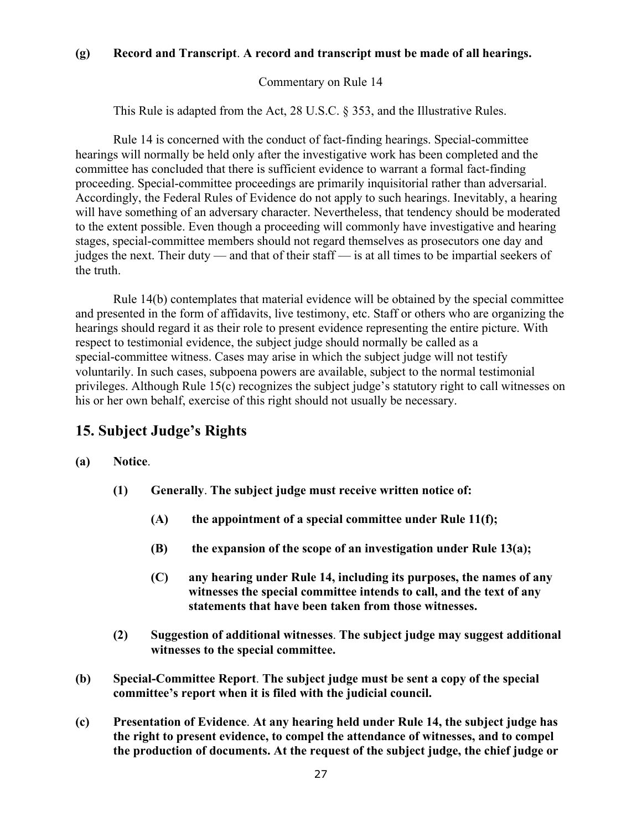#### **(g) Record and Transcript**. **A record and transcript must be made of all hearings.**

#### Commentary on Rule 14

This Rule is adapted from the Act, 28 U.S.C. § 353, and the Illustrative Rules.

Rule 14 is concerned with the conduct of fact-finding hearings. Special-committee hearings will normally be held only after the investigative work has been completed and the committee has concluded that there is sufficient evidence to warrant a formal fact-finding proceeding. Special-committee proceedings are primarily inquisitorial rather than adversarial. Accordingly, the Federal Rules of Evidence do not apply to such hearings. Inevitably, a hearing will have something of an adversary character. Nevertheless, that tendency should be moderated to the extent possible. Even though a proceeding will commonly have investigative and hearing stages, special-committee members should not regard themselves as prosecutors one day and judges the next. Their duty — and that of their staff — is at all times to be impartial seekers of the truth.

Rule 14(b) contemplates that material evidence will be obtained by the special committee and presented in the form of affidavits, live testimony, etc. Staff or others who are organizing the hearings should regard it as their role to present evidence representing the entire picture. With respect to testimonial evidence, the subject judge should normally be called as a special-committee witness. Cases may arise in which the subject judge will not testify voluntarily. In such cases, subpoena powers are available, subject to the normal testimonial privileges. Although Rule 15(c) recognizes the subject judge's statutory right to call witnesses on his or her own behalf, exercise of this right should not usually be necessary.

# **15. Subject Judge's Rights**

#### **(a) Notice**.

- **(1) Generally**. **The subject judge must receive written notice of:**
	- **(A) the appointment of a special committee under Rule 11(f);**
	- **(B) the expansion of the scope of an investigation under Rule 13(a);**
	- **(C) any hearing under Rule 14, including its purposes, the names of any witnesses the special committee intends to call, and the text of any statements that have been taken from those witnesses.**
- **(2) Suggestion of additional witnesses**. **The subject judge may suggest additional witnesses to the special committee.**
- **(b) Special-Committee Report**. **The subject judge must be sent a copy of the special committee's report when it is filed with the judicial council.**
- **(c) Presentation of Evidence**. **At any hearing held under Rule 14, the subject judge has the right to present evidence, to compel the attendance of witnesses, and to compel the production of documents. At the request of the subject judge, the chief judge or**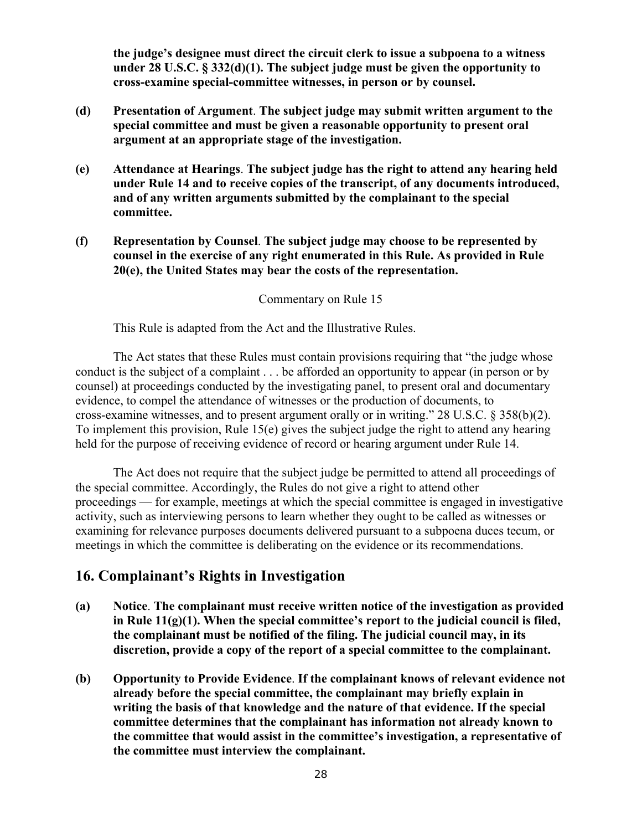**the judge's designee must direct the circuit clerk to issue a subpoena to a witness under 28 U.S.C. § 332(d)(1). The subject judge must be given the opportunity to cross-examine special-committee witnesses, in person or by counsel.**

- **(d) Presentation of Argument**. **The subject judge may submit written argument to the special committee and must be given a reasonable opportunity to present oral argument at an appropriate stage of the investigation.**
- **(e) Attendance at Hearings**. **The subject judge has the right to attend any hearing held under Rule 14 and to receive copies of the transcript, of any documents introduced, and of any written arguments submitted by the complainant to the special committee.**
- **(f) Representation by Counsel**. **The subject judge may choose to be represented by counsel in the exercise of any right enumerated in this Rule. As provided in Rule 20(e), the United States may bear the costs of the representation.**

Commentary on Rule 15

This Rule is adapted from the Act and the Illustrative Rules.

The Act states that these Rules must contain provisions requiring that "the judge whose conduct is the subject of a complaint . . . be afforded an opportunity to appear (in person or by counsel) at proceedings conducted by the investigating panel, to present oral and documentary evidence, to compel the attendance of witnesses or the production of documents, to cross-examine witnesses, and to present argument orally or in writing." 28 U.S.C. § 358(b)(2). To implement this provision, Rule 15(e) gives the subject judge the right to attend any hearing held for the purpose of receiving evidence of record or hearing argument under Rule 14.

The Act does not require that the subject judge be permitted to attend all proceedings of the special committee. Accordingly, the Rules do not give a right to attend other proceedings — for example, meetings at which the special committee is engaged in investigative activity, such as interviewing persons to learn whether they ought to be called as witnesses or examining for relevance purposes documents delivered pursuant to a subpoena duces tecum, or meetings in which the committee is deliberating on the evidence or its recommendations.

### **16. Complainant's Rights in Investigation**

- **(a) Notice**. **The complainant must receive written notice of the investigation as provided in Rule 11(g)(1). When the special committee's report to the judicial council is filed, the complainant must be notified of the filing. The judicial council may, in its discretion, provide a copy of the report of a special committee to the complainant.**
- **(b) Opportunity to Provide Evidence**. **If the complainant knows of relevant evidence not already before the special committee, the complainant may briefly explain in writing the basis of that knowledge and the nature of that evidence. If the special committee determines that the complainant has information not already known to the committee that would assist in the committee's investigation, a representative of the committee must interview the complainant.**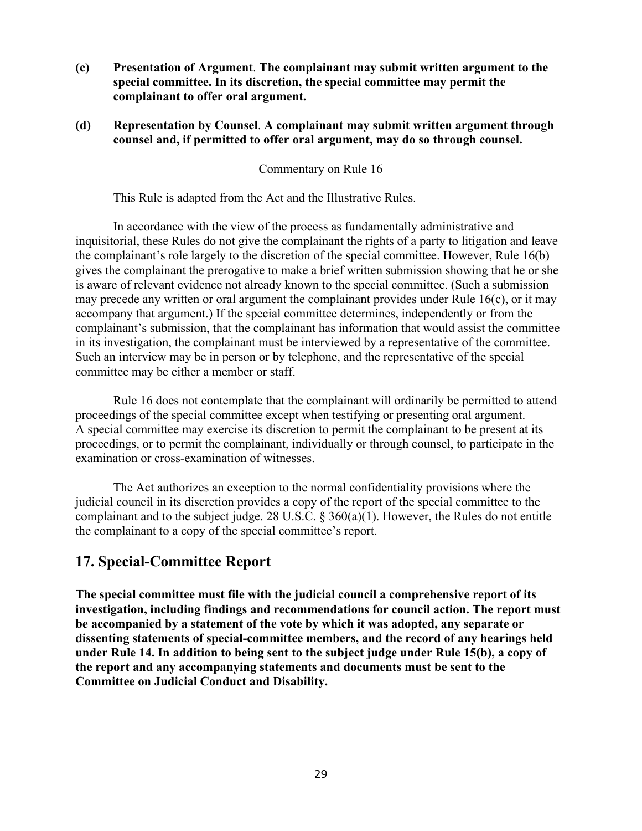- **(c) Presentation of Argument**. **The complainant may submit written argument to the special committee. In its discretion, the special committee may permit the complainant to offer oral argument.**
- **(d) Representation by Counsel**. **A complainant may submit written argument through counsel and, if permitted to offer oral argument, may do so through counsel.**

This Rule is adapted from the Act and the Illustrative Rules.

In accordance with the view of the process as fundamentally administrative and inquisitorial, these Rules do not give the complainant the rights of a party to litigation and leave the complainant's role largely to the discretion of the special committee. However, Rule 16(b) gives the complainant the prerogative to make a brief written submission showing that he or she is aware of relevant evidence not already known to the special committee. (Such a submission may precede any written or oral argument the complainant provides under Rule 16(c), or it may accompany that argument.) If the special committee determines, independently or from the complainant's submission, that the complainant has information that would assist the committee in its investigation, the complainant must be interviewed by a representative of the committee. Such an interview may be in person or by telephone, and the representative of the special committee may be either a member or staff.

Rule 16 does not contemplate that the complainant will ordinarily be permitted to attend proceedings of the special committee except when testifying or presenting oral argument. A special committee may exercise its discretion to permit the complainant to be present at its proceedings, or to permit the complainant, individually or through counsel, to participate in the examination or cross-examination of witnesses.

The Act authorizes an exception to the normal confidentiality provisions where the judicial council in its discretion provides a copy of the report of the special committee to the complainant and to the subject judge. 28 U.S.C. § 360(a)(1). However, the Rules do not entitle the complainant to a copy of the special committee's report.

# **17. Special-Committee Report**

**The special committee must file with the judicial council a comprehensive report of its investigation, including findings and recommendations for council action. The report must be accompanied by a statement of the vote by which it was adopted, any separate or dissenting statements of special-committee members, and the record of any hearings held under Rule 14. In addition to being sent to the subject judge under Rule 15(b), a copy of the report and any accompanying statements and documents must be sent to the Committee on Judicial Conduct and Disability.**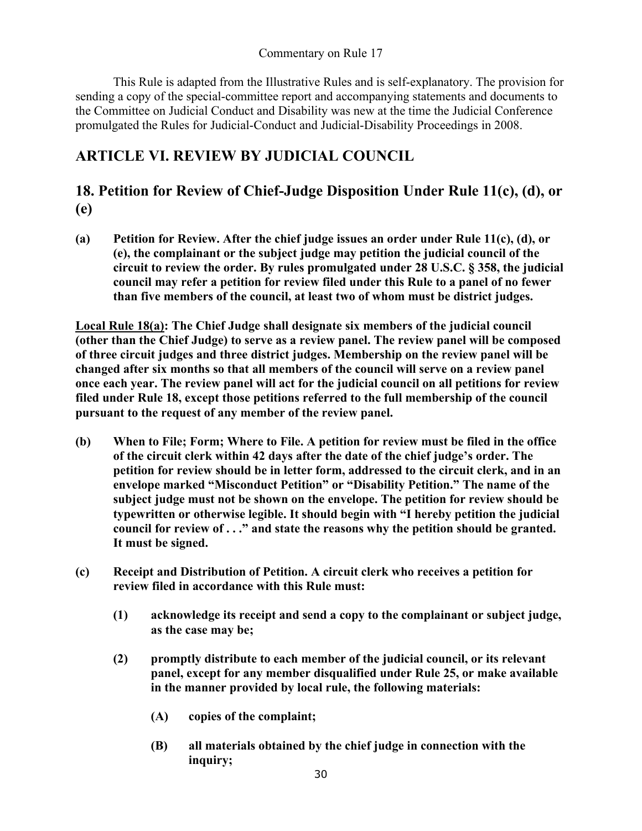This Rule is adapted from the Illustrative Rules and is self-explanatory. The provision for sending a copy of the special-committee report and accompanying statements and documents to the Committee on Judicial Conduct and Disability was new at the time the Judicial Conference promulgated the Rules for Judicial-Conduct and Judicial-Disability Proceedings in 2008.

# **ARTICLE VI. REVIEW BY JUDICIAL COUNCIL**

# **18. Petition for Review of Chief-Judge Disposition Under Rule 11(c), (d), or (e)**

**(a) Petition for Review. After the chief judge issues an order under Rule 11(c), (d), or (e), the complainant or the subject judge may petition the judicial council of the circuit to review the order. By rules promulgated under 28 U.S.C. § 358, the judicial council may refer a petition for review filed under this Rule to a panel of no fewer than five members of the council, at least two of whom must be district judges.**

**Local Rule 18(a): The Chief Judge shall designate six members of the judicial council (other than the Chief Judge) to serve as a review panel. The review panel will be composed of three circuit judges and three district judges. Membership on the review panel will be changed after six months so that all members of the council will serve on a review panel once each year. The review panel will act for the judicial council on all petitions for review filed under Rule 18, except those petitions referred to the full membership of the council pursuant to the request of any member of the review panel.**

- **(b) When to File; Form; Where to File. A petition for review must be filed in the office of the circuit clerk within 42 days after the date of the chief judge's order. The petition for review should be in letter form, addressed to the circuit clerk, and in an envelope marked "Misconduct Petition" or "Disability Petition." The name of the subject judge must not be shown on the envelope. The petition for review should be typewritten or otherwise legible. It should begin with "I hereby petition the judicial council for review of . . ." and state the reasons why the petition should be granted. It must be signed.**
- **(c) Receipt and Distribution of Petition. A circuit clerk who receives a petition for review filed in accordance with this Rule must:**
	- **(1) acknowledge its receipt and send a copy to the complainant or subject judge, as the case may be;**
	- **(2) promptly distribute to each member of the judicial council, or its relevant panel, except for any member disqualified under Rule 25, or make available in the manner provided by local rule, the following materials:**
		- **(A) copies of the complaint;**
		- **(B) all materials obtained by the chief judge in connection with the inquiry;**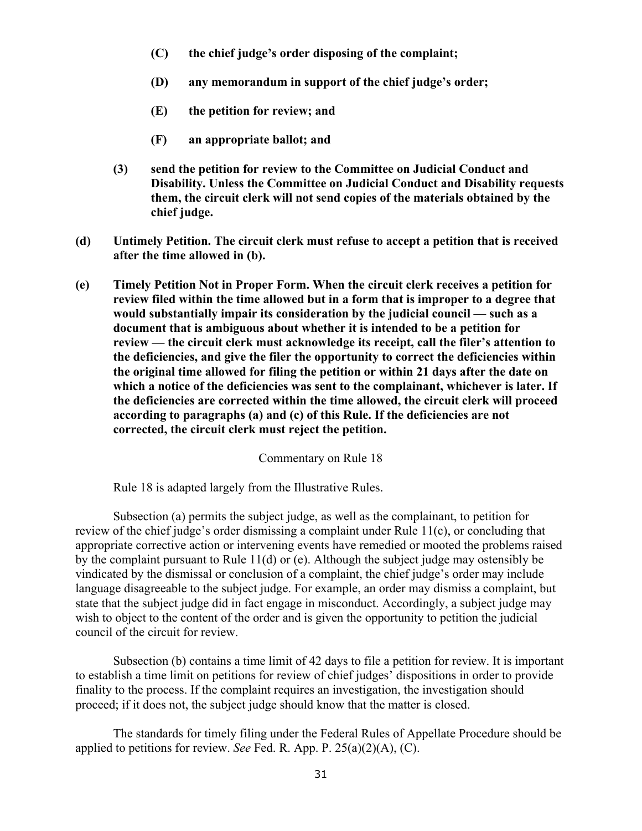- **(C) the chief judge's order disposing of the complaint;**
- **(D) any memorandum in support of the chief judge's order;**
- **(E) the petition for review; and**
- **(F) an appropriate ballot; and**
- **(3) send the petition for review to the Committee on Judicial Conduct and Disability. Unless the Committee on Judicial Conduct and Disability requests them, the circuit clerk will not send copies of the materials obtained by the chief judge.**
- **(d) Untimely Petition. The circuit clerk must refuse to accept a petition that is received after the time allowed in (b).**
- **(e) Timely Petition Not in Proper Form. When the circuit clerk receives a petition for review filed within the time allowed but in a form that is improper to a degree that would substantially impair its consideration by the judicial council — such as a document that is ambiguous about whether it is intended to be a petition for review — the circuit clerk must acknowledge its receipt, call the filer's attention to the deficiencies, and give the filer the opportunity to correct the deficiencies within the original time allowed for filing the petition or within 21 days after the date on which a notice of the deficiencies was sent to the complainant, whichever is later. If the deficiencies are corrected within the time allowed, the circuit clerk will proceed according to paragraphs (a) and (c) of this Rule. If the deficiencies are not corrected, the circuit clerk must reject the petition.**

Rule 18 is adapted largely from the Illustrative Rules.

Subsection (a) permits the subject judge, as well as the complainant, to petition for review of the chief judge's order dismissing a complaint under Rule 11(c), or concluding that appropriate corrective action or intervening events have remedied or mooted the problems raised by the complaint pursuant to Rule 11(d) or (e). Although the subject judge may ostensibly be vindicated by the dismissal or conclusion of a complaint, the chief judge's order may include language disagreeable to the subject judge. For example, an order may dismiss a complaint, but state that the subject judge did in fact engage in misconduct. Accordingly, a subject judge may wish to object to the content of the order and is given the opportunity to petition the judicial council of the circuit for review.

Subsection (b) contains a time limit of 42 days to file a petition for review. It is important to establish a time limit on petitions for review of chief judges' dispositions in order to provide finality to the process. If the complaint requires an investigation, the investigation should proceed; if it does not, the subject judge should know that the matter is closed.

The standards for timely filing under the Federal Rules of Appellate Procedure should be applied to petitions for review. *See* Fed. R. App. P. 25(a)(2)(A), (C).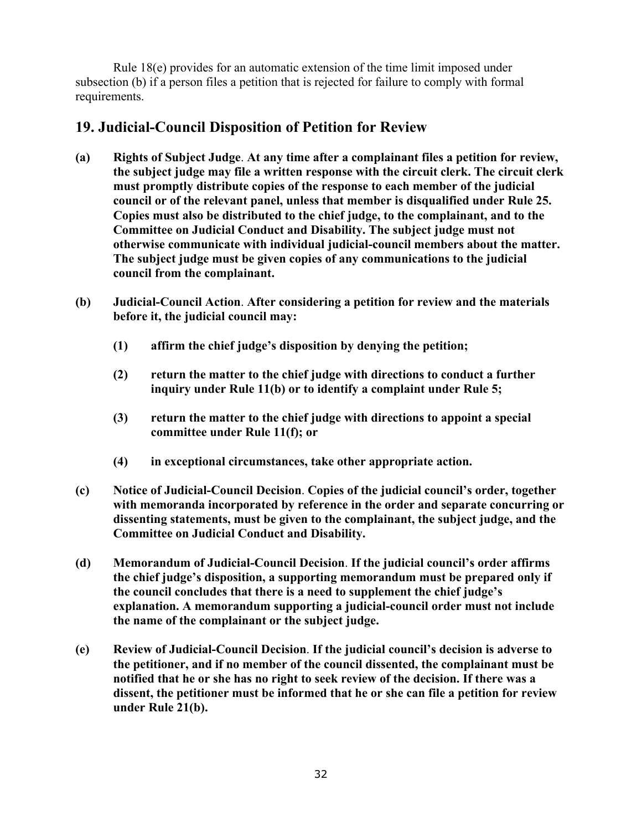Rule 18(e) provides for an automatic extension of the time limit imposed under subsection (b) if a person files a petition that is rejected for failure to comply with formal requirements.

# **19. Judicial-Council Disposition of Petition for Review**

- **(a) Rights of Subject Judge**. **At any time after a complainant files a petition for review, the subject judge may file a written response with the circuit clerk. The circuit clerk must promptly distribute copies of the response to each member of the judicial council or of the relevant panel, unless that member is disqualified under Rule 25. Copies must also be distributed to the chief judge, to the complainant, and to the Committee on Judicial Conduct and Disability. The subject judge must not otherwise communicate with individual judicial-council members about the matter. The subject judge must be given copies of any communications to the judicial council from the complainant.**
- **(b) Judicial-Council Action**. **After considering a petition for review and the materials before it, the judicial council may:**
	- **(1) affirm the chief judge's disposition by denying the petition;**
	- **(2) return the matter to the chief judge with directions to conduct a further inquiry under Rule 11(b) or to identify a complaint under Rule 5;**
	- **(3) return the matter to the chief judge with directions to appoint a special committee under Rule 11(f); or**
	- **(4) in exceptional circumstances, take other appropriate action.**
- **(c) Notice of Judicial-Council Decision**. **Copies of the judicial council's order, together with memoranda incorporated by reference in the order and separate concurring or dissenting statements, must be given to the complainant, the subject judge, and the Committee on Judicial Conduct and Disability.**
- **(d) Memorandum of Judicial-Council Decision**. **If the judicial council's order affirms the chief judge's disposition, a supporting memorandum must be prepared only if the council concludes that there is a need to supplement the chief judge's explanation. A memorandum supporting a judicial-council order must not include the name of the complainant or the subject judge.**
- **(e) Review of Judicial-Council Decision**. **If the judicial council's decision is adverse to the petitioner, and if no member of the council dissented, the complainant must be notified that he or she has no right to seek review of the decision. If there was a dissent, the petitioner must be informed that he or she can file a petition for review under Rule 21(b).**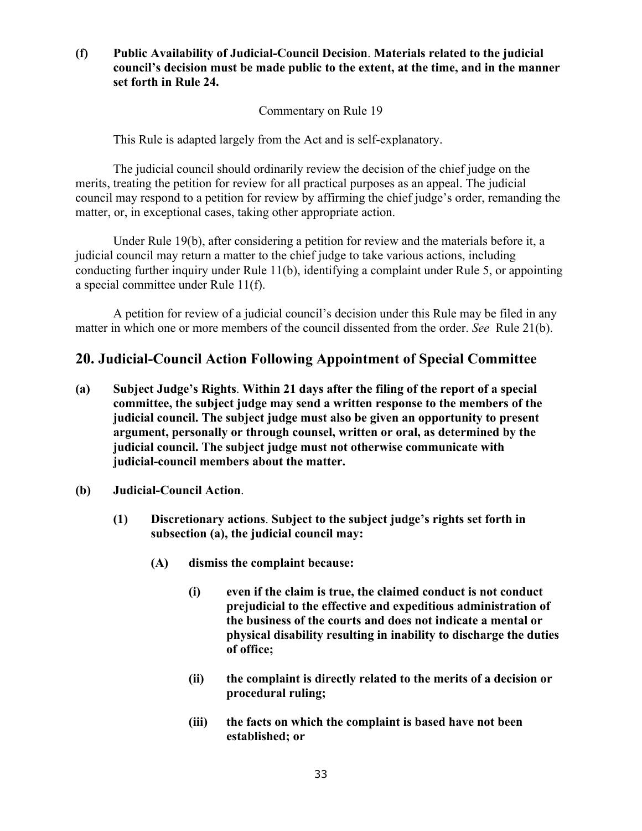#### **(f) Public Availability of Judicial-Council Decision**. **Materials related to the judicial council's decision must be made public to the extent, at the time, and in the manner set forth in Rule 24.**

Commentary on Rule 19

This Rule is adapted largely from the Act and is self-explanatory.

The judicial council should ordinarily review the decision of the chief judge on the merits, treating the petition for review for all practical purposes as an appeal. The judicial council may respond to a petition for review by affirming the chief judge's order, remanding the matter, or, in exceptional cases, taking other appropriate action.

Under Rule 19(b), after considering a petition for review and the materials before it, a judicial council may return a matter to the chief judge to take various actions, including conducting further inquiry under Rule 11(b), identifying a complaint under Rule 5, or appointing a special committee under Rule 11(f).

A petition for review of a judicial council's decision under this Rule may be filed in any matter in which one or more members of the council dissented from the order. *See* Rule 21(b).

### **20. Judicial-Council Action Following Appointment of Special Committee**

- **(a) Subject Judge's Rights**. **Within 21 days after the filing of the report of a special committee, the subject judge may send a written response to the members of the judicial council. The subject judge must also be given an opportunity to present argument, personally or through counsel, written or oral, as determined by the judicial council. The subject judge must not otherwise communicate with judicial-council members about the matter.**
- **(b) Judicial-Council Action**.
	- **(1) Discretionary actions**. **Subject to the subject judge's rights set forth in subsection (a), the judicial council may:**
		- **(A) dismiss the complaint because:**
			- **(i) even if the claim is true, the claimed conduct is not conduct prejudicial to the effective and expeditious administration of the business of the courts and does not indicate a mental or physical disability resulting in inability to discharge the duties of office;**
			- **(ii) the complaint is directly related to the merits of a decision or procedural ruling;**
			- **(iii) the facts on which the complaint is based have not been established; or**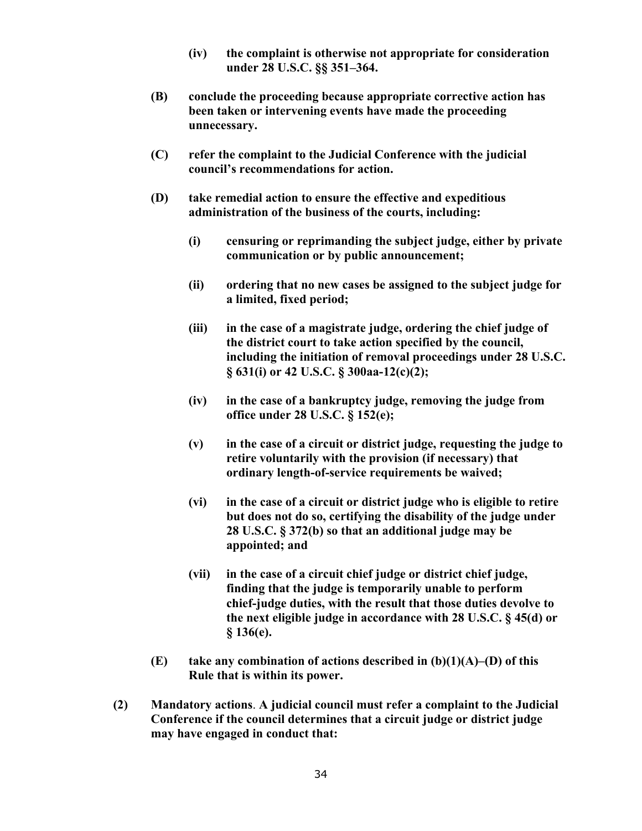- **(iv) the complaint is otherwise not appropriate for consideration under 28 U.S.C. §§ 351–364.**
- **(B) conclude the proceeding because appropriate corrective action has been taken or intervening events have made the proceeding unnecessary.**
- **(C) refer the complaint to the Judicial Conference with the judicial council's recommendations for action.**
- **(D) take remedial action to ensure the effective and expeditious administration of the business of the courts, including:**
	- **(i) censuring or reprimanding the subject judge, either by private communication or by public announcement;**
	- **(ii) ordering that no new cases be assigned to the subject judge for a limited, fixed period;**
	- **(iii) in the case of a magistrate judge, ordering the chief judge of the district court to take action specified by the council, including the initiation of removal proceedings under 28 U.S.C. § 631(i) or 42 U.S.C. § 300aa-12(c)(2);**
	- **(iv) in the case of a bankruptcy judge, removing the judge from office under 28 U.S.C. § 152(e);**
	- **(v) in the case of a circuit or district judge, requesting the judge to retire voluntarily with the provision (if necessary) that ordinary length-of-service requirements be waived;**
	- **(vi) in the case of a circuit or district judge who is eligible to retire but does not do so, certifying the disability of the judge under 28 U.S.C. § 372(b) so that an additional judge may be appointed; and**
	- **(vii) in the case of a circuit chief judge or district chief judge, finding that the judge is temporarily unable to perform chief-judge duties, with the result that those duties devolve to the next eligible judge in accordance with 28 U.S.C. § 45(d) or § 136(e).**
- **(E) take any combination of actions described in (b)(1)(A)–(D) of this Rule that is within its power.**
- **(2) Mandatory actions**. **A judicial council must refer a complaint to the Judicial Conference if the council determines that a circuit judge or district judge may have engaged in conduct that:**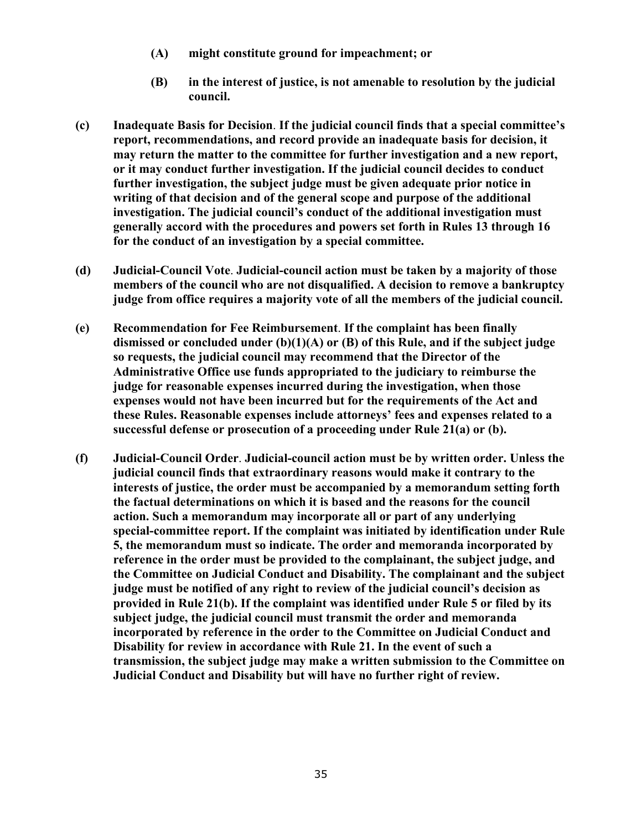- **(A) might constitute ground for impeachment; or**
- **(B) in the interest of justice, is not amenable to resolution by the judicial council.**
- **(c) Inadequate Basis for Decision**. **If the judicial council finds that a special committee's report, recommendations, and record provide an inadequate basis for decision, it may return the matter to the committee for further investigation and a new report, or it may conduct further investigation. If the judicial council decides to conduct further investigation, the subject judge must be given adequate prior notice in writing of that decision and of the general scope and purpose of the additional investigation. The judicial council's conduct of the additional investigation must generally accord with the procedures and powers set forth in Rules 13 through 16 for the conduct of an investigation by a special committee.**
- **(d) Judicial-Council Vote**. **Judicial-council action must be taken by a majority of those members of the council who are not disqualified. A decision to remove a bankruptcy judge from office requires a majority vote of all the members of the judicial council.**
- **(e) Recommendation for Fee Reimbursement**. **If the complaint has been finally dismissed or concluded under (b)(1)(A) or (B) of this Rule, and if the subject judge so requests, the judicial council may recommend that the Director of the Administrative Office use funds appropriated to the judiciary to reimburse the judge for reasonable expenses incurred during the investigation, when those expenses would not have been incurred but for the requirements of the Act and these Rules. Reasonable expenses include attorneys' fees and expenses related to a successful defense or prosecution of a proceeding under Rule 21(a) or (b).**
- **(f) Judicial-Council Order**. **Judicial-council action must be by written order. Unless the judicial council finds that extraordinary reasons would make it contrary to the interests of justice, the order must be accompanied by a memorandum setting forth the factual determinations on which it is based and the reasons for the council action. Such a memorandum may incorporate all or part of any underlying special-committee report. If the complaint was initiated by identification under Rule 5, the memorandum must so indicate. The order and memoranda incorporated by reference in the order must be provided to the complainant, the subject judge, and the Committee on Judicial Conduct and Disability. The complainant and the subject judge must be notified of any right to review of the judicial council's decision as provided in Rule 21(b). If the complaint was identified under Rule 5 or filed by its subject judge, the judicial council must transmit the order and memoranda incorporated by reference in the order to the Committee on Judicial Conduct and Disability for review in accordance with Rule 21. In the event of such a transmission, the subject judge may make a written submission to the Committee on Judicial Conduct and Disability but will have no further right of review.**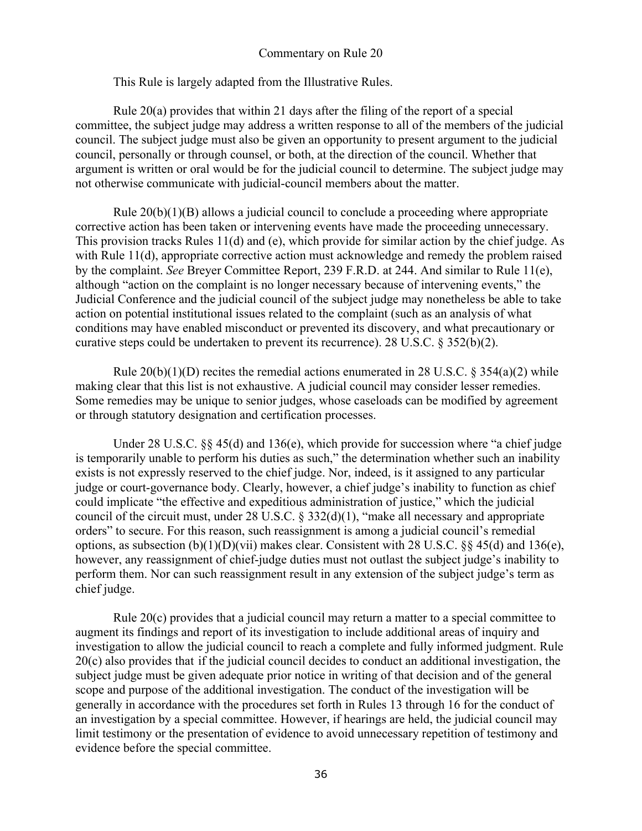This Rule is largely adapted from the Illustrative Rules.

Rule 20(a) provides that within 21 days after the filing of the report of a special committee, the subject judge may address a written response to all of the members of the judicial council. The subject judge must also be given an opportunity to present argument to the judicial council, personally or through counsel, or both, at the direction of the council. Whether that argument is written or oral would be for the judicial council to determine. The subject judge may not otherwise communicate with judicial-council members about the matter.

Rule  $20(b)(1)(B)$  allows a judicial council to conclude a proceeding where appropriate corrective action has been taken or intervening events have made the proceeding unnecessary. This provision tracks Rules 11(d) and (e), which provide for similar action by the chief judge. As with Rule 11(d), appropriate corrective action must acknowledge and remedy the problem raised by the complaint. *See* Breyer Committee Report, 239 F.R.D. at 244. And similar to Rule 11(e), although "action on the complaint is no longer necessary because of intervening events," the Judicial Conference and the judicial council of the subject judge may nonetheless be able to take action on potential institutional issues related to the complaint (such as an analysis of what conditions may have enabled misconduct or prevented its discovery, and what precautionary or curative steps could be undertaken to prevent its recurrence). 28 U.S.C. § 352(b)(2).

Rule  $20(b)(1)(D)$  recites the remedial actions enumerated in 28 U.S.C. § 354(a)(2) while making clear that this list is not exhaustive. A judicial council may consider lesser remedies. Some remedies may be unique to senior judges, whose caseloads can be modified by agreement or through statutory designation and certification processes.

Under 28 U.S.C. §§ 45(d) and 136(e), which provide for succession where "a chief judge is temporarily unable to perform his duties as such," the determination whether such an inability exists is not expressly reserved to the chief judge. Nor, indeed, is it assigned to any particular judge or court-governance body. Clearly, however, a chief judge's inability to function as chief could implicate "the effective and expeditious administration of justice," which the judicial council of the circuit must, under 28 U.S.C. § 332(d)(1), "make all necessary and appropriate orders" to secure. For this reason, such reassignment is among a judicial council's remedial options, as subsection  $(b)(1)(D)(\n{\text{vii}})$  makes clear. Consistent with 28 U.S.C.  $\S$  45(d) and 136(e), however, any reassignment of chief-judge duties must not outlast the subject judge's inability to perform them. Nor can such reassignment result in any extension of the subject judge's term as chief judge.

Rule 20(c) provides that a judicial council may return a matter to a special committee to augment its findings and report of its investigation to include additional areas of inquiry and investigation to allow the judicial council to reach a complete and fully informed judgment. Rule 20(c) also provides that if the judicial council decides to conduct an additional investigation, the subject judge must be given adequate prior notice in writing of that decision and of the general scope and purpose of the additional investigation. The conduct of the investigation will be generally in accordance with the procedures set forth in Rules 13 through 16 for the conduct of an investigation by a special committee. However, if hearings are held, the judicial council may limit testimony or the presentation of evidence to avoid unnecessary repetition of testimony and evidence before the special committee.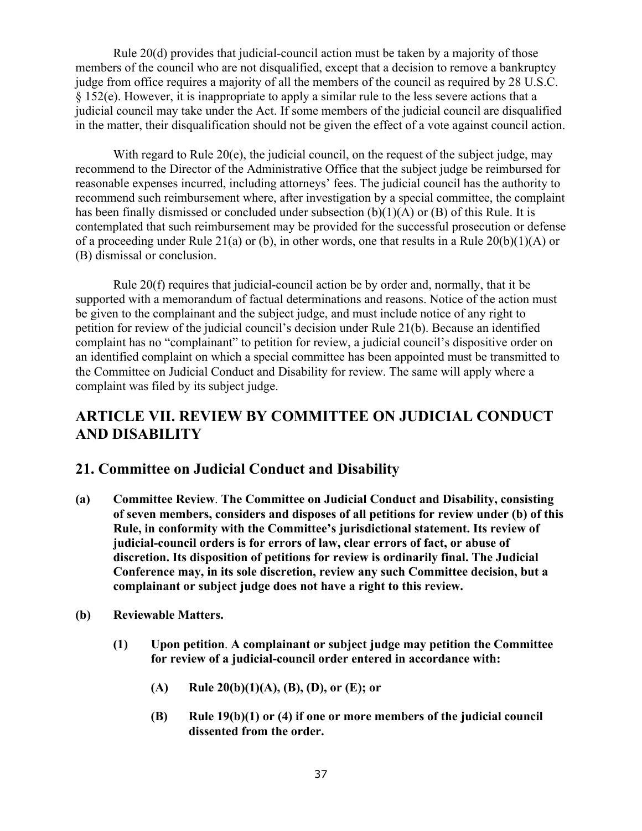Rule 20(d) provides that judicial-council action must be taken by a majority of those members of the council who are not disqualified, except that a decision to remove a bankruptcy judge from office requires a majority of all the members of the council as required by 28 U.S.C. § 152(e). However, it is inappropriate to apply a similar rule to the less severe actions that a judicial council may take under the Act. If some members of the judicial council are disqualified in the matter, their disqualification should not be given the effect of a vote against council action.

With regard to Rule 20(e), the judicial council, on the request of the subject judge, may recommend to the Director of the Administrative Office that the subject judge be reimbursed for reasonable expenses incurred, including attorneys' fees. The judicial council has the authority to recommend such reimbursement where, after investigation by a special committee, the complaint has been finally dismissed or concluded under subsection (b)(1)(A) or (B) of this Rule. It is contemplated that such reimbursement may be provided for the successful prosecution or defense of a proceeding under Rule 21(a) or (b), in other words, one that results in a Rule  $20(b)(1)(A)$  or (B) dismissal or conclusion.

Rule 20(f) requires that judicial-council action be by order and, normally, that it be supported with a memorandum of factual determinations and reasons. Notice of the action must be given to the complainant and the subject judge, and must include notice of any right to petition for review of the judicial council's decision under Rule 21(b). Because an identified complaint has no "complainant" to petition for review, a judicial council's dispositive order on an identified complaint on which a special committee has been appointed must be transmitted to the Committee on Judicial Conduct and Disability for review. The same will apply where a complaint was filed by its subject judge.

# **ARTICLE VII. REVIEW BY COMMITTEE ON JUDICIAL CONDUCT AND DISABILITY**

# **21. Committee on Judicial Conduct and Disability**

- **(a) Committee Review**. **The Committee on Judicial Conduct and Disability, consisting of seven members, considers and disposes of all petitions for review under (b) of this Rule, in conformity with the Committee's jurisdictional statement. Its review of judicial-council orders is for errors of law, clear errors of fact, or abuse of discretion. Its disposition of petitions for review is ordinarily final. The Judicial Conference may, in its sole discretion, review any such Committee decision, but a complainant or subject judge does not have a right to this review.**
- **(b) Reviewable Matters.**
	- **(1) Upon petition**. **A complainant or subject judge may petition the Committee for review of a judicial-council order entered in accordance with:**
		- **(A) Rule 20(b)(1)(A), (B), (D), or (E); or**
		- **(B) Rule 19(b)(1) or (4) if one or more members of the judicial council dissented from the order.**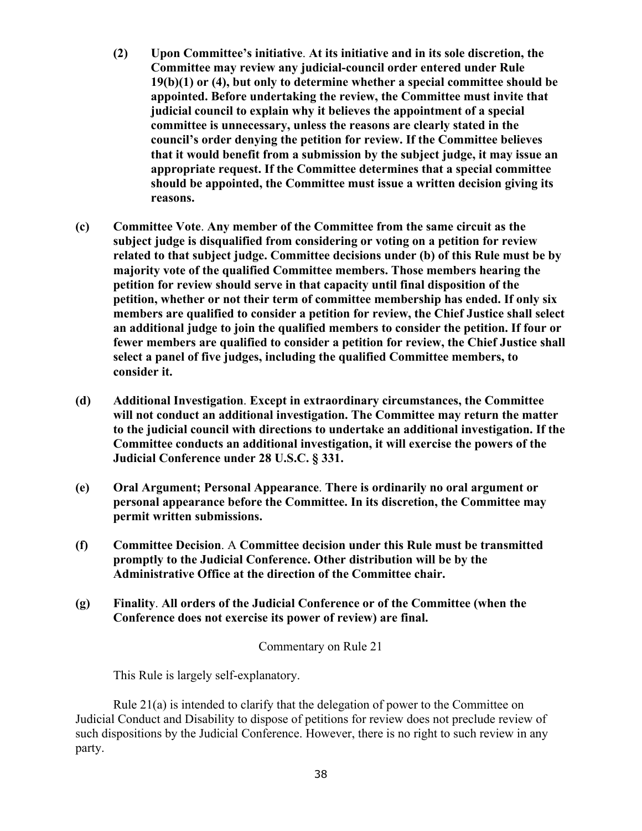- **(2) Upon Committee's initiative**. **At its initiative and in its sole discretion, the Committee may review any judicial-council order entered under Rule 19(b)(1) or (4), but only to determine whether a special committee should be appointed. Before undertaking the review, the Committee must invite that judicial council to explain why it believes the appointment of a special committee is unnecessary, unless the reasons are clearly stated in the council's order denying the petition for review. If the Committee believes that it would benefit from a submission by the subject judge, it may issue an appropriate request. If the Committee determines that a special committee should be appointed, the Committee must issue a written decision giving its reasons.**
- **(c) Committee Vote**. **Any member of the Committee from the same circuit as the subject judge is disqualified from considering or voting on a petition for review related to that subject judge. Committee decisions under (b) of this Rule must be by majority vote of the qualified Committee members. Those members hearing the petition for review should serve in that capacity until final disposition of the petition, whether or not their term of committee membership has ended. If only six members are qualified to consider a petition for review, the Chief Justice shall select an additional judge to join the qualified members to consider the petition. If four or fewer members are qualified to consider a petition for review, the Chief Justice shall select a panel of five judges, including the qualified Committee members, to consider it.**
- **(d) Additional Investigation**. **Except in extraordinary circumstances, the Committee will not conduct an additional investigation. The Committee may return the matter to the judicial council with directions to undertake an additional investigation. If the Committee conducts an additional investigation, it will exercise the powers of the Judicial Conference under 28 U.S.C. § 331.**
- **(e) Oral Argument; Personal Appearance**. **There is ordinarily no oral argument or personal appearance before the Committee. In its discretion, the Committee may permit written submissions.**
- **(f) Committee Decision**. A **Committee decision under this Rule must be transmitted promptly to the Judicial Conference. Other distribution will be by the Administrative Office at the direction of the Committee chair.**
- **(g) Finality**. **All orders of the Judicial Conference or of the Committee (when the Conference does not exercise its power of review) are final.**

This Rule is largely self-explanatory.

Rule 21(a) is intended to clarify that the delegation of power to the Committee on Judicial Conduct and Disability to dispose of petitions for review does not preclude review of such dispositions by the Judicial Conference. However, there is no right to such review in any party.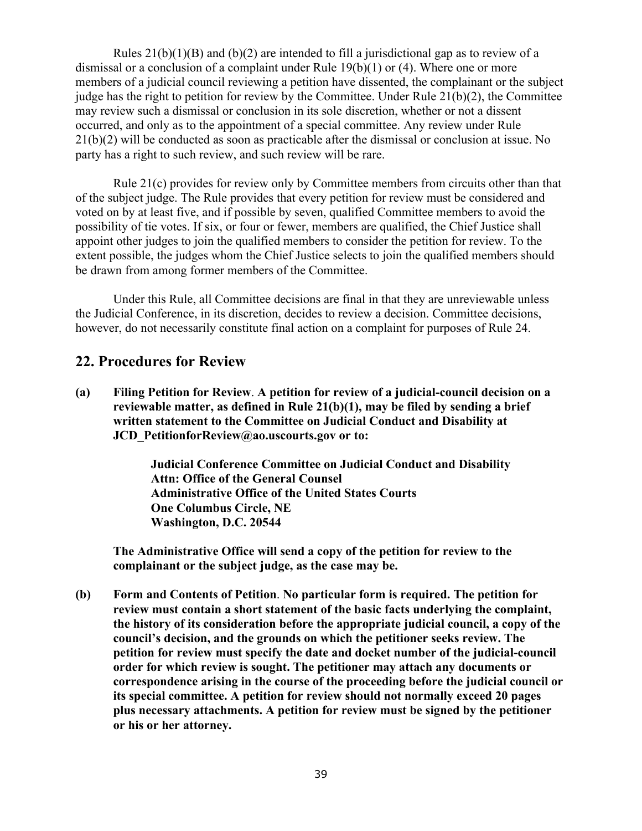Rules  $21(b)(1)(B)$  and  $(b)(2)$  are intended to fill a jurisdictional gap as to review of a dismissal or a conclusion of a complaint under Rule 19(b)(1) or (4). Where one or more members of a judicial council reviewing a petition have dissented, the complainant or the subject judge has the right to petition for review by the Committee. Under Rule 21(b)(2), the Committee may review such a dismissal or conclusion in its sole discretion, whether or not a dissent occurred, and only as to the appointment of a special committee. Any review under Rule 21(b)(2) will be conducted as soon as practicable after the dismissal or conclusion at issue. No party has a right to such review, and such review will be rare.

Rule 21(c) provides for review only by Committee members from circuits other than that of the subject judge. The Rule provides that every petition for review must be considered and voted on by at least five, and if possible by seven, qualified Committee members to avoid the possibility of tie votes. If six, or four or fewer, members are qualified, the Chief Justice shall appoint other judges to join the qualified members to consider the petition for review. To the extent possible, the judges whom the Chief Justice selects to join the qualified members should be drawn from among former members of the Committee.

Under this Rule, all Committee decisions are final in that they are unreviewable unless the Judicial Conference, in its discretion, decides to review a decision. Committee decisions, however, do not necessarily constitute final action on a complaint for purposes of Rule 24.

#### **22. Procedures for Review**

**(a) Filing Petition for Review**. **A petition for review of a judicial-council decision on a reviewable matter, as defined in Rule 21(b)(1), may be filed by sending a brief written statement to the Committee on Judicial Conduct and Disability at JCD\_PetitionforReview@ao.uscourts.gov or to:**

> **Judicial Conference Committee on Judicial Conduct and Disability Attn: Office of the General Counsel Administrative Office of the United States Courts One Columbus Circle, NE Washington, D.C. 20544**

**The Administrative Office will send a copy of the petition for review to the complainant or the subject judge, as the case may be.**

**(b) Form and Contents of Petition**. **No particular form is required. The petition for review must contain a short statement of the basic facts underlying the complaint, the history of its consideration before the appropriate judicial council, a copy of the council's decision, and the grounds on which the petitioner seeks review. The petition for review must specify the date and docket number of the judicial-council order for which review is sought. The petitioner may attach any documents or correspondence arising in the course of the proceeding before the judicial council or its special committee. A petition for review should not normally exceed 20 pages plus necessary attachments. A petition for review must be signed by the petitioner or his or her attorney.**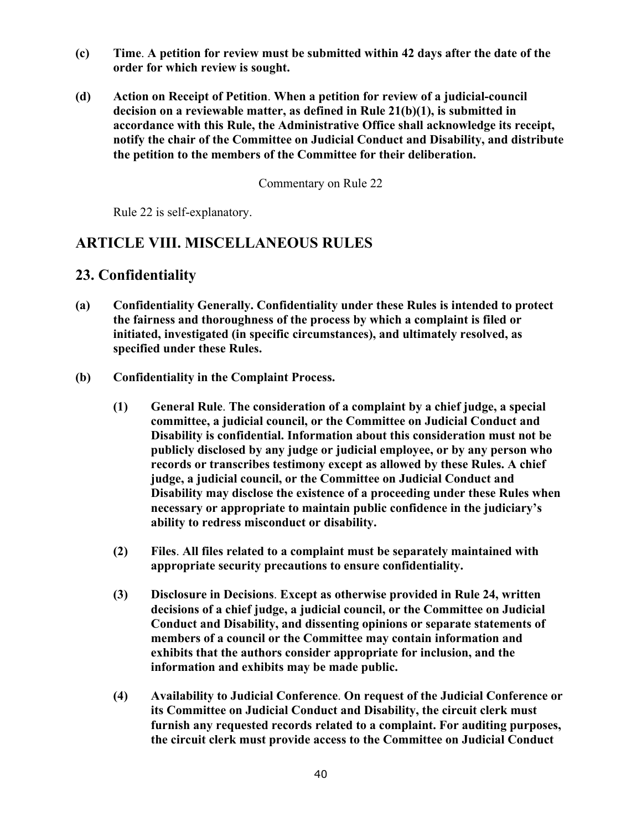- **(c) Time**. **A petition for review must be submitted within 42 days after the date of the order for which review is sought.**
- **(d) Action on Receipt of Petition**. **When a petition for review of a judicial-council decision on a reviewable matter, as defined in Rule 21(b)(1), is submitted in accordance with this Rule, the Administrative Office shall acknowledge its receipt, notify the chair of the Committee on Judicial Conduct and Disability, and distribute the petition to the members of the Committee for their deliberation.**

Rule 22 is self-explanatory.

# **ARTICLE VIII. MISCELLANEOUS RULES**

### **23. Confidentiality**

- **(a) Confidentiality Generally. Confidentiality under these Rules is intended to protect the fairness and thoroughness of the process by which a complaint is filed or initiated, investigated (in specific circumstances), and ultimately resolved, as specified under these Rules.**
- **(b) Confidentiality in the Complaint Process.**
	- **(1) General Rule**. **The consideration of a complaint by a chief judge, a special committee, a judicial council, or the Committee on Judicial Conduct and Disability is confidential. Information about this consideration must not be publicly disclosed by any judge or judicial employee, or by any person who records or transcribes testimony except as allowed by these Rules. A chief judge, a judicial council, or the Committee on Judicial Conduct and Disability may disclose the existence of a proceeding under these Rules when necessary or appropriate to maintain public confidence in the judiciary's ability to redress misconduct or disability.**
	- **(2) Files**. **All files related to a complaint must be separately maintained with appropriate security precautions to ensure confidentiality.**
	- **(3) Disclosure in Decisions**. **Except as otherwise provided in Rule 24, written decisions of a chief judge, a judicial council, or the Committee on Judicial Conduct and Disability, and dissenting opinions or separate statements of members of a council or the Committee may contain information and exhibits that the authors consider appropriate for inclusion, and the information and exhibits may be made public.**
	- **(4) Availability to Judicial Conference**. **On request of the Judicial Conference or its Committee on Judicial Conduct and Disability, the circuit clerk must furnish any requested records related to a complaint. For auditing purposes, the circuit clerk must provide access to the Committee on Judicial Conduct**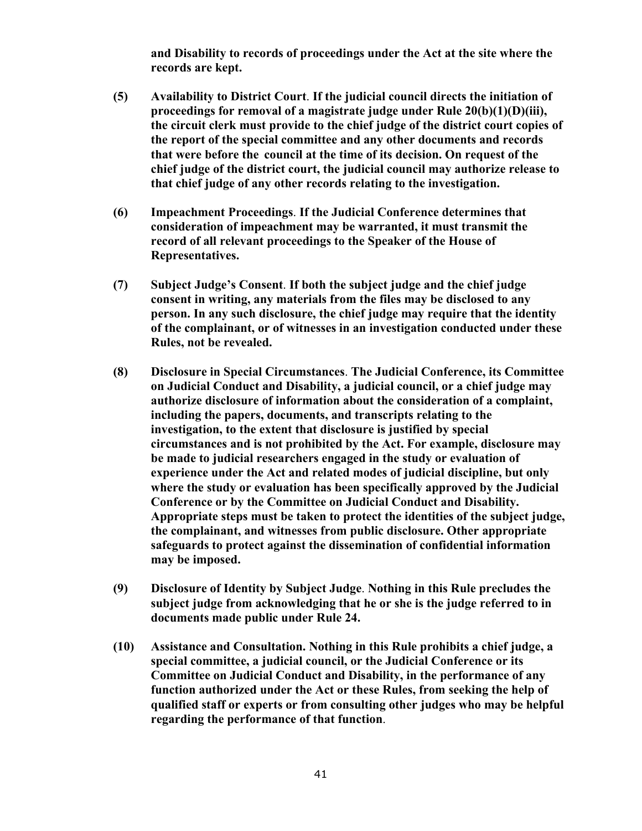**and Disability to records of proceedings under the Act at the site where the records are kept.**

- **(5) Availability to District Court**. **If the judicial council directs the initiation of proceedings for removal of a magistrate judge under Rule 20(b)(1)(D)(iii), the circuit clerk must provide to the chief judge of the district court copies of the report of the special committee and any other documents and records that were before the council at the time of its decision. On request of the chief judge of the district court, the judicial council may authorize release to that chief judge of any other records relating to the investigation.**
- **(6) Impeachment Proceedings**. **If the Judicial Conference determines that consideration of impeachment may be warranted, it must transmit the record of all relevant proceedings to the Speaker of the House of Representatives.**
- **(7) Subject Judge's Consent**. **If both the subject judge and the chief judge consent in writing, any materials from the files may be disclosed to any person. In any such disclosure, the chief judge may require that the identity of the complainant, or of witnesses in an investigation conducted under these Rules, not be revealed.**
- **(8) Disclosure in Special Circumstances**. **The Judicial Conference, its Committee on Judicial Conduct and Disability, a judicial council, or a chief judge may authorize disclosure of information about the consideration of a complaint, including the papers, documents, and transcripts relating to the investigation, to the extent that disclosure is justified by special circumstances and is not prohibited by the Act. For example, disclosure may be made to judicial researchers engaged in the study or evaluation of experience under the Act and related modes of judicial discipline, but only where the study or evaluation has been specifically approved by the Judicial Conference or by the Committee on Judicial Conduct and Disability. Appropriate steps must be taken to protect the identities of the subject judge, the complainant, and witnesses from public disclosure. Other appropriate safeguards to protect against the dissemination of confidential information may be imposed.**
- **(9) Disclosure of Identity by Subject Judge**. **Nothing in this Rule precludes the subject judge from acknowledging that he or she is the judge referred to in documents made public under Rule 24.**
- **(10) Assistance and Consultation. Nothing in this Rule prohibits a chief judge, a special committee, a judicial council, or the Judicial Conference or its Committee on Judicial Conduct and Disability, in the performance of any function authorized under the Act or these Rules, from seeking the help of qualified staff or experts or from consulting other judges who may be helpful regarding the performance of that function**.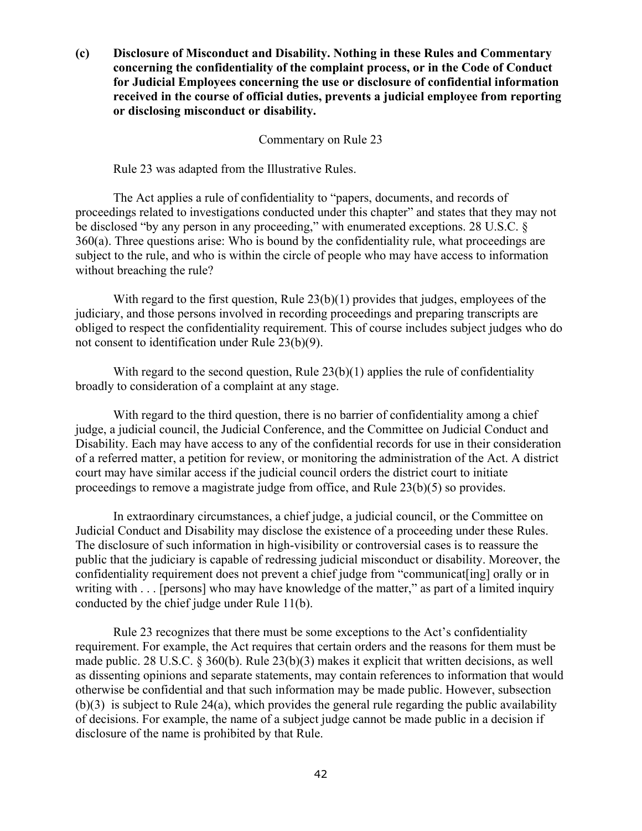**(c) Disclosure of Misconduct and Disability. Nothing in these Rules and Commentary concerning the confidentiality of the complaint process, or in the Code of Conduct for Judicial Employees concerning the use or disclosure of confidential information received in the course of official duties, prevents a judicial employee from reporting or disclosing misconduct or disability.**

Commentary on Rule 23

Rule 23 was adapted from the Illustrative Rules.

The Act applies a rule of confidentiality to "papers, documents, and records of proceedings related to investigations conducted under this chapter" and states that they may not be disclosed "by any person in any proceeding," with enumerated exceptions. 28 U.S.C. § 360(a). Three questions arise: Who is bound by the confidentiality rule, what proceedings are subject to the rule, and who is within the circle of people who may have access to information without breaching the rule?

With regard to the first question, Rule 23(b)(1) provides that judges, employees of the judiciary, and those persons involved in recording proceedings and preparing transcripts are obliged to respect the confidentiality requirement. This of course includes subject judges who do not consent to identification under Rule 23(b)(9).

With regard to the second question, Rule  $23(b)(1)$  applies the rule of confidentiality broadly to consideration of a complaint at any stage.

With regard to the third question, there is no barrier of confidentiality among a chief judge, a judicial council, the Judicial Conference, and the Committee on Judicial Conduct and Disability. Each may have access to any of the confidential records for use in their consideration of a referred matter, a petition for review, or monitoring the administration of the Act. A district court may have similar access if the judicial council orders the district court to initiate proceedings to remove a magistrate judge from office, and Rule 23(b)(5) so provides.

In extraordinary circumstances, a chief judge, a judicial council, or the Committee on Judicial Conduct and Disability may disclose the existence of a proceeding under these Rules. The disclosure of such information in high-visibility or controversial cases is to reassure the public that the judiciary is capable of redressing judicial misconduct or disability. Moreover, the confidentiality requirement does not prevent a chief judge from "communicat[ing] orally or in writing with . . . [persons] who may have knowledge of the matter," as part of a limited inquiry conducted by the chief judge under Rule 11(b).

Rule 23 recognizes that there must be some exceptions to the Act's confidentiality requirement. For example, the Act requires that certain orders and the reasons for them must be made public. 28 U.S.C. § 360(b). Rule 23(b)(3) makes it explicit that written decisions, as well as dissenting opinions and separate statements, may contain references to information that would otherwise be confidential and that such information may be made public. However, subsection (b)(3) is subject to Rule 24(a), which provides the general rule regarding the public availability of decisions. For example, the name of a subject judge cannot be made public in a decision if disclosure of the name is prohibited by that Rule.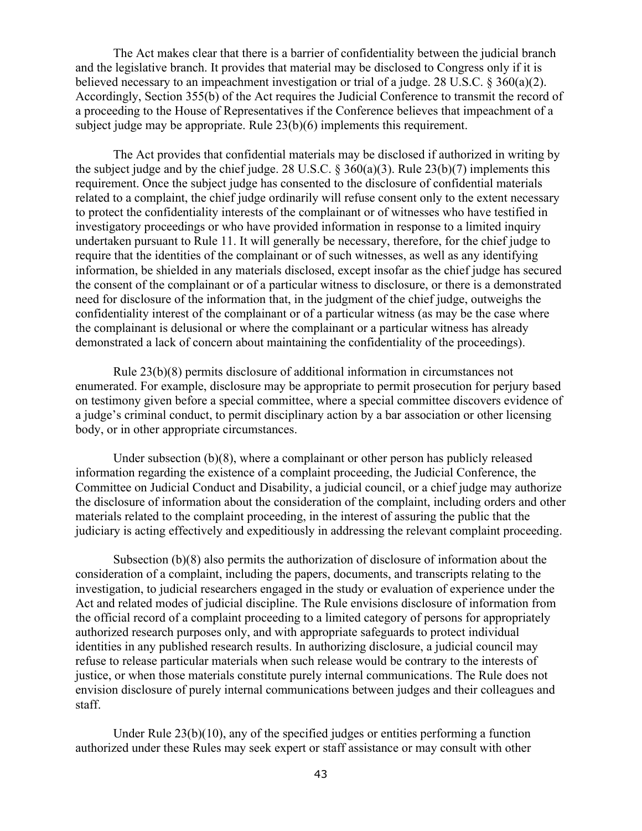The Act makes clear that there is a barrier of confidentiality between the judicial branch and the legislative branch. It provides that material may be disclosed to Congress only if it is believed necessary to an impeachment investigation or trial of a judge. 28 U.S.C. § 360(a)(2). Accordingly, Section 355(b) of the Act requires the Judicial Conference to transmit the record of a proceeding to the House of Representatives if the Conference believes that impeachment of a subject judge may be appropriate. Rule 23(b)(6) implements this requirement.

The Act provides that confidential materials may be disclosed if authorized in writing by the subject judge and by the chief judge. 28 U.S.C.  $\S$  360(a)(3). Rule 23(b)(7) implements this requirement. Once the subject judge has consented to the disclosure of confidential materials related to a complaint, the chief judge ordinarily will refuse consent only to the extent necessary to protect the confidentiality interests of the complainant or of witnesses who have testified in investigatory proceedings or who have provided information in response to a limited inquiry undertaken pursuant to Rule 11. It will generally be necessary, therefore, for the chief judge to require that the identities of the complainant or of such witnesses, as well as any identifying information, be shielded in any materials disclosed, except insofar as the chief judge has secured the consent of the complainant or of a particular witness to disclosure, or there is a demonstrated need for disclosure of the information that, in the judgment of the chief judge, outweighs the confidentiality interest of the complainant or of a particular witness (as may be the case where the complainant is delusional or where the complainant or a particular witness has already demonstrated a lack of concern about maintaining the confidentiality of the proceedings).

Rule 23(b)(8) permits disclosure of additional information in circumstances not enumerated. For example, disclosure may be appropriate to permit prosecution for perjury based on testimony given before a special committee, where a special committee discovers evidence of a judge's criminal conduct, to permit disciplinary action by a bar association or other licensing body, or in other appropriate circumstances.

Under subsection (b)(8), where a complainant or other person has publicly released information regarding the existence of a complaint proceeding, the Judicial Conference, the Committee on Judicial Conduct and Disability, a judicial council, or a chief judge may authorize the disclosure of information about the consideration of the complaint, including orders and other materials related to the complaint proceeding, in the interest of assuring the public that the judiciary is acting effectively and expeditiously in addressing the relevant complaint proceeding.

Subsection (b)(8) also permits the authorization of disclosure of information about the consideration of a complaint, including the papers, documents, and transcripts relating to the investigation, to judicial researchers engaged in the study or evaluation of experience under the Act and related modes of judicial discipline. The Rule envisions disclosure of information from the official record of a complaint proceeding to a limited category of persons for appropriately authorized research purposes only, and with appropriate safeguards to protect individual identities in any published research results. In authorizing disclosure, a judicial council may refuse to release particular materials when such release would be contrary to the interests of justice, or when those materials constitute purely internal communications. The Rule does not envision disclosure of purely internal communications between judges and their colleagues and staff.

Under Rule 23(b)(10), any of the specified judges or entities performing a function authorized under these Rules may seek expert or staff assistance or may consult with other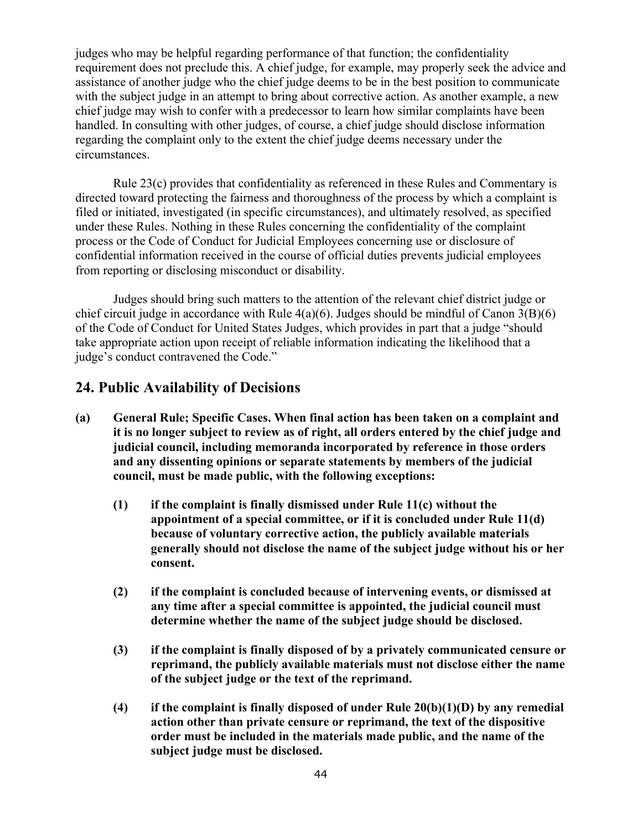judges who may be helpful regarding performance of that function; the confidentiality requirement does not preclude this. A chief judge, for example, may properly seek the advice and assistance of another judge who the chief judge deems to be in the best position to communicate with the subject judge in an attempt to bring about corrective action. As another example, a new chief judge may wish to confer with a predecessor to learn how similar complaints have been handled. In consulting with other judges, of course, a chief judge should disclose information regarding the complaint only to the extent the chief judge deems necessary under the circumstances.

Rule 23(c) provides that confidentiality as referenced in these Rules and Commentary is directed toward protecting the fairness and thoroughness of the process by which a complaint is filed or initiated, investigated (in specific circumstances), and ultimately resolved, as specified under these Rules. Nothing in these Rules concerning the confidentiality of the complaint process or the Code of Conduct for Judicial Employees concerning use or disclosure of confidential information received in the course of official duties prevents judicial employees from reporting or disclosing misconduct or disability.

Judges should bring such matters to the attention of the relevant chief district judge or chief circuit judge in accordance with Rule  $4(a)(6)$ . Judges should be mindful of Canon  $3(B)(6)$ of the Code of Conduct for United States Judges, which provides in part that a judge "should take appropriate action upon receipt of reliable information indicating the likelihood that a judge's conduct contravened the Code."

# **24. Public Availability of Decisions**

- **(a) General Rule; Specific Cases. When final action has been taken on a complaint and it is no longer subject to review as of right, all orders entered by the chief judge and judicial council, including memoranda incorporated by reference in those orders and any dissenting opinions or separate statements by members of the judicial council, must be made public, with the following exceptions:**
	- **(1) if the complaint is finally dismissed under Rule 11(c) without the appointment of a special committee, or if it is concluded under Rule 11(d) because of voluntary corrective action, the publicly available materials generally should not disclose the name of the subject judge without his or her consent.**
	- **(2) if the complaint is concluded because of intervening events, or dismissed at any time after a special committee is appointed, the judicial council must determine whether the name of the subject judge should be disclosed.**
	- **(3) if the complaint is finally disposed of by a privately communicated censure or reprimand, the publicly available materials must not disclose either the name of the subject judge or the text of the reprimand.**
	- **(4) if the complaint is finally disposed of under Rule 20(b)(1)(D) by any remedial action other than private censure or reprimand, the text of the dispositive order must be included in the materials made public, and the name of the subject judge must be disclosed.**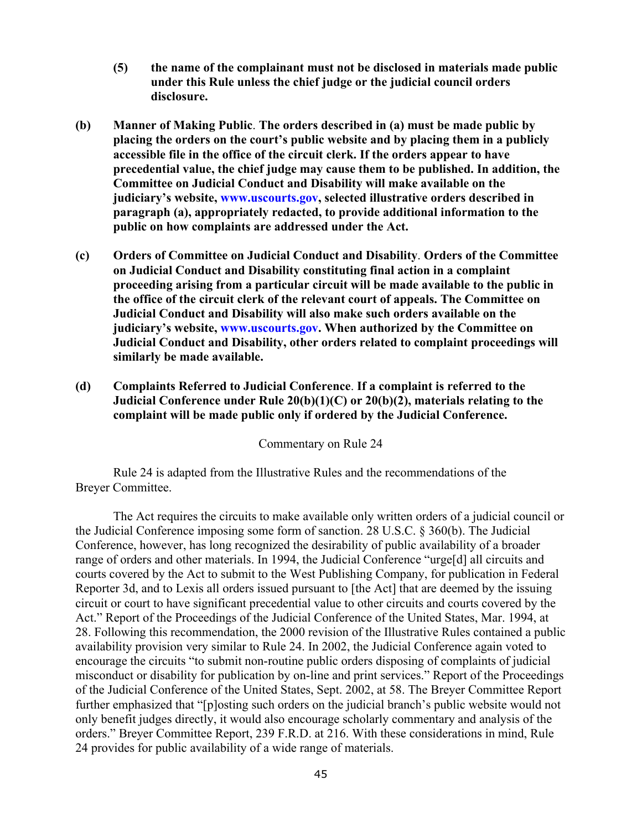- **(5) the name of the complainant must not be disclosed in materials made public under this Rule unless the chief judge or the judicial council orders disclosure.**
- **(b) Manner of Making Public**. **The orders described in (a) must be made public by placing the orders on the court's public website and by placing them in a publicly accessible file in the office of the circuit clerk. If the orders appear to have precedential value, the chief judge may cause them to be published. In addition, the Committee on Judicial Conduct and Disability will make available on the judiciary's website, www.uscourts.gov, selected illustrative orders described in paragraph (a), appropriately redacted, to provide additional information to the public on how complaints are addressed under the Act.**
- **(c) Orders of Committee on Judicial Conduct and Disability**. **Orders of the Committee on Judicial Conduct and Disability constituting final action in a complaint proceeding arising from a particular circuit will be made available to the public in the office of the circuit clerk of the relevant court of appeals. The Committee on Judicial Conduct and Disability will also make such orders available on the judiciary's website, www.uscourts.gov. When authorized by the Committee on Judicial Conduct and Disability, other orders related to complaint proceedings will similarly be made available.**
- **(d) Complaints Referred to Judicial Conference**. **If a complaint is referred to the Judicial Conference under Rule 20(b)(1)(C) or 20(b)(2), materials relating to the complaint will be made public only if ordered by the Judicial Conference.**

Rule 24 is adapted from the Illustrative Rules and the recommendations of the Breyer Committee.

The Act requires the circuits to make available only written orders of a judicial council or the Judicial Conference imposing some form of sanction. 28 U.S.C. § 360(b). The Judicial Conference, however, has long recognized the desirability of public availability of a broader range of orders and other materials. In 1994, the Judicial Conference "urge[d] all circuits and courts covered by the Act to submit to the West Publishing Company, for publication in Federal Reporter 3d, and to Lexis all orders issued pursuant to [the Act] that are deemed by the issuing circuit or court to have significant precedential value to other circuits and courts covered by the Act." Report of the Proceedings of the Judicial Conference of the United States, Mar. 1994, at 28. Following this recommendation, the 2000 revision of the Illustrative Rules contained a public availability provision very similar to Rule 24. In 2002, the Judicial Conference again voted to encourage the circuits "to submit non-routine public orders disposing of complaints of judicial misconduct or disability for publication by on-line and print services." Report of the Proceedings of the Judicial Conference of the United States, Sept. 2002, at 58. The Breyer Committee Report further emphasized that "[p]osting such orders on the judicial branch's public website would not only benefit judges directly, it would also encourage scholarly commentary and analysis of the orders." Breyer Committee Report, 239 F.R.D. at 216. With these considerations in mind, Rule 24 provides for public availability of a wide range of materials.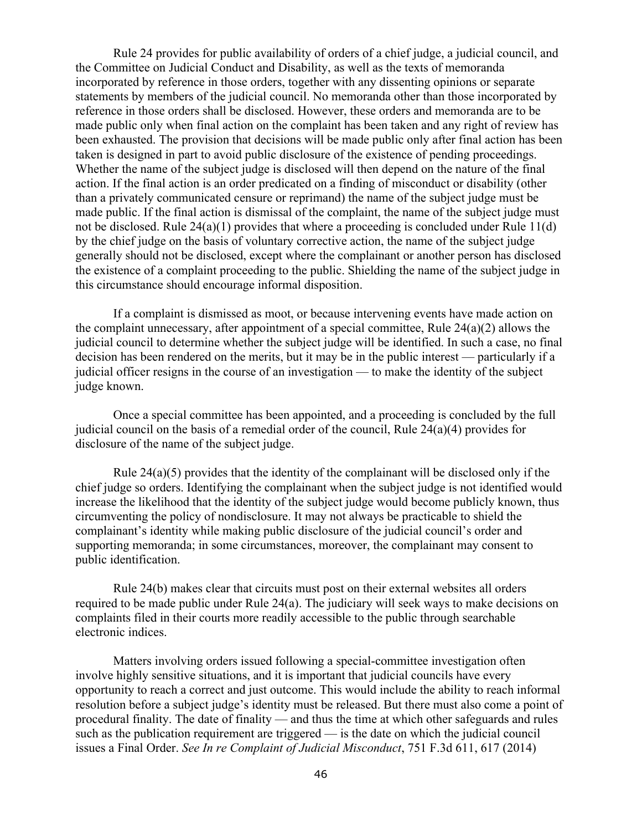Rule 24 provides for public availability of orders of a chief judge, a judicial council, and the Committee on Judicial Conduct and Disability, as well as the texts of memoranda incorporated by reference in those orders, together with any dissenting opinions or separate statements by members of the judicial council. No memoranda other than those incorporated by reference in those orders shall be disclosed. However, these orders and memoranda are to be made public only when final action on the complaint has been taken and any right of review has been exhausted. The provision that decisions will be made public only after final action has been taken is designed in part to avoid public disclosure of the existence of pending proceedings. Whether the name of the subject judge is disclosed will then depend on the nature of the final action. If the final action is an order predicated on a finding of misconduct or disability (other than a privately communicated censure or reprimand) the name of the subject judge must be made public. If the final action is dismissal of the complaint, the name of the subject judge must not be disclosed. Rule 24(a)(1) provides that where a proceeding is concluded under Rule 11(d) by the chief judge on the basis of voluntary corrective action, the name of the subject judge generally should not be disclosed, except where the complainant or another person has disclosed the existence of a complaint proceeding to the public. Shielding the name of the subject judge in this circumstance should encourage informal disposition.

If a complaint is dismissed as moot, or because intervening events have made action on the complaint unnecessary, after appointment of a special committee, Rule 24(a)(2) allows the judicial council to determine whether the subject judge will be identified. In such a case, no final decision has been rendered on the merits, but it may be in the public interest — particularly if a judicial officer resigns in the course of an investigation — to make the identity of the subject judge known.

Once a special committee has been appointed, and a proceeding is concluded by the full judicial council on the basis of a remedial order of the council, Rule 24(a)(4) provides for disclosure of the name of the subject judge.

Rule  $24(a)(5)$  provides that the identity of the complainant will be disclosed only if the chief judge so orders. Identifying the complainant when the subject judge is not identified would increase the likelihood that the identity of the subject judge would become publicly known, thus circumventing the policy of nondisclosure. It may not always be practicable to shield the complainant's identity while making public disclosure of the judicial council's order and supporting memoranda; in some circumstances, moreover, the complainant may consent to public identification.

Rule 24(b) makes clear that circuits must post on their external websites all orders required to be made public under Rule 24(a). The judiciary will seek ways to make decisions on complaints filed in their courts more readily accessible to the public through searchable electronic indices.

Matters involving orders issued following a special-committee investigation often involve highly sensitive situations, and it is important that judicial councils have every opportunity to reach a correct and just outcome. This would include the ability to reach informal resolution before a subject judge's identity must be released. But there must also come a point of procedural finality. The date of finality — and thus the time at which other safeguards and rules such as the publication requirement are triggered — is the date on which the judicial council issues a Final Order. *See In re Complaint of Judicial Misconduct*, 751 F.3d 611, 617 (2014)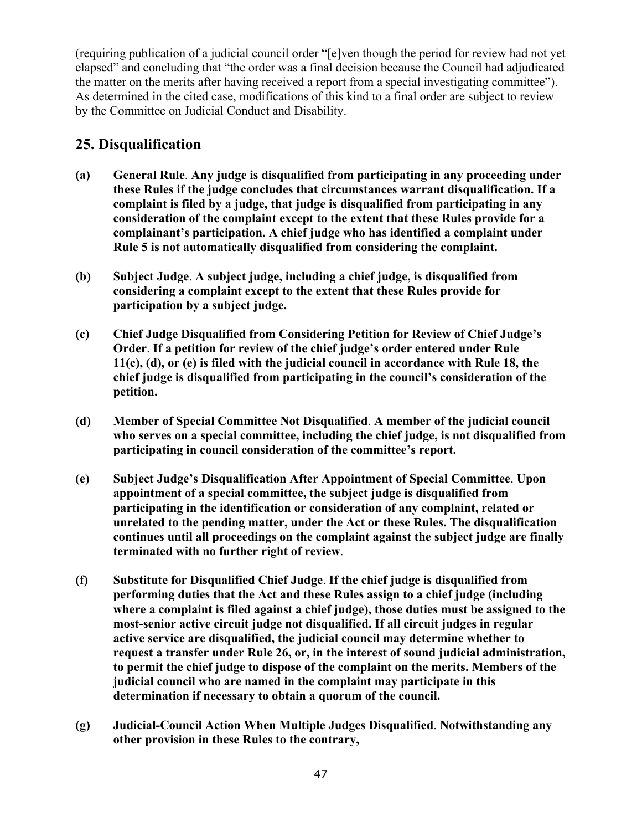(requiring publication of a judicial council order "[e]ven though the period for review had not yet elapsed" and concluding that "the order was a final decision because the Council had adjudicated the matter on the merits after having received a report from a special investigating committee"). As determined in the cited case, modifications of this kind to a final order are subject to review by the Committee on Judicial Conduct and Disability.

# **25. Disqualification**

- **(a) General Rule**. **Any judge is disqualified from participating in any proceeding under these Rules if the judge concludes that circumstances warrant disqualification. If a complaint is filed by a judge, that judge is disqualified from participating in any consideration of the complaint except to the extent that these Rules provide for a complainant's participation. A chief judge who has identified a complaint under Rule 5 is not automatically disqualified from considering the complaint.**
- **(b) Subject Judge**. **A subject judge, including a chief judge, is disqualified from considering a complaint except to the extent that these Rules provide for participation by a subject judge.**
- **(c) Chief Judge Disqualified from Considering Petition for Review of Chief Judge's Order**. **If a petition for review of the chief judge's order entered under Rule 11(c), (d), or (e) is filed with the judicial council in accordance with Rule 18, the chief judge is disqualified from participating in the council's consideration of the petition.**
- **(d) Member of Special Committee Not Disqualified**. **A member of the judicial council who serves on a special committee, including the chief judge, is not disqualified from participating in council consideration of the committee's report.**
- **(e) Subject Judge's Disqualification After Appointment of Special Committee**. **Upon appointment of a special committee, the subject judge is disqualified from participating in the identification or consideration of any complaint, related or unrelated to the pending matter, under the Act or these Rules. The disqualification continues until all proceedings on the complaint against the subject judge are finally terminated with no further right of review**.
- **(f) Substitute for Disqualified Chief Judge**. **If the chief judge is disqualified from performing duties that the Act and these Rules assign to a chief judge (including where a complaint is filed against a chief judge), those duties must be assigned to the most-senior active circuit judge not disqualified. If all circuit judges in regular active service are disqualified, the judicial council may determine whether to request a transfer under Rule 26, or, in the interest of sound judicial administration, to permit the chief judge to dispose of the complaint on the merits. Members of the judicial council who are named in the complaint may participate in this determination if necessary to obtain a quorum of the council.**
- **(g) Judicial-Council Action When Multiple Judges Disqualified**. **Notwithstanding any other provision in these Rules to the contrary,**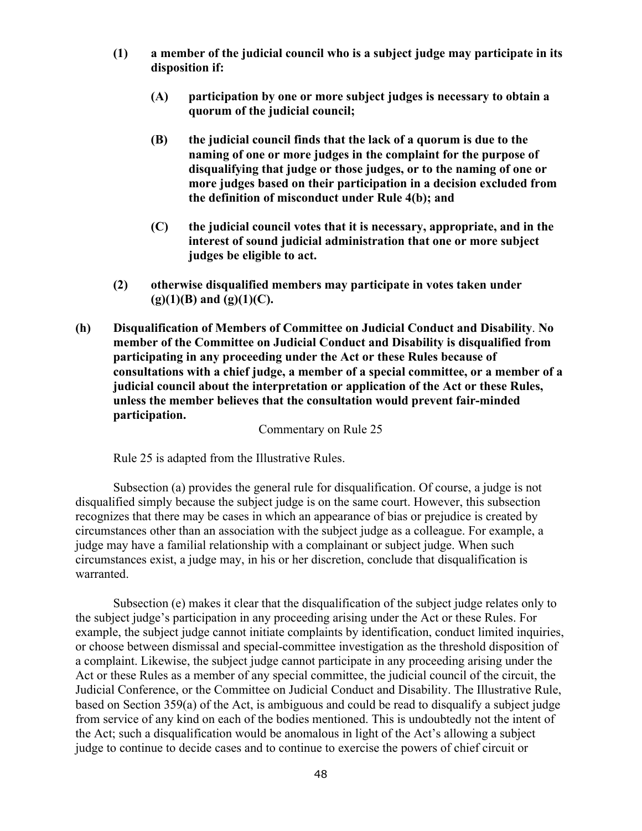- **(1) a member of the judicial council who is a subject judge may participate in its disposition if:**
	- **(A) participation by one or more subject judges is necessary to obtain a quorum of the judicial council;**
	- **(B) the judicial council finds that the lack of a quorum is due to the naming of one or more judges in the complaint for the purpose of disqualifying that judge or those judges, or to the naming of one or more judges based on their participation in a decision excluded from the definition of misconduct under Rule 4(b); and**
	- **(C) the judicial council votes that it is necessary, appropriate, and in the interest of sound judicial administration that one or more subject judges be eligible to act.**
- **(2) otherwise disqualified members may participate in votes taken under (g)(1)(B) and (g)(1)(C).**
- **(h) Disqualification of Members of Committee on Judicial Conduct and Disability**. **No member of the Committee on Judicial Conduct and Disability is disqualified from participating in any proceeding under the Act or these Rules because of consultations with a chief judge, a member of a special committee, or a member of a judicial council about the interpretation or application of the Act or these Rules, unless the member believes that the consultation would prevent fair-minded participation.**

Rule 25 is adapted from the Illustrative Rules.

Subsection (a) provides the general rule for disqualification. Of course, a judge is not disqualified simply because the subject judge is on the same court. However, this subsection recognizes that there may be cases in which an appearance of bias or prejudice is created by circumstances other than an association with the subject judge as a colleague. For example, a judge may have a familial relationship with a complainant or subject judge. When such circumstances exist, a judge may, in his or her discretion, conclude that disqualification is warranted.

Subsection (e) makes it clear that the disqualification of the subject judge relates only to the subject judge's participation in any proceeding arising under the Act or these Rules. For example, the subject judge cannot initiate complaints by identification, conduct limited inquiries, or choose between dismissal and special-committee investigation as the threshold disposition of a complaint. Likewise, the subject judge cannot participate in any proceeding arising under the Act or these Rules as a member of any special committee, the judicial council of the circuit, the Judicial Conference, or the Committee on Judicial Conduct and Disability. The Illustrative Rule, based on Section 359(a) of the Act, is ambiguous and could be read to disqualify a subject judge from service of any kind on each of the bodies mentioned. This is undoubtedly not the intent of the Act; such a disqualification would be anomalous in light of the Act's allowing a subject judge to continue to decide cases and to continue to exercise the powers of chief circuit or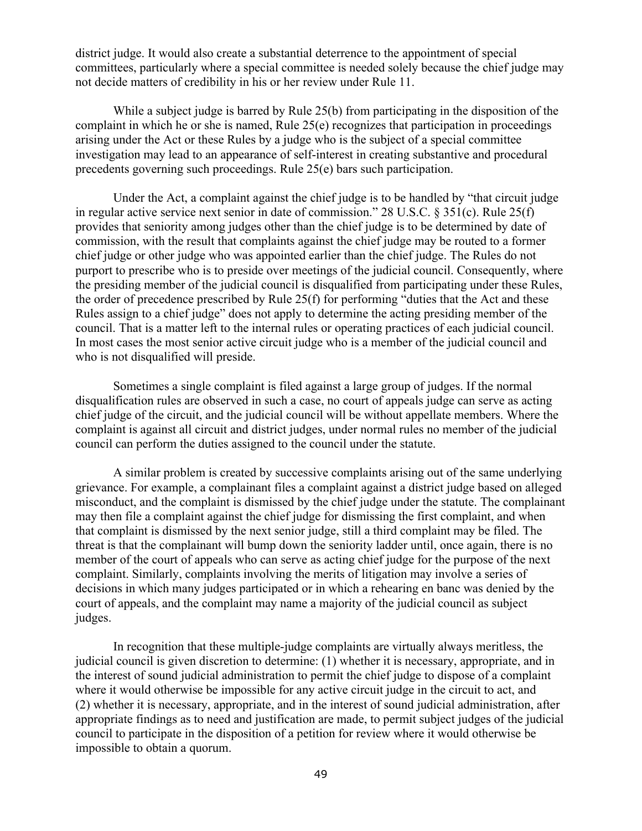district judge. It would also create a substantial deterrence to the appointment of special committees, particularly where a special committee is needed solely because the chief judge may not decide matters of credibility in his or her review under Rule 11.

While a subject judge is barred by Rule 25(b) from participating in the disposition of the complaint in which he or she is named, Rule 25(e) recognizes that participation in proceedings arising under the Act or these Rules by a judge who is the subject of a special committee investigation may lead to an appearance of self-interest in creating substantive and procedural precedents governing such proceedings. Rule 25(e) bars such participation.

Under the Act, a complaint against the chief judge is to be handled by "that circuit judge in regular active service next senior in date of commission." 28 U.S.C.  $\S 351(c)$ . Rule 25(f) provides that seniority among judges other than the chief judge is to be determined by date of commission, with the result that complaints against the chief judge may be routed to a former chief judge or other judge who was appointed earlier than the chief judge. The Rules do not purport to prescribe who is to preside over meetings of the judicial council. Consequently, where the presiding member of the judicial council is disqualified from participating under these Rules, the order of precedence prescribed by Rule 25(f) for performing "duties that the Act and these Rules assign to a chief judge" does not apply to determine the acting presiding member of the council. That is a matter left to the internal rules or operating practices of each judicial council. In most cases the most senior active circuit judge who is a member of the judicial council and who is not disqualified will preside.

Sometimes a single complaint is filed against a large group of judges. If the normal disqualification rules are observed in such a case, no court of appeals judge can serve as acting chief judge of the circuit, and the judicial council will be without appellate members. Where the complaint is against all circuit and district judges, under normal rules no member of the judicial council can perform the duties assigned to the council under the statute.

A similar problem is created by successive complaints arising out of the same underlying grievance. For example, a complainant files a complaint against a district judge based on alleged misconduct, and the complaint is dismissed by the chief judge under the statute. The complainant may then file a complaint against the chief judge for dismissing the first complaint, and when that complaint is dismissed by the next senior judge, still a third complaint may be filed. The threat is that the complainant will bump down the seniority ladder until, once again, there is no member of the court of appeals who can serve as acting chief judge for the purpose of the next complaint. Similarly, complaints involving the merits of litigation may involve a series of decisions in which many judges participated or in which a rehearing en banc was denied by the court of appeals, and the complaint may name a majority of the judicial council as subject judges.

In recognition that these multiple-judge complaints are virtually always meritless, the judicial council is given discretion to determine: (1) whether it is necessary, appropriate, and in the interest of sound judicial administration to permit the chief judge to dispose of a complaint where it would otherwise be impossible for any active circuit judge in the circuit to act, and (2) whether it is necessary, appropriate, and in the interest of sound judicial administration, after appropriate findings as to need and justification are made, to permit subject judges of the judicial council to participate in the disposition of a petition for review where it would otherwise be impossible to obtain a quorum.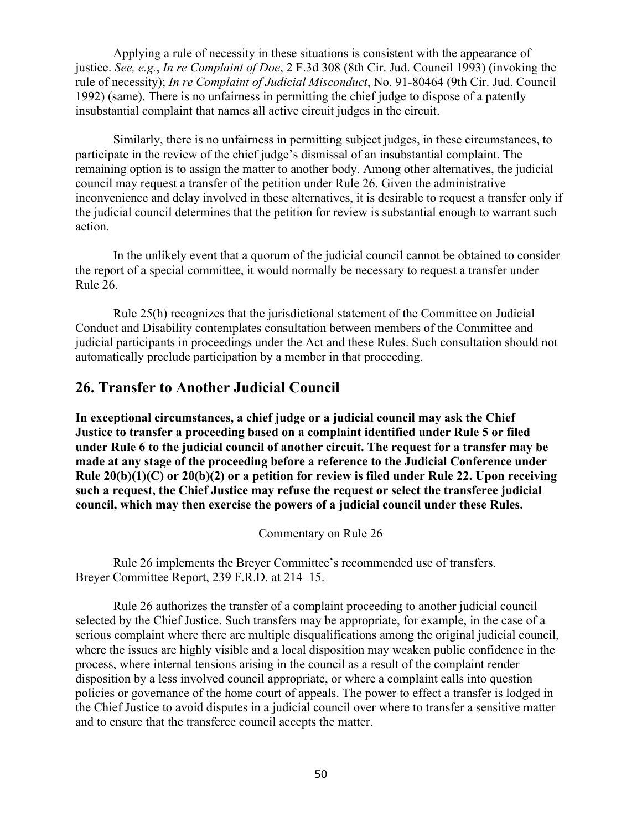Applying a rule of necessity in these situations is consistent with the appearance of justice. *See, e.g.*, *In re Complaint of Doe*, 2 F.3d 308 (8th Cir. Jud. Council 1993) (invoking the rule of necessity); *In re Complaint of Judicial Misconduct*, No. 91-80464 (9th Cir. Jud. Council 1992) (same). There is no unfairness in permitting the chief judge to dispose of a patently insubstantial complaint that names all active circuit judges in the circuit.

Similarly, there is no unfairness in permitting subject judges, in these circumstances, to participate in the review of the chief judge's dismissal of an insubstantial complaint. The remaining option is to assign the matter to another body. Among other alternatives, the judicial council may request a transfer of the petition under Rule 26. Given the administrative inconvenience and delay involved in these alternatives, it is desirable to request a transfer only if the judicial council determines that the petition for review is substantial enough to warrant such action.

In the unlikely event that a quorum of the judicial council cannot be obtained to consider the report of a special committee, it would normally be necessary to request a transfer under Rule 26.

Rule 25(h) recognizes that the jurisdictional statement of the Committee on Judicial Conduct and Disability contemplates consultation between members of the Committee and judicial participants in proceedings under the Act and these Rules. Such consultation should not automatically preclude participation by a member in that proceeding.

# **26. Transfer to Another Judicial Council**

**In exceptional circumstances, a chief judge or a judicial council may ask the Chief Justice to transfer a proceeding based on a complaint identified under Rule 5 or filed under Rule 6 to the judicial council of another circuit. The request for a transfer may be made at any stage of the proceeding before a reference to the Judicial Conference under Rule 20(b)(1)(C) or 20(b)(2) or a petition for review is filed under Rule 22. Upon receiving such a request, the Chief Justice may refuse the request or select the transferee judicial council, which may then exercise the powers of a judicial council under these Rules.**

Commentary on Rule 26

Rule 26 implements the Breyer Committee's recommended use of transfers. Breyer Committee Report, 239 F.R.D. at 214–15.

Rule 26 authorizes the transfer of a complaint proceeding to another judicial council selected by the Chief Justice. Such transfers may be appropriate, for example, in the case of a serious complaint where there are multiple disqualifications among the original judicial council, where the issues are highly visible and a local disposition may weaken public confidence in the process, where internal tensions arising in the council as a result of the complaint render disposition by a less involved council appropriate, or where a complaint calls into question policies or governance of the home court of appeals. The power to effect a transfer is lodged in the Chief Justice to avoid disputes in a judicial council over where to transfer a sensitive matter and to ensure that the transferee council accepts the matter.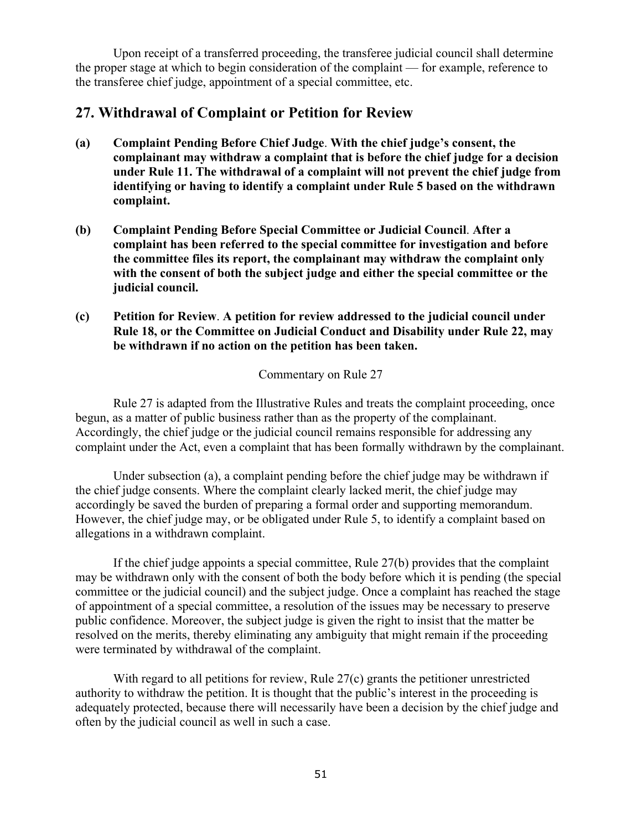Upon receipt of a transferred proceeding, the transferee judicial council shall determine the proper stage at which to begin consideration of the complaint — for example, reference to the transferee chief judge, appointment of a special committee, etc.

# **27. Withdrawal of Complaint or Petition for Review**

- **(a) Complaint Pending Before Chief Judge**. **With the chief judge's consent, the complainant may withdraw a complaint that is before the chief judge for a decision under Rule 11. The withdrawal of a complaint will not prevent the chief judge from identifying or having to identify a complaint under Rule 5 based on the withdrawn complaint.**
- **(b) Complaint Pending Before Special Committee or Judicial Council**. **After a complaint has been referred to the special committee for investigation and before the committee files its report, the complainant may withdraw the complaint only with the consent of both the subject judge and either the special committee or the judicial council.**
- **(c) Petition for Review**. **A petition for review addressed to the judicial council under Rule 18, or the Committee on Judicial Conduct and Disability under Rule 22, may be withdrawn if no action on the petition has been taken.**

#### Commentary on Rule 27

Rule 27 is adapted from the Illustrative Rules and treats the complaint proceeding, once begun, as a matter of public business rather than as the property of the complainant. Accordingly, the chief judge or the judicial council remains responsible for addressing any complaint under the Act, even a complaint that has been formally withdrawn by the complainant.

Under subsection (a), a complaint pending before the chief judge may be withdrawn if the chief judge consents. Where the complaint clearly lacked merit, the chief judge may accordingly be saved the burden of preparing a formal order and supporting memorandum. However, the chief judge may, or be obligated under Rule 5, to identify a complaint based on allegations in a withdrawn complaint.

If the chief judge appoints a special committee, Rule 27(b) provides that the complaint may be withdrawn only with the consent of both the body before which it is pending (the special committee or the judicial council) and the subject judge. Once a complaint has reached the stage of appointment of a special committee, a resolution of the issues may be necessary to preserve public confidence. Moreover, the subject judge is given the right to insist that the matter be resolved on the merits, thereby eliminating any ambiguity that might remain if the proceeding were terminated by withdrawal of the complaint.

With regard to all petitions for review, Rule 27(c) grants the petitioner unrestricted authority to withdraw the petition. It is thought that the public's interest in the proceeding is adequately protected, because there will necessarily have been a decision by the chief judge and often by the judicial council as well in such a case.